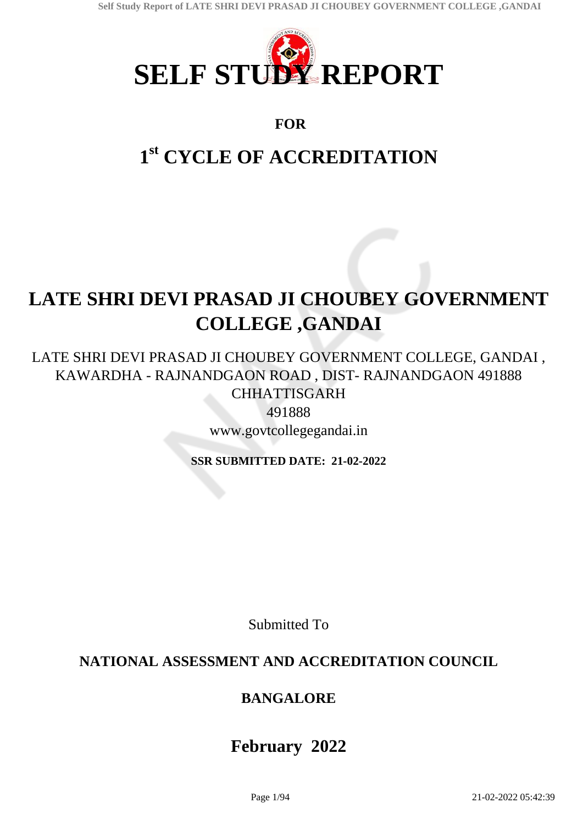

# **FOR**

# **1 st CYCLE OF ACCREDITATION**

# **LATE SHRI DEVI PRASAD JI CHOUBEY GOVERNMENT COLLEGE ,GANDAI**

# LATE SHRI DEVI PRASAD JI CHOUBEY GOVERNMENT COLLEGE, GANDAI , KAWARDHA - RAJNANDGAON ROAD , DIST- RAJNANDGAON 491888 CHHATTISGARH 491888 www.govtcollegegandai.in

**SSR SUBMITTED DATE: 21-02-2022**

Submitted To

# **NATIONAL ASSESSMENT AND ACCREDITATION COUNCIL**

# **BANGALORE**

# **February 2022**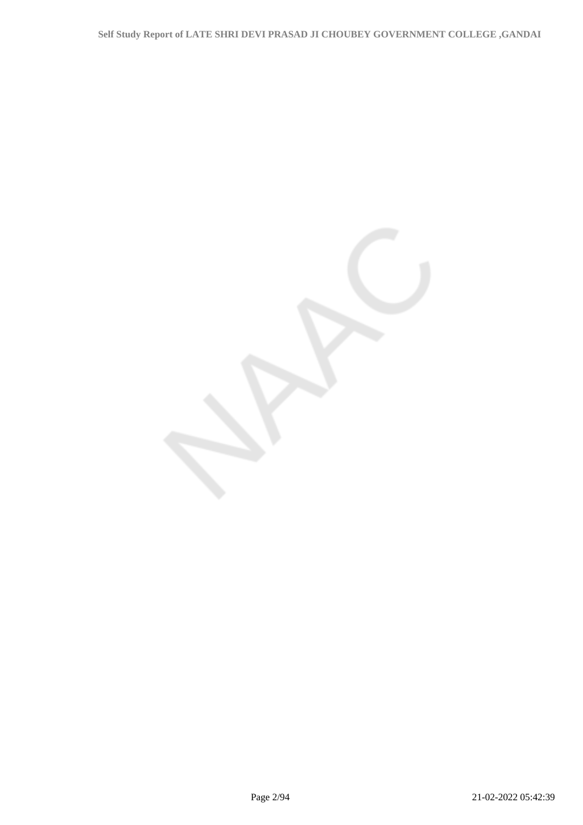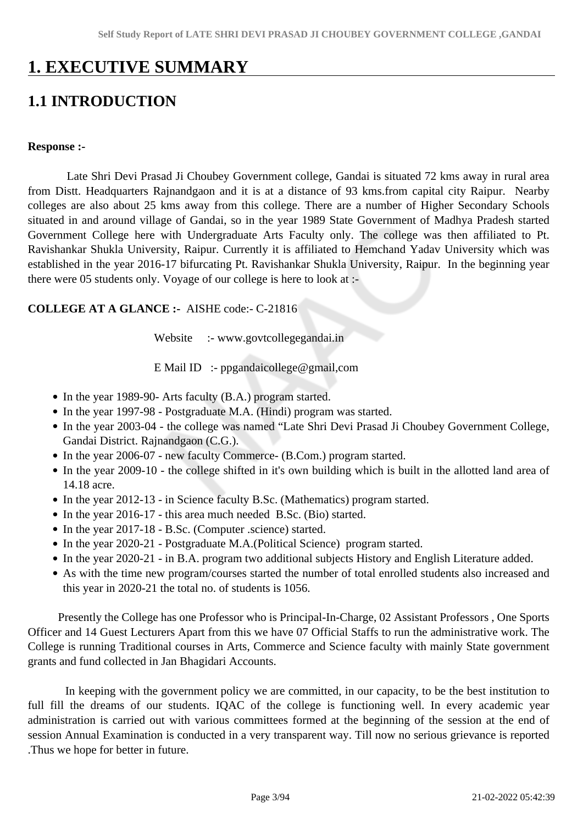# **1. EXECUTIVE SUMMARY**

# **1.1 INTRODUCTION**

#### **Response :-**

 Late Shri Devi Prasad Ji Choubey Government college, Gandai is situated 72 kms away in rural area from Distt. Headquarters Rajnandgaon and it is at a distance of 93 kms.from capital city Raipur. Nearby colleges are also about 25 kms away from this college. There are a number of Higher Secondary Schools situated in and around village of Gandai, so in the year 1989 State Government of Madhya Pradesh started Government College here with Undergraduate Arts Faculty only. The college was then affiliated to Pt. Ravishankar Shukla University, Raipur. Currently it is affiliated to Hemchand Yadav University which was established in the year 2016-17 bifurcating Pt. Ravishankar Shukla University, Raipur. In the beginning year there were 05 students only. Voyage of our college is here to look at :-

### **COLLEGE AT A GLANCE :-** AISHE code:- C-21816

Website :- www.govtcollegegandai.in

E Mail ID :- ppgandaicollege@gmail,com

- In the year 1989-90- Arts faculty (B.A.) program started.
- In the year 1997-98 Postgraduate M.A. (Hindi) program was started.
- In the year 2003-04 the college was named "Late Shri Devi Prasad Ji Choubey Government College, Gandai District. Rajnandgaon (C.G.).
- In the year 2006-07 new faculty Commerce- (B.Com.) program started.
- In the year 2009-10 the college shifted in it's own building which is built in the allotted land area of 14.18 acre.
- In the year 2012-13 in Science faculty B.Sc. (Mathematics) program started.
- In the year 2016-17 this area much needed B.Sc. (Bio) started.
- In the year 2017-18 B.Sc. (Computer .science) started.
- In the year 2020-21 Postgraduate M.A.(Political Science) program started.
- In the year 2020-21 in B.A. program two additional subjects History and English Literature added.
- As with the time new program/courses started the number of total enrolled students also increased and this year in 2020-21 the total no. of students is 1056.

 Presently the College has one Professor who is Principal-In-Charge, 02 Assistant Professors , One Sports Officer and 14 Guest Lecturers Apart from this we have 07 Official Staffs to run the administrative work. The College is running Traditional courses in Arts, Commerce and Science faculty with mainly State government grants and fund collected in Jan Bhagidari Accounts.

 In keeping with the government policy we are committed, in our capacity, to be the best institution to full fill the dreams of our students. IQAC of the college is functioning well. In every academic year administration is carried out with various committees formed at the beginning of the session at the end of session Annual Examination is conducted in a very transparent way. Till now no serious grievance is reported .Thus we hope for better in future.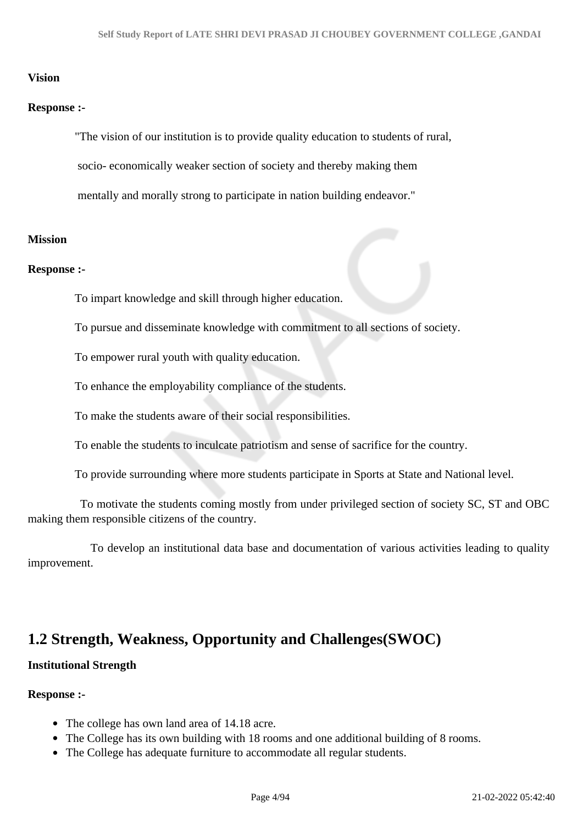#### **Vision**

#### **Response :-**

"The vision of our institution is to provide quality education to students of rural,

socio- economically weaker section of society and thereby making them

mentally and morally strong to participate in nation building endeavor."

#### **Mission**

#### **Response :-**

To impart knowledge and skill through higher education.

To pursue and disseminate knowledge with commitment to all sections of society.

To empower rural youth with quality education.

To enhance the employability compliance of the students.

To make the students aware of their social responsibilities.

To enable the students to inculcate patriotism and sense of sacrifice for the country.

To provide surrounding where more students participate in Sports at State and National level.

 To motivate the students coming mostly from under privileged section of society SC, ST and OBC making them responsible citizens of the country.

 To develop an institutional data base and documentation of various activities leading to quality improvement.

# **1.2 Strength, Weakness, Opportunity and Challenges(SWOC)**

#### **Institutional Strength**

#### **Response :-**

- The college has own land area of 14.18 acre.
- The College has its own building with 18 rooms and one additional building of 8 rooms.
- The College has adequate furniture to accommodate all regular students.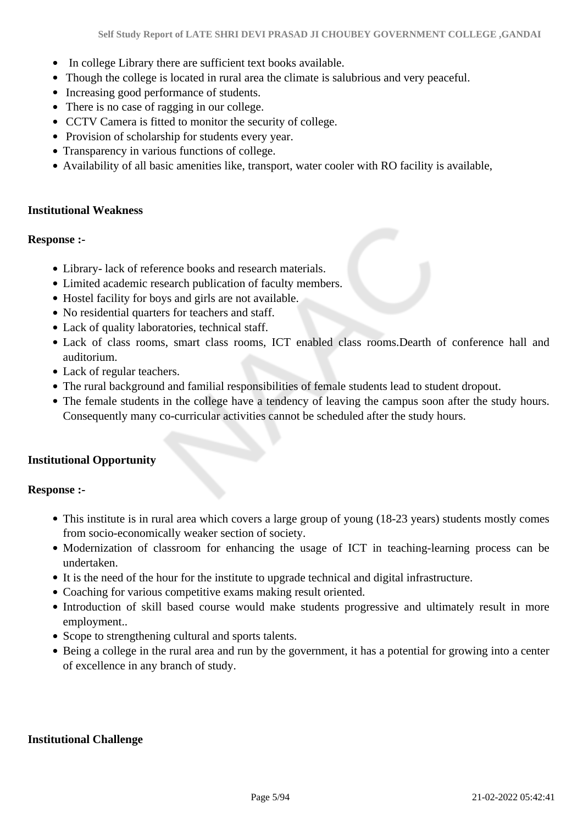- In college Library there are sufficient text books available.
- Though the college is located in rural area the climate is salubrious and very peaceful.
- Increasing good performance of students.
- There is no case of ragging in our college.
- CCTV Camera is fitted to monitor the security of college.
- Provision of scholarship for students every year.
- Transparency in various functions of college.
- Availability of all basic amenities like, transport, water cooler with RO facility is available,

#### **Institutional Weakness**

#### **Response :-**

- Library- lack of reference books and research materials.
- Limited academic research publication of faculty members.
- Hostel facility for boys and girls are not available.
- No residential quarters for teachers and staff.
- Lack of quality laboratories, technical staff.
- Lack of class rooms, smart class rooms, ICT enabled class rooms.Dearth of conference hall and auditorium.
- Lack of regular teachers.
- The rural background and familial responsibilities of female students lead to student dropout.
- The female students in the college have a tendency of leaving the campus soon after the study hours. Consequently many co-curricular activities cannot be scheduled after the study hours.

#### **Institutional Opportunity**

#### **Response :-**

- This institute is in rural area which covers a large group of young (18-23 years) students mostly comes from socio-economically weaker section of society.
- Modernization of classroom for enhancing the usage of ICT in teaching-learning process can be undertaken.
- It is the need of the hour for the institute to upgrade technical and digital infrastructure.
- Coaching for various competitive exams making result oriented.
- Introduction of skill based course would make students progressive and ultimately result in more employment..
- Scope to strengthening cultural and sports talents.
- Being a college in the rural area and run by the government, it has a potential for growing into a center of excellence in any branch of study.

#### **Institutional Challenge**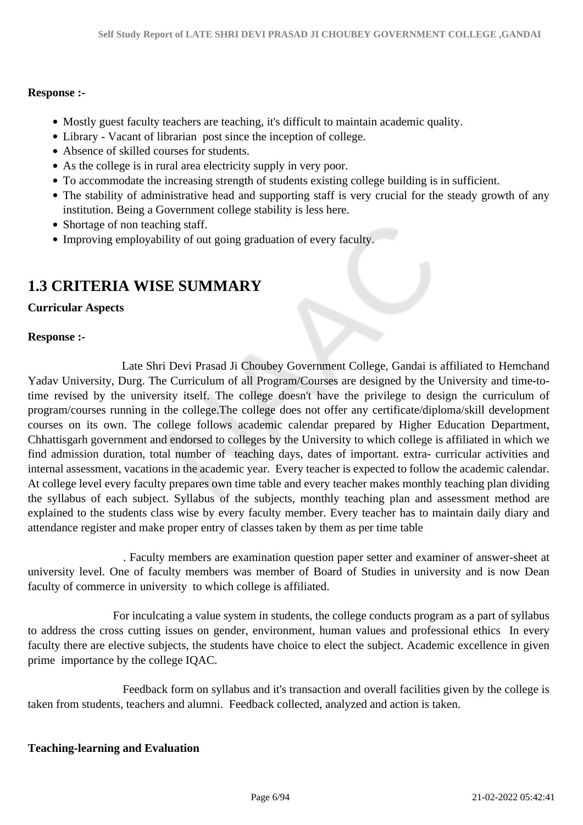#### **Response :-**

- Mostly guest faculty teachers are teaching, it's difficult to maintain academic quality.
- Library Vacant of librarian post since the inception of college.
- Absence of skilled courses for students.
- As the college is in rural area electricity supply in very poor.
- To accommodate the increasing strength of students existing college building is in sufficient.
- The stability of administrative head and supporting staff is very crucial for the steady growth of any institution. Being a Government college stability is less here.
- Shortage of non teaching staff.
- Improving employability of out going graduation of every faculty.

# **1.3 CRITERIA WISE SUMMARY**

#### **Curricular Aspects**

#### **Response :-**

 Late Shri Devi Prasad Ji Choubey Government College, Gandai is affiliated to Hemchand Yadav University, Durg. The Curriculum of all Program/Courses are designed by the University and time-totime revised by the university itself. The college doesn't have the privilege to design the curriculum of program/courses running in the college.The college does not offer any certificate/diploma/skill development courses on its own. The college follows academic calendar prepared by Higher Education Department, Chhattisgarh government and endorsed to colleges by the University to which college is affiliated in which we find admission duration, total number of teaching days, dates of important. extra- curricular activities and internal assessment, vacations in the academic year. Every teacher is expected to follow the academic calendar. At college level every faculty prepares own time table and every teacher makes monthly teaching plan dividing the syllabus of each subject. Syllabus of the subjects, monthly teaching plan and assessment method are explained to the students class wise by every faculty member. Every teacher has to maintain daily diary and attendance register and make proper entry of classes taken by them as per time table

 . Faculty members are examination question paper setter and examiner of answer-sheet at university level. One of faculty members was member of Board of Studies in university and is now Dean faculty of commerce in university to which college is affiliated.

 For inculcating a value system in students, the college conducts program as a part of syllabus to address the cross cutting issues on gender, environment, human values and professional ethics In every faculty there are elective subjects, the students have choice to elect the subject. Academic excellence in given prime importance by the college IQAC.

 Feedback form on syllabus and it's transaction and overall facilities given by the college is taken from students, teachers and alumni. Feedback collected, analyzed and action is taken.

#### **Teaching-learning and Evaluation**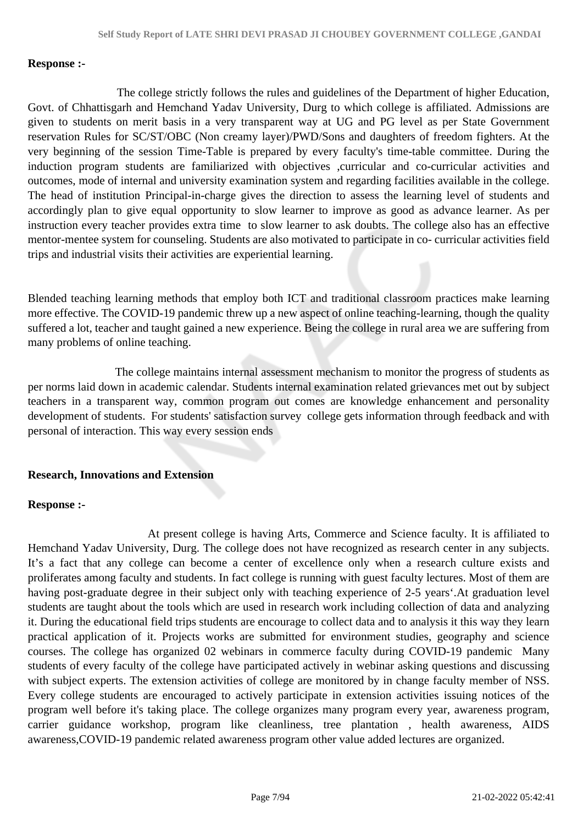#### **Response :-**

 The college strictly follows the rules and guidelines of the Department of higher Education, Govt. of Chhattisgarh and Hemchand Yadav University, Durg to which college is affiliated. Admissions are given to students on merit basis in a very transparent way at UG and PG level as per State Government reservation Rules for SC/ST/OBC (Non creamy layer)/PWD/Sons and daughters of freedom fighters. At the very beginning of the session Time-Table is prepared by every faculty's time-table committee. During the induction program students are familiarized with objectives ,curricular and co-curricular activities and outcomes, mode of internal and university examination system and regarding facilities available in the college. The head of institution Principal-in-charge gives the direction to assess the learning level of students and accordingly plan to give equal opportunity to slow learner to improve as good as advance learner. As per instruction every teacher provides extra time to slow learner to ask doubts. The college also has an effective mentor-mentee system for counseling. Students are also motivated to participate in co- curricular activities field trips and industrial visits their activities are experiential learning.

Blended teaching learning methods that employ both ICT and traditional classroom practices make learning more effective. The COVID-19 pandemic threw up a new aspect of online teaching-learning, though the quality suffered a lot, teacher and taught gained a new experience. Being the college in rural area we are suffering from many problems of online teaching.

 The college maintains internal assessment mechanism to monitor the progress of students as per norms laid down in academic calendar. Students internal examination related grievances met out by subject teachers in a transparent way, common program out comes are knowledge enhancement and personality development of students. For students' satisfaction survey college gets information through feedback and with personal of interaction. This way every session ends

#### **Research, Innovations and Extension**

#### **Response :-**

 At present college is having Arts, Commerce and Science faculty. It is affiliated to Hemchand Yadav University, Durg. The college does not have recognized as research center in any subjects. It's a fact that any college can become a center of excellence only when a research culture exists and proliferates among faculty and students. In fact college is running with guest faculty lectures. Most of them are having post-graduate degree in their subject only with teaching experience of 2-5 years'.At graduation level students are taught about the tools which are used in research work including collection of data and analyzing it. During the educational field trips students are encourage to collect data and to analysis it this way they learn practical application of it. Projects works are submitted for environment studies, geography and science courses. The college has organized 02 webinars in commerce faculty during COVID-19 pandemic Many students of every faculty of the college have participated actively in webinar asking questions and discussing with subject experts. The extension activities of college are monitored by in change faculty member of NSS. Every college students are encouraged to actively participate in extension activities issuing notices of the program well before it's taking place. The college organizes many program every year, awareness program, carrier guidance workshop, program like cleanliness, tree plantation , health awareness, AIDS awareness,COVID-19 pandemic related awareness program other value added lectures are organized.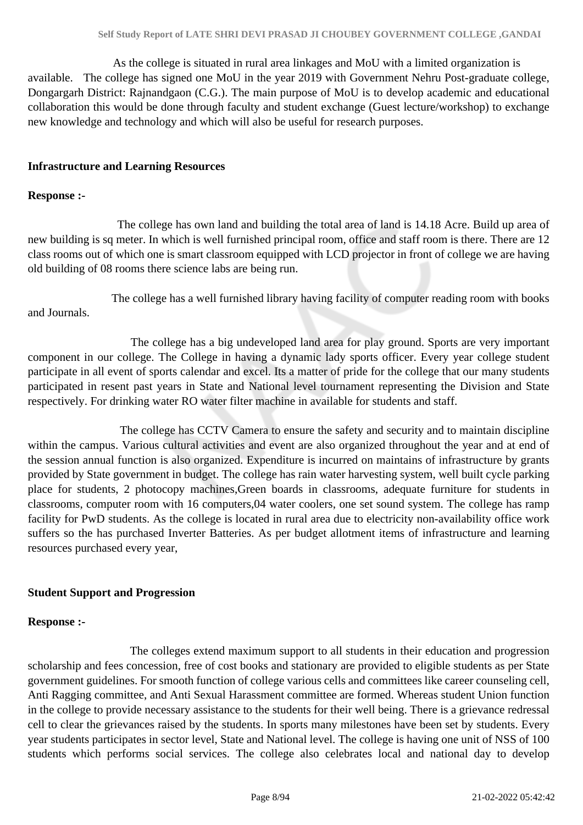As the college is situated in rural area linkages and MoU with a limited organization is available. The college has signed one MoU in the year 2019 with Government Nehru Post-graduate college, Dongargarh District: Rajnandgaon (C.G.). The main purpose of MoU is to develop academic and educational collaboration this would be done through faculty and student exchange (Guest lecture/workshop) to exchange new knowledge and technology and which will also be useful for research purposes.

### **Infrastructure and Learning Resources**

#### **Response :-**

 The college has own land and building the total area of land is 14.18 Acre. Build up area of new building is sq meter. In which is well furnished principal room, office and staff room is there. There are 12 class rooms out of which one is smart classroom equipped with LCD projector in front of college we are having old building of 08 rooms there science labs are being run.

 The college has a well furnished library having facility of computer reading room with books and Journals.

 The college has a big undeveloped land area for play ground. Sports are very important component in our college. The College in having a dynamic lady sports officer. Every year college student participate in all event of sports calendar and excel. Its a matter of pride for the college that our many students participated in resent past years in State and National level tournament representing the Division and State respectively. For drinking water RO water filter machine in available for students and staff.

 The college has CCTV Camera to ensure the safety and security and to maintain discipline within the campus. Various cultural activities and event are also organized throughout the year and at end of the session annual function is also organized. Expenditure is incurred on maintains of infrastructure by grants provided by State government in budget. The college has rain water harvesting system, well built cycle parking place for students, 2 photocopy machines,Green boards in classrooms, adequate furniture for students in classrooms, computer room with 16 computers,04 water coolers, one set sound system. The college has ramp facility for PwD students. As the college is located in rural area due to electricity non-availability office work suffers so the has purchased Inverter Batteries. As per budget allotment items of infrastructure and learning resources purchased every year,

#### **Student Support and Progression**

#### **Response :-**

 The colleges extend maximum support to all students in their education and progression scholarship and fees concession, free of cost books and stationary are provided to eligible students as per State government guidelines. For smooth function of college various cells and committees like career counseling cell, Anti Ragging committee, and Anti Sexual Harassment committee are formed. Whereas student Union function in the college to provide necessary assistance to the students for their well being. There is a grievance redressal cell to clear the grievances raised by the students. In sports many milestones have been set by students. Every year students participates in sector level, State and National level. The college is having one unit of NSS of 100 students which performs social services. The college also celebrates local and national day to develop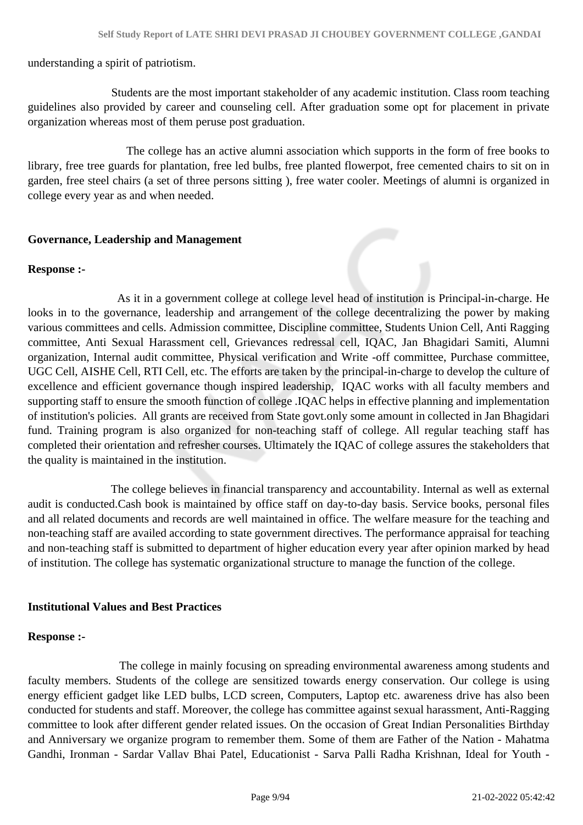understanding a spirit of patriotism.

 Students are the most important stakeholder of any academic institution. Class room teaching guidelines also provided by career and counseling cell. After graduation some opt for placement in private organization whereas most of them peruse post graduation.

 The college has an active alumni association which supports in the form of free books to library, free tree guards for plantation, free led bulbs, free planted flowerpot, free cemented chairs to sit on in garden, free steel chairs (a set of three persons sitting ), free water cooler. Meetings of alumni is organized in college every year as and when needed.

#### **Governance, Leadership and Management**

#### **Response :-**

 As it in a government college at college level head of institution is Principal-in-charge. He looks in to the governance, leadership and arrangement of the college decentralizing the power by making various committees and cells. Admission committee, Discipline committee, Students Union Cell, Anti Ragging committee, Anti Sexual Harassment cell, Grievances redressal cell, IQAC, Jan Bhagidari Samiti, Alumni organization, Internal audit committee, Physical verification and Write -off committee, Purchase committee, UGC Cell, AISHE Cell, RTI Cell, etc. The efforts are taken by the principal-in-charge to develop the culture of excellence and efficient governance though inspired leadership, IQAC works with all faculty members and supporting staff to ensure the smooth function of college .IQAC helps in effective planning and implementation of institution's policies. All grants are received from State govt.only some amount in collected in Jan Bhagidari fund. Training program is also organized for non-teaching staff of college. All regular teaching staff has completed their orientation and refresher courses. Ultimately the IQAC of college assures the stakeholders that the quality is maintained in the institution.

 The college believes in financial transparency and accountability. Internal as well as external audit is conducted.Cash book is maintained by office staff on day-to-day basis. Service books, personal files and all related documents and records are well maintained in office. The welfare measure for the teaching and non-teaching staff are availed according to state government directives. The performance appraisal for teaching and non-teaching staff is submitted to department of higher education every year after opinion marked by head of institution. The college has systematic organizational structure to manage the function of the college.

#### **Institutional Values and Best Practices**

#### **Response :-**

 The college in mainly focusing on spreading environmental awareness among students and faculty members. Students of the college are sensitized towards energy conservation. Our college is using energy efficient gadget like LED bulbs, LCD screen, Computers, Laptop etc. awareness drive has also been conducted for students and staff. Moreover, the college has committee against sexual harassment, Anti-Ragging committee to look after different gender related issues. On the occasion of Great Indian Personalities Birthday and Anniversary we organize program to remember them. Some of them are Father of the Nation - Mahatma Gandhi, Ironman - Sardar Vallav Bhai Patel, Educationist - Sarva Palli Radha Krishnan, Ideal for Youth -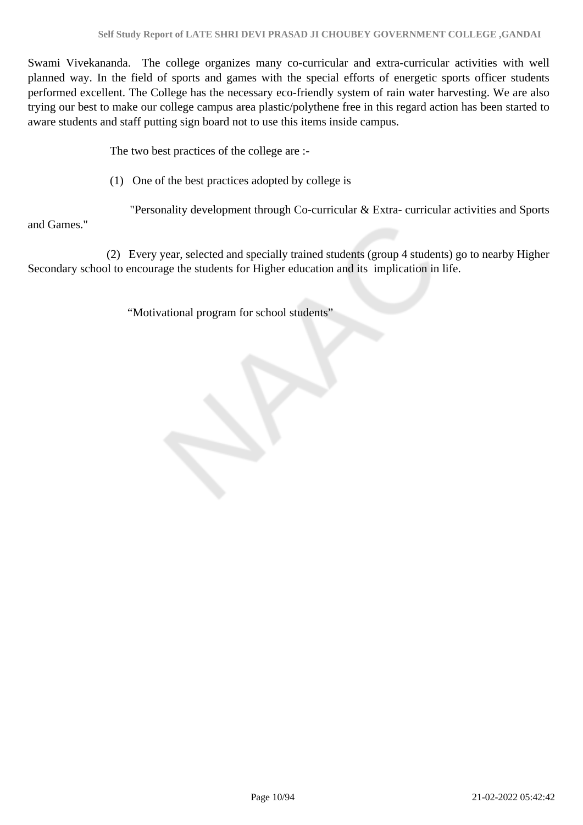Swami Vivekananda. The college organizes many co-curricular and extra-curricular activities with well planned way. In the field of sports and games with the special efforts of energetic sports officer students performed excellent. The College has the necessary eco-friendly system of rain water harvesting. We are also trying our best to make our college campus area plastic/polythene free in this regard action has been started to aware students and staff putting sign board not to use this items inside campus.

The two best practices of the college are :-

(1) One of the best practices adopted by college is

"Personality development through Co-curricular & Extra- curricular activities and Sports

and Games."

 (2) Every year, selected and specially trained students (group 4 students) go to nearby Higher Secondary school to encourage the students for Higher education and its implication in life.

"Motivational program for school students"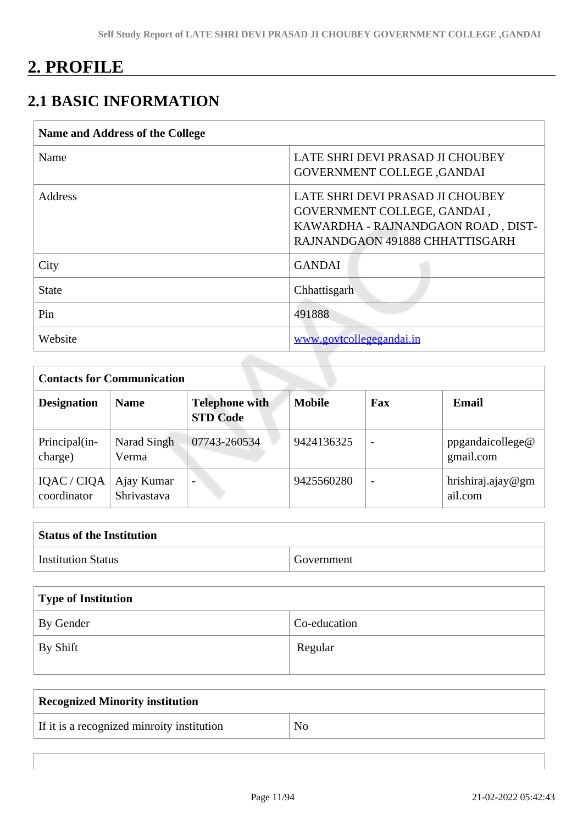# **2. PROFILE**

# **2.1 BASIC INFORMATION**

| <b>Name and Address of the College</b> |                                                                                                                                          |
|----------------------------------------|------------------------------------------------------------------------------------------------------------------------------------------|
| Name                                   | LATE SHRI DEVI PRASAD JI CHOUBEY<br><b>GOVERNMENT COLLEGE , GANDAI</b>                                                                   |
| Address                                | LATE SHRI DEVI PRASAD JI CHOUBEY<br>GOVERNMENT COLLEGE, GANDAI,<br>KAWARDHA - RAJNANDGAON ROAD, DIST-<br>RAJNANDGAON 491888 CHHATTISGARH |
| City                                   | <b>GANDAI</b>                                                                                                                            |
| <b>State</b>                           | Chhattisgarh                                                                                                                             |
| Pin                                    | 491888                                                                                                                                   |
| Website                                | www.govtcollegegandai.in                                                                                                                 |
|                                        |                                                                                                                                          |

| <b>Contacts for Communication</b> |                           |                                          |               |                          |                               |  |  |  |  |
|-----------------------------------|---------------------------|------------------------------------------|---------------|--------------------------|-------------------------------|--|--|--|--|
| <b>Designation</b>                | <b>Name</b>               | <b>Telephone with</b><br><b>STD Code</b> | <b>Mobile</b> | Fax                      | <b>Email</b>                  |  |  |  |  |
| Principal(in-<br>charge)          | Narad Singh<br>Verma      | 07743-260534                             | 9424136325    |                          | ppgandaicollege@<br>gmail.com |  |  |  |  |
| IQAC / CIQA<br>coordinator        | Ajay Kumar<br>Shrivastava | $\overline{\phantom{a}}$                 | 9425560280    | $\overline{\phantom{0}}$ | hrishiraj.ajay@gm<br>ail.com  |  |  |  |  |

| <b>Status of the Institution</b> |            |
|----------------------------------|------------|
| <b>Institution Status</b>        | Government |

| Type of Institution |              |
|---------------------|--------------|
| By Gender           | Co-education |
| $\perp$ By Shift    | Regular      |

| <b>Recognized Minority institution</b>     |                |  |  |
|--------------------------------------------|----------------|--|--|
| If it is a recognized minroity institution | N <sub>o</sub> |  |  |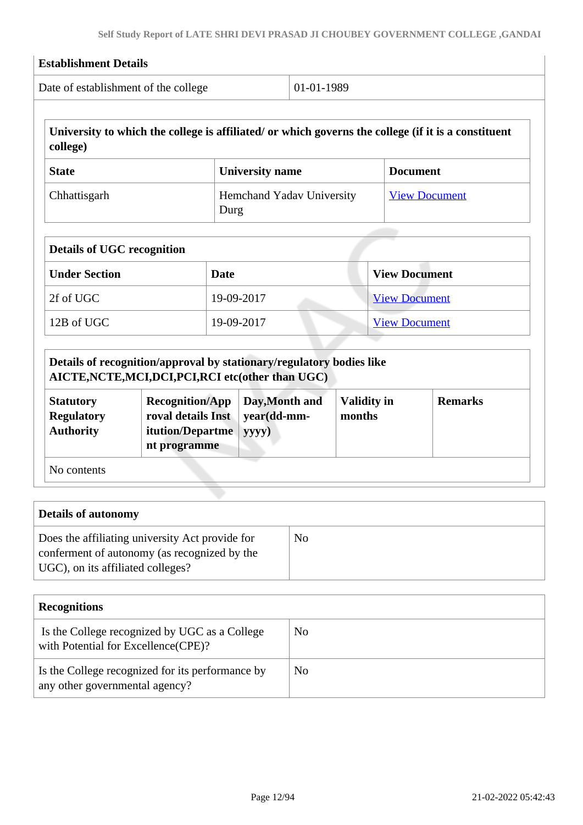| <b>Establishment Details</b>                                                                                                |                                                                                  |                                   |                                        |            |                      |                |  |
|-----------------------------------------------------------------------------------------------------------------------------|----------------------------------------------------------------------------------|-----------------------------------|----------------------------------------|------------|----------------------|----------------|--|
| Date of establishment of the college                                                                                        |                                                                                  |                                   |                                        | 01-01-1989 |                      |                |  |
| University to which the college is affiliated/ or which governs the college (if it is a constituent<br>college)             |                                                                                  |                                   |                                        |            |                      |                |  |
| <b>State</b>                                                                                                                | <b>University name</b><br><b>Document</b>                                        |                                   |                                        |            |                      |                |  |
| Chhattisgarh                                                                                                                |                                                                                  | Hemchand Yadav University<br>Durg |                                        |            | <b>View Document</b> |                |  |
| <b>Details of UGC recognition</b>                                                                                           |                                                                                  |                                   |                                        |            |                      |                |  |
| <b>Under Section</b>                                                                                                        |                                                                                  | <b>Date</b>                       |                                        |            | <b>View Document</b> |                |  |
| 2f of UGC                                                                                                                   |                                                                                  |                                   | 19-09-2017                             |            | <b>View Document</b> |                |  |
| 12B of UGC                                                                                                                  |                                                                                  |                                   | 19-09-2017                             |            | <b>View Document</b> |                |  |
|                                                                                                                             |                                                                                  |                                   |                                        |            |                      |                |  |
| Details of recognition/approval by stationary/regulatory bodies like<br>AICTE, NCTE, MCI, DCI, PCI, RCI etc(other than UGC) |                                                                                  |                                   |                                        |            |                      |                |  |
| <b>Statutory</b><br><b>Regulatory</b><br><b>Authority</b>                                                                   | <b>Recognition/App</b><br>roval details Inst<br>itution/Departme<br>nt programme |                                   | Day, Month and<br>year(dd-mm-<br>yyyy) | months     | <b>Validity in</b>   | <b>Remarks</b> |  |

No contents

| Details of autonomy                                                                                                                  |    |
|--------------------------------------------------------------------------------------------------------------------------------------|----|
| Does the affiliating university Act provide for<br>conferment of autonomy (as recognized by the<br>UGC), on its affiliated colleges? | No |

| <b>Recognitions</b>                                                                  |    |  |  |  |  |
|--------------------------------------------------------------------------------------|----|--|--|--|--|
| Is the College recognized by UGC as a College<br>with Potential for Excellence(CPE)? | No |  |  |  |  |
| Is the College recognized for its performance by<br>any other governmental agency?   | No |  |  |  |  |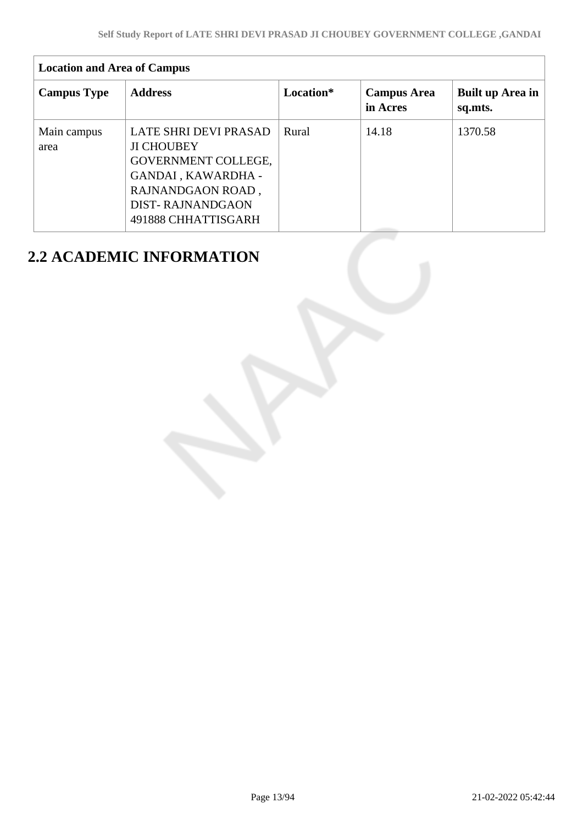| <b>Location and Area of Campus</b> |                                                                                                                                                                       |           |                                |                             |  |  |  |  |
|------------------------------------|-----------------------------------------------------------------------------------------------------------------------------------------------------------------------|-----------|--------------------------------|-----------------------------|--|--|--|--|
| <b>Campus Type</b>                 | <b>Address</b>                                                                                                                                                        | Location* | <b>Campus Area</b><br>in Acres | Built up Area in<br>sq.mts. |  |  |  |  |
| Main campus<br>area                | <b>LATE SHRI DEVI PRASAD</b><br><b>JI CHOUBEY</b><br>GOVERNMENT COLLEGE,<br>GANDAI, KAWARDHA -<br>RAJNANDGAON ROAD,<br><b>DIST-RAJNANDGAON</b><br>491888 CHHATTISGARH | Rural     | 14.18                          | 1370.58                     |  |  |  |  |

# **2.2 ACADEMIC INFORMATION**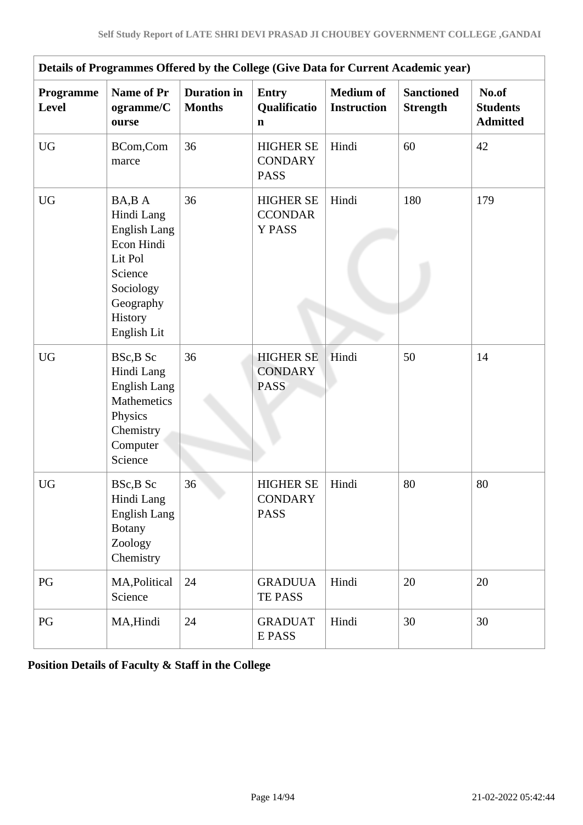| Details of Programmes Offered by the College (Give Data for Current Academic year) |                                                                                                                                     |                                     |                                                     |                                        |                                      |                                             |  |  |
|------------------------------------------------------------------------------------|-------------------------------------------------------------------------------------------------------------------------------------|-------------------------------------|-----------------------------------------------------|----------------------------------------|--------------------------------------|---------------------------------------------|--|--|
| Programme<br>Level                                                                 | <b>Name of Pr</b><br>ogramme/C<br>ourse                                                                                             | <b>Duration</b> in<br><b>Months</b> | <b>Entry</b><br>Qualificatio<br>$\mathbf n$         | <b>Medium of</b><br><b>Instruction</b> | <b>Sanctioned</b><br><b>Strength</b> | No.of<br><b>Students</b><br><b>Admitted</b> |  |  |
| <b>UG</b>                                                                          | BCom,Com<br>marce                                                                                                                   | 36                                  | <b>HIGHER SE</b><br><b>CONDARY</b><br><b>PASS</b>   | Hindi                                  | 60                                   | 42                                          |  |  |
| <b>UG</b>                                                                          | BA, BA<br>Hindi Lang<br><b>English Lang</b><br>Econ Hindi<br>Lit Pol<br>Science<br>Sociology<br>Geography<br>History<br>English Lit | 36                                  | <b>HIGHER SE</b><br><b>CCONDAR</b><br><b>Y PASS</b> | Hindi                                  | 180                                  | 179                                         |  |  |
| <b>UG</b>                                                                          | BSc, BSc<br>Hindi Lang<br><b>English Lang</b><br>Mathemetics<br>Physics<br>Chemistry<br>Computer<br>Science                         | 36                                  | <b>HIGHER SE</b><br><b>CONDARY</b><br><b>PASS</b>   | Hindi                                  | 50                                   | 14                                          |  |  |
| <b>UG</b>                                                                          | BSc, BSc<br>Hindi Lang<br>English Lang<br><b>Botany</b><br>Zoology<br>Chemistry                                                     | 36                                  | <b>HIGHER SE</b><br><b>CONDARY</b><br><b>PASS</b>   | Hindi                                  | 80                                   | 80                                          |  |  |
| PG                                                                                 | MA, Political<br>Science                                                                                                            | 24                                  | <b>GRADUUA</b><br><b>TE PASS</b>                    | Hindi                                  | 20                                   | 20                                          |  |  |
| PG                                                                                 | MA, Hindi                                                                                                                           | 24                                  | <b>GRADUAT</b><br>E PASS                            | Hindi                                  | 30                                   | 30                                          |  |  |

**Position Details of Faculty & Staff in the College**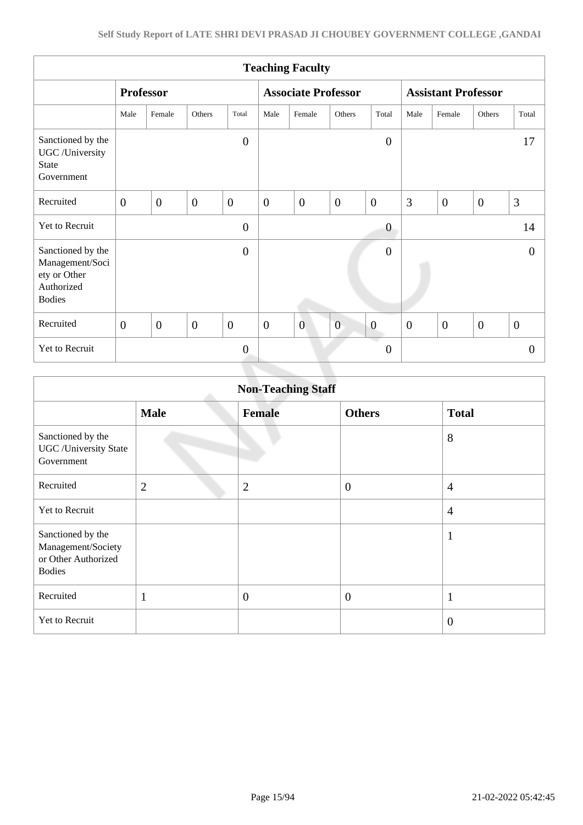| <b>Teaching Faculty</b>                                                             |                  |                |                |                            |                  |                |                |                            |                  |              |                |                |
|-------------------------------------------------------------------------------------|------------------|----------------|----------------|----------------------------|------------------|----------------|----------------|----------------------------|------------------|--------------|----------------|----------------|
|                                                                                     | <b>Professor</b> |                |                | <b>Associate Professor</b> |                  |                |                | <b>Assistant Professor</b> |                  |              |                |                |
|                                                                                     | Male             | Female         | Others         | Total                      | Male             | Female         | Others         | Total                      | Male             | Female       | Others         | Total          |
| Sanctioned by the<br>UGC /University<br><b>State</b><br>Government                  |                  |                |                | $\overline{0}$             |                  |                |                | $\overline{0}$             |                  |              |                | 17             |
| Recruited                                                                           | $\overline{0}$   | $\mathbf{0}$   | $\overline{0}$ | $\overline{0}$             | $\boldsymbol{0}$ | $\overline{0}$ | $\overline{0}$ | $\overline{0}$             | 3                | $\theta$     | $\overline{0}$ | 3              |
| Yet to Recruit                                                                      |                  |                |                | $\overline{0}$             |                  |                |                | $\overline{0}$             |                  |              |                | 14             |
| Sanctioned by the<br>Management/Soci<br>ety or Other<br>Authorized<br><b>Bodies</b> |                  |                |                | $\overline{0}$             |                  |                |                | $\overline{0}$             |                  |              |                | $\theta$       |
| Recruited                                                                           | $\boldsymbol{0}$ | $\overline{0}$ | $\overline{0}$ | $\overline{0}$             | $\overline{0}$   | $\overline{0}$ | $\overline{0}$ | $\overline{0}$             | $\boldsymbol{0}$ | $\mathbf{0}$ | $\overline{0}$ | $\overline{0}$ |
| Yet to Recruit                                                                      |                  |                |                | $\overline{0}$             |                  |                |                | $\overline{0}$             |                  |              |                | $\theta$       |

| <b>Non-Teaching Staff</b>                                                       |                |                |                |                |  |  |  |
|---------------------------------------------------------------------------------|----------------|----------------|----------------|----------------|--|--|--|
|                                                                                 | <b>Male</b>    | <b>Female</b>  | <b>Others</b>  | <b>Total</b>   |  |  |  |
| Sanctioned by the<br><b>UGC</b> / University State<br>Government                |                |                |                | 8              |  |  |  |
| Recruited                                                                       | $\overline{2}$ | $\overline{2}$ | $\overline{0}$ | $\overline{4}$ |  |  |  |
| Yet to Recruit                                                                  |                |                |                | $\overline{4}$ |  |  |  |
| Sanctioned by the<br>Management/Society<br>or Other Authorized<br><b>Bodies</b> |                |                |                | $\mathbf{1}$   |  |  |  |
| Recruited                                                                       | $\mathbf{1}$   | $\mathbf{0}$   | $\overline{0}$ | $\mathbf{1}$   |  |  |  |
| Yet to Recruit                                                                  |                |                |                | $\overline{0}$ |  |  |  |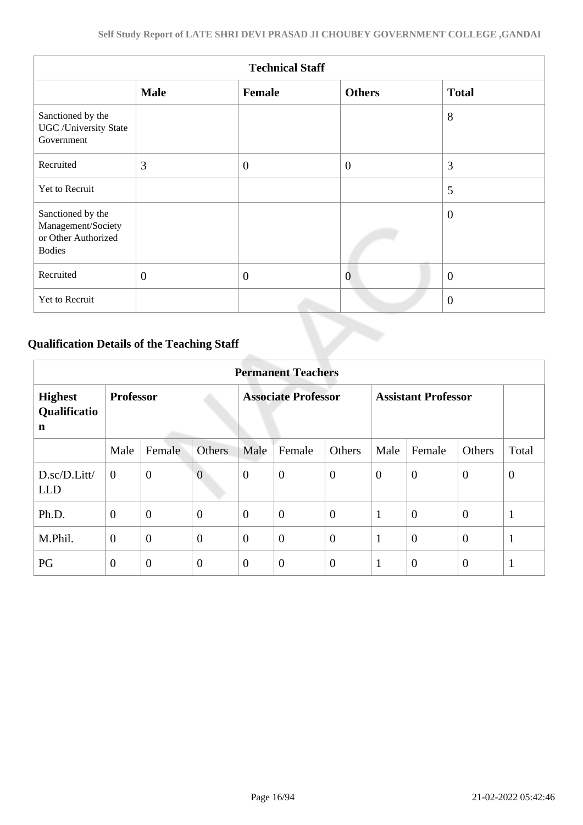| <b>Technical Staff</b>                                                          |              |                |               |              |  |  |  |
|---------------------------------------------------------------------------------|--------------|----------------|---------------|--------------|--|--|--|
|                                                                                 | <b>Male</b>  | Female         | <b>Others</b> | <b>Total</b> |  |  |  |
| Sanctioned by the<br>UGC / University State<br>Government                       |              |                |               | 8            |  |  |  |
| Recruited                                                                       | 3            | $\overline{0}$ | $\mathbf{0}$  | 3            |  |  |  |
| Yet to Recruit                                                                  |              |                |               | 5            |  |  |  |
| Sanctioned by the<br>Management/Society<br>or Other Authorized<br><b>Bodies</b> |              |                |               | $\theta$     |  |  |  |
| Recruited                                                                       | $\mathbf{0}$ | $\overline{0}$ | $\mathbf{0}$  | $\theta$     |  |  |  |
| Yet to Recruit                                                                  |              |                |               | $\theta$     |  |  |  |

# **Qualification Details of the Teaching Staff**

|                                     | <b>Permanent Teachers</b> |                |                            |                |                            |                |          |                |                |              |
|-------------------------------------|---------------------------|----------------|----------------------------|----------------|----------------------------|----------------|----------|----------------|----------------|--------------|
| <b>Highest</b><br>Qualificatio<br>n | <b>Professor</b>          |                | <b>Associate Professor</b> |                | <b>Assistant Professor</b> |                |          |                |                |              |
|                                     | Male                      | Female         | <b>Others</b>              | Male           | Female                     | Others         | Male     | Female         | Others         | Total        |
| D.sc/D.Litt/<br><b>LLD</b>          | $\overline{0}$            | $\overline{0}$ | $\overline{0}$             | $\mathbf{0}$   | $\boldsymbol{0}$           | $\overline{0}$ | $\theta$ | $\overline{0}$ | $\overline{0}$ | $\mathbf{0}$ |
| Ph.D.                               | $\overline{0}$            | $\overline{0}$ | $\overline{0}$             | $\overline{0}$ | $\overline{0}$             | $\theta$       | 1        | $\overline{0}$ | $\overline{0}$ | $\mathbf{1}$ |
| M.Phil.                             | $\boldsymbol{0}$          | $\overline{0}$ | $\overline{0}$             | $\overline{0}$ | $\overline{0}$             | $\overline{0}$ | 1        | $\overline{0}$ | $\overline{0}$ | $\mathbf{1}$ |
| PG                                  | $\overline{0}$            | $\overline{0}$ | $\overline{0}$             | $\overline{0}$ | $\overline{0}$             | $\overline{0}$ |          | $\theta$       | $\overline{0}$ | $\mathbf{1}$ |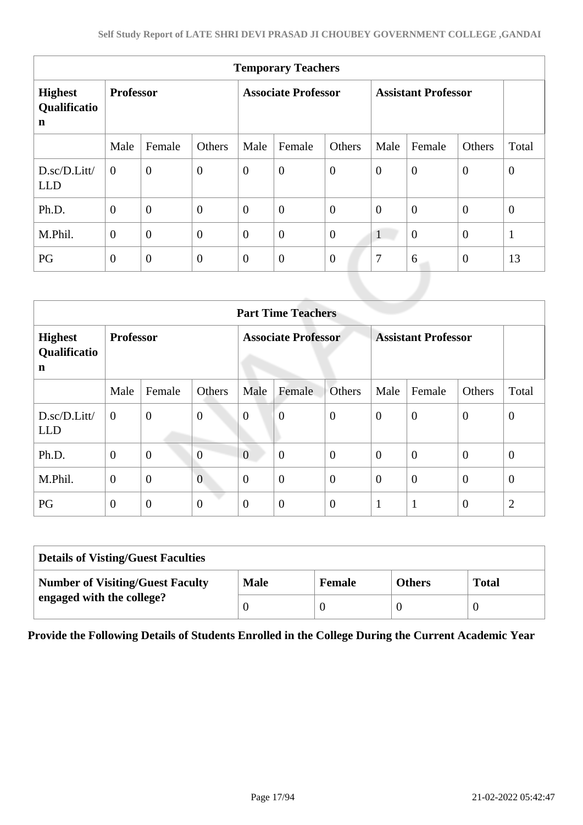| <b>Temporary Teachers</b>                     |                  |                |                            |                  |                  |                            |                |              |                |                |
|-----------------------------------------------|------------------|----------------|----------------------------|------------------|------------------|----------------------------|----------------|--------------|----------------|----------------|
| <b>Highest</b><br>Qualificatio<br>$\mathbf n$ | <b>Professor</b> |                | <b>Associate Professor</b> |                  |                  | <b>Assistant Professor</b> |                |              |                |                |
|                                               | Male             | Female         | Others                     | Male             | Female           | Others                     | Male           | Female       | Others         | Total          |
| $D.\text{sc}/D.\text{Litt}$<br><b>LLD</b>     | $\overline{0}$   | $\overline{0}$ | $\theta$                   | $\boldsymbol{0}$ | $\boldsymbol{0}$ | $\theta$                   | $\overline{0}$ | $\mathbf{0}$ | $\mathbf{0}$   | $\overline{0}$ |
| Ph.D.                                         | $\overline{0}$   | $\overline{0}$ | $\overline{0}$             | $\mathbf{0}$     | $\overline{0}$   | $\overline{0}$             | $\overline{0}$ | $\mathbf{0}$ | $\mathbf{0}$   | $\mathbf{0}$   |
| M.Phil.                                       | $\overline{0}$   | $\overline{0}$ | $\overline{0}$             | $\mathbf{0}$     | $\overline{0}$   | $\mathbf{0}$               | $\mathbf{1}$   | $\mathbf{0}$ | $\overline{0}$ | $\mathbf{1}$   |
| PG                                            | $\overline{0}$   | $\overline{0}$ | $\theta$                   | $\overline{0}$   | $\overline{0}$   | $\mathbf{0}$               | $\tau$         | 6            | $\overline{0}$ | 13             |
|                                               |                  |                |                            |                  |                  |                            |                |              |                |                |

|                                     | <b>Part Time Teachers</b> |                |                            |                |                            |                |                |                  |                |                |
|-------------------------------------|---------------------------|----------------|----------------------------|----------------|----------------------------|----------------|----------------|------------------|----------------|----------------|
| <b>Highest</b><br>Qualificatio<br>n | <b>Professor</b>          |                | <b>Associate Professor</b> |                | <b>Assistant Professor</b> |                |                |                  |                |                |
|                                     | Male                      | Female         | Others                     | Male           | Female                     | Others         | Male           | Female           | Others         | Total          |
| D.sc/D.Litt/<br><b>LLD</b>          | $\overline{0}$            | $\overline{0}$ | $\boldsymbol{0}$           | $\overline{0}$ | $\overline{0}$             | $\overline{0}$ | $\overline{0}$ | $\overline{0}$   | $\theta$       | $\mathbf{0}$   |
| Ph.D.                               | $\mathbf{0}$              | $\overline{0}$ | $\overline{0}$             | $\overline{0}$ | $\overline{0}$             | $\overline{0}$ | $\theta$       | $\boldsymbol{0}$ | $\overline{0}$ | $\overline{0}$ |
| M.Phil.                             | $\mathbf{0}$              | $\overline{0}$ | $\overline{0}$             | $\overline{0}$ | $\overline{0}$             | $\overline{0}$ | $\overline{0}$ | $\overline{0}$   | $\theta$       | $\theta$       |
| PG                                  | $\mathbf{0}$              | $\mathbf{0}$   | $\boldsymbol{0}$           | $\overline{0}$ | $\boldsymbol{0}$           | $\theta$       | 1              | $\mathbf{1}$     | $\overline{0}$ | $\overline{2}$ |

| <b>Details of Visting/Guest Faculties</b> |             |               |               |              |  |  |
|-------------------------------------------|-------------|---------------|---------------|--------------|--|--|
| <b>Number of Visiting/Guest Faculty</b>   | <b>Male</b> | <b>Female</b> | <b>Others</b> | <b>Total</b> |  |  |
| engaged with the college?                 |             |               |               |              |  |  |

**Provide the Following Details of Students Enrolled in the College During the Current Academic Year**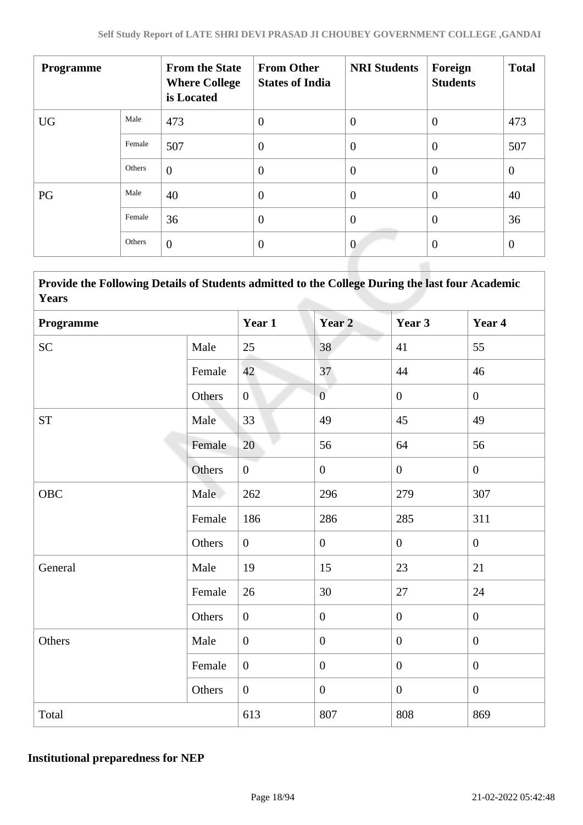| <b>Programme</b> |        | <b>From the State</b><br><b>Where College</b><br>is Located | <b>From Other</b><br><b>States of India</b> | <b>NRI Students</b> | Foreign<br><b>Students</b> | <b>Total</b>   |
|------------------|--------|-------------------------------------------------------------|---------------------------------------------|---------------------|----------------------------|----------------|
| <b>UG</b>        | Male   | 473                                                         | $\theta$                                    | $\overline{0}$      | $\overline{0}$             | 473            |
|                  | Female | 507                                                         | $\theta$                                    | $\overline{0}$      | $\theta$                   | 507            |
|                  | Others | $\overline{0}$                                              | $\overline{0}$                              | $\overline{0}$      | $\overline{0}$             | $\overline{0}$ |
| PG               | Male   | 40                                                          | $\overline{0}$                              | $\overline{0}$      | $\overline{0}$             | 40             |
|                  | Female | 36                                                          | $\overline{0}$                              | $\overline{0}$      | $\overline{0}$             | 36             |
|                  | Others | $\overline{0}$                                              | $\overline{0}$                              | $\overline{0}$      | $\overline{0}$             | $\overline{0}$ |

 **Provide the Following Details of Students admitted to the College During the last four Academic Years**

| Programme          |        | Year 1           | Year <sub>2</sub> | Year 3         | Year 4           |
|--------------------|--------|------------------|-------------------|----------------|------------------|
| <b>SC</b>          | Male   | 25               | 38                | 41             | 55               |
|                    | Female | 42               | 37                | 44             | 46               |
|                    | Others | $\overline{0}$   | $\overline{0}$    | $\overline{0}$ | $\boldsymbol{0}$ |
| ${\cal S}{\cal T}$ | Male   | 33               | 49                | 45             | 49               |
|                    | Female | 20               | 56                | 64             | 56               |
|                    | Others | $\overline{0}$   | $\boldsymbol{0}$  | $\overline{0}$ | $\overline{0}$   |
| <b>OBC</b>         | Male   | 262              | 296               | 279            | 307              |
|                    | Female | 186              | 286               | 285            | 311              |
|                    | Others | $\overline{0}$   | $\boldsymbol{0}$  | $\overline{0}$ | $\boldsymbol{0}$ |
| General            | Male   | 19               | 15                | 23             | 21               |
|                    | Female | 26               | 30                | 27             | 24               |
|                    | Others | $\overline{0}$   | $\boldsymbol{0}$  | $\overline{0}$ | $\overline{0}$   |
| Others             | Male   | $\boldsymbol{0}$ | $\boldsymbol{0}$  | $\overline{0}$ | $\overline{0}$   |
|                    | Female | $\overline{0}$   | $\boldsymbol{0}$  | $\overline{0}$ | $\overline{0}$   |
|                    | Others | $\overline{0}$   | $\boldsymbol{0}$  | $\overline{0}$ | $\boldsymbol{0}$ |
| Total              |        | 613              | 807               | 808            | 869              |

# **Institutional preparedness for NEP**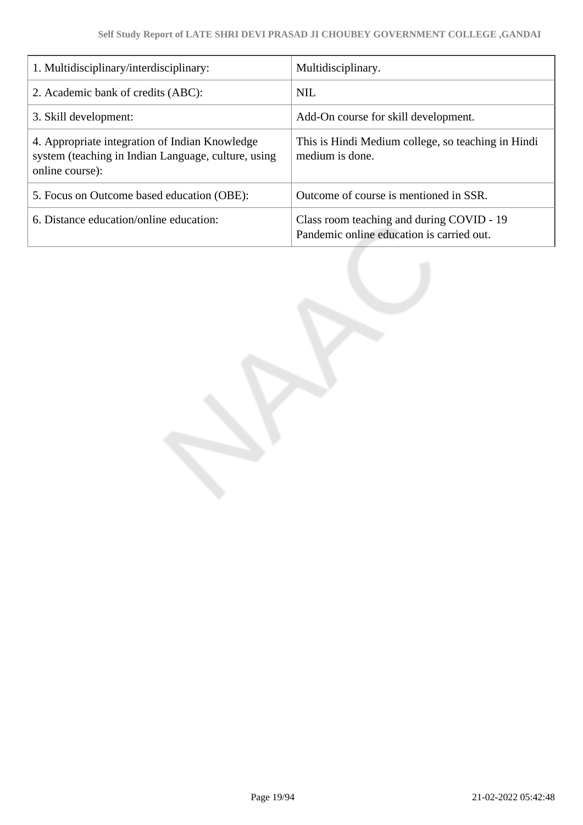| 1. Multidisciplinary/interdisciplinary:                                                                                  | Multidisciplinary.                                                                     |
|--------------------------------------------------------------------------------------------------------------------------|----------------------------------------------------------------------------------------|
| 2. Academic bank of credits (ABC):                                                                                       | <b>NIL</b>                                                                             |
| 3. Skill development:                                                                                                    | Add-On course for skill development.                                                   |
| 4. Appropriate integration of Indian Knowledge<br>system (teaching in Indian Language, culture, using<br>online course): | This is Hindi Medium college, so teaching in Hindi<br>medium is done.                  |
| 5. Focus on Outcome based education (OBE):                                                                               | Outcome of course is mentioned in SSR.                                                 |
| 6. Distance education/online education:                                                                                  | Class room teaching and during COVID - 19<br>Pandemic online education is carried out. |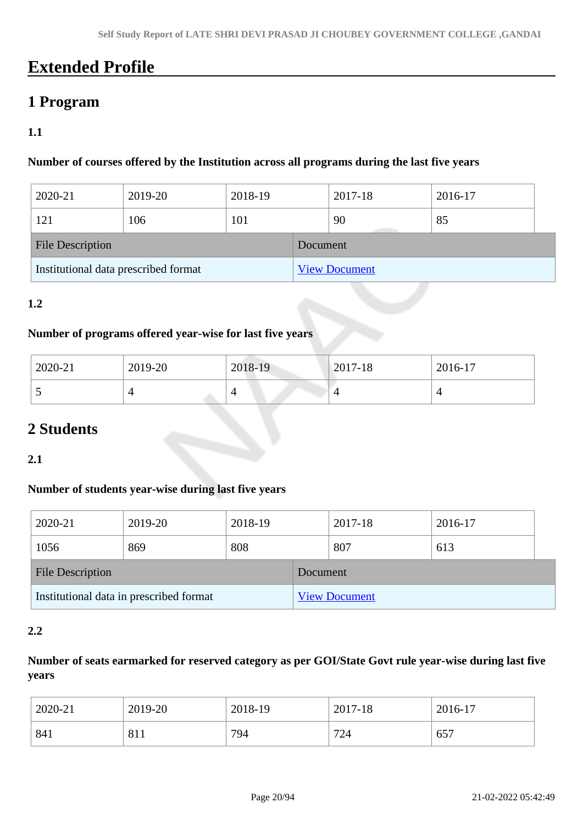# **Extended Profile**

# **1 Program**

# **1.1**

### **Number of courses offered by the Institution across all programs during the last five years**

| 2020-21                              | 2019-20 | 2018-19 |                      | 2017-18 | 2016-17 |  |  |
|--------------------------------------|---------|---------|----------------------|---------|---------|--|--|
| 121                                  | 106     | 101     |                      | 90      | 85      |  |  |
| <b>File Description</b>              |         |         | Document             |         |         |  |  |
| Institutional data prescribed format |         |         | <b>View Document</b> |         |         |  |  |

# **1.2**

### **Number of programs offered year-wise for last five years**

| 2020-21 | 2019-20 | 2018-19 | $ 2017 - 18 $ | 2016-17 |
|---------|---------|---------|---------------|---------|
| ັ       |         |         |               |         |

# **2 Students**

#### **2.1**

# **Number of students year-wise during last five years**

| 2020-21                                 | 2019-20 | 2018-19 |                      | 2017-18 | 2016-17 |  |
|-----------------------------------------|---------|---------|----------------------|---------|---------|--|
| 1056                                    | 869     | 808     |                      | 807     | 613     |  |
| <b>File Description</b>                 |         |         | Document             |         |         |  |
| Institutional data in prescribed format |         |         | <b>View Document</b> |         |         |  |

### **2.2**

# **Number of seats earmarked for reserved category as per GOI/State Govt rule year-wise during last five years**

| 2020-21 | 2019-20 | 2018-19 | 2017-18 | 2016-17 |
|---------|---------|---------|---------|---------|
| 841     | 811     | 794     | 724     | 657     |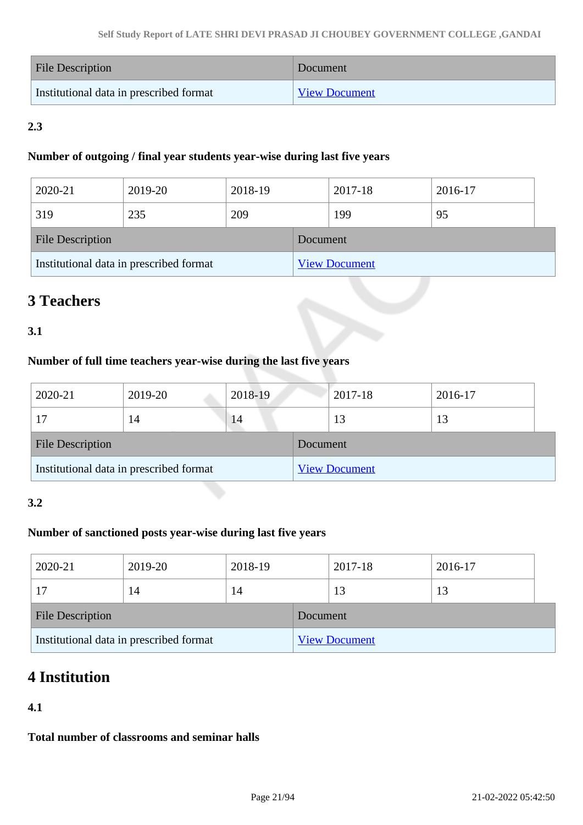| <b>File Description</b>                 | Document             |
|-----------------------------------------|----------------------|
| Institutional data in prescribed format | <b>View Document</b> |

# **2.3**

# **Number of outgoing / final year students year-wise during last five years**

| 2020-21                                 | 2019-20 | 2018-19 |                      | 2017-18 | 2016-17 |  |
|-----------------------------------------|---------|---------|----------------------|---------|---------|--|
| 319                                     | 235     | 209     |                      | 199     | 95      |  |
| <b>File Description</b>                 |         |         | Document             |         |         |  |
| Institutional data in prescribed format |         |         | <b>View Document</b> |         |         |  |

# **3 Teachers**

# **3.1**

# **Number of full time teachers year-wise during the last five years**

| 2020-21                                 | 2019-20 | 2018-19 |                      | 2017-18 | 2016-17 |
|-----------------------------------------|---------|---------|----------------------|---------|---------|
| 17                                      | 14      | 14      |                      | 13      | 13      |
| <b>File Description</b>                 |         |         | Document             |         |         |
| Institutional data in prescribed format |         |         | <b>View Document</b> |         |         |

# **3.2**

# **Number of sanctioned posts year-wise during last five years**

| 2020-21                                 | 2019-20 | 2018-19  |                      | 2017-18 |  | 2016-17 |  |
|-----------------------------------------|---------|----------|----------------------|---------|--|---------|--|
|                                         | 14      | 14       |                      | 13      |  | 13      |  |
| <b>File Description</b>                 |         | Document |                      |         |  |         |  |
| Institutional data in prescribed format |         |          | <b>View Document</b> |         |  |         |  |

# **4 Institution**

# **4.1**

**Total number of classrooms and seminar halls**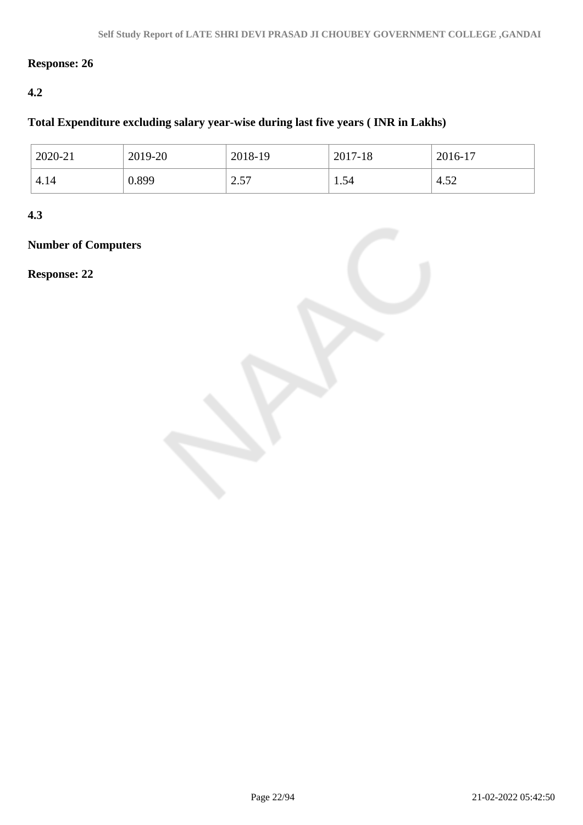# **Response: 26**

# **4.2**

# **Total Expenditure excluding salary year-wise during last five years ( INR in Lakhs)**

| 2020-21 | 2019-20 | 2018-19                     | 2017-18 | $2016-17$         |
|---------|---------|-----------------------------|---------|-------------------|
| 4.14    | 0.899   | $\gamma$ $\varsigma$<br>ا ت | 1.54    | 50<br>$4.5\angle$ |

**4.3**

# **Number of Computers**

**Response: 22**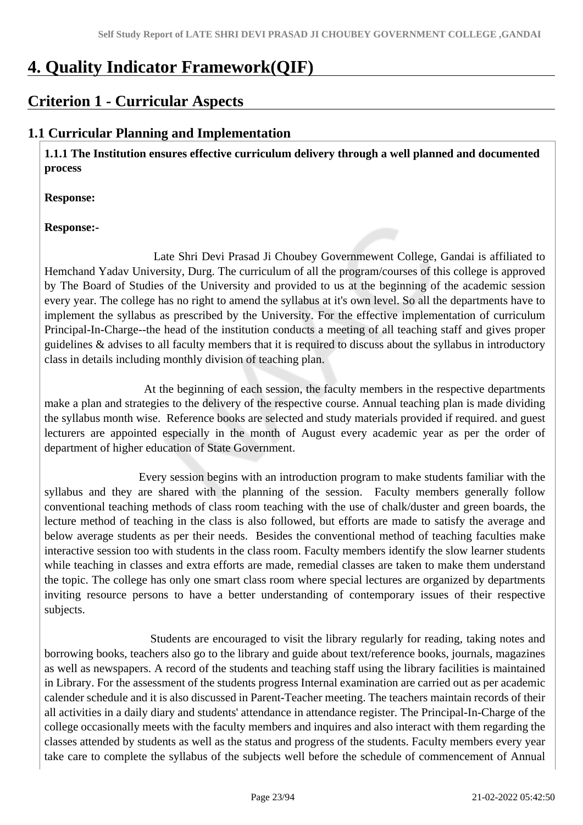# **4. Quality Indicator Framework(QIF)**

# **Criterion 1 - Curricular Aspects**

# **1.1 Curricular Planning and Implementation**

 **1.1.1 The Institution ensures effective curriculum delivery through a well planned and documented process**

**Response:** 

**Response:-**

 Late Shri Devi Prasad Ji Choubey Governmewent College, Gandai is affiliated to Hemchand Yadav University, Durg. The curriculum of all the program/courses of this college is approved by The Board of Studies of the University and provided to us at the beginning of the academic session every year. The college has no right to amend the syllabus at it's own level. So all the departments have to implement the syllabus as prescribed by the University. For the effective implementation of curriculum Principal-In-Charge--the head of the institution conducts a meeting of all teaching staff and gives proper guidelines & advises to all faculty members that it is required to discuss about the syllabus in introductory class in details including monthly division of teaching plan.

At the beginning of each session, the faculty members in the respective departments make a plan and strategies to the delivery of the respective course. Annual teaching plan is made dividing the syllabus month wise. Reference books are selected and study materials provided if required. and guest lecturers are appointed especially in the month of August every academic year as per the order of department of higher education of State Government.

 Every session begins with an introduction program to make students familiar with the syllabus and they are shared with the planning of the session. Faculty members generally follow conventional teaching methods of class room teaching with the use of chalk/duster and green boards, the lecture method of teaching in the class is also followed, but efforts are made to satisfy the average and below average students as per their needs. Besides the conventional method of teaching faculties make interactive session too with students in the class room. Faculty members identify the slow learner students while teaching in classes and extra efforts are made, remedial classes are taken to make them understand the topic. The college has only one smart class room where special lectures are organized by departments inviting resource persons to have a better understanding of contemporary issues of their respective subjects.

 Students are encouraged to visit the library regularly for reading, taking notes and borrowing books, teachers also go to the library and guide about text/reference books, journals, magazines as well as newspapers. A record of the students and teaching staff using the library facilities is maintained in Library. For the assessment of the students progress Internal examination are carried out as per academic calender schedule and it is also discussed in Parent-Teacher meeting. The teachers maintain records of their all activities in a daily diary and students' attendance in attendance register. The Principal-In-Charge of the college occasionally meets with the faculty members and inquires and also interact with them regarding the classes attended by students as well as the status and progress of the students. Faculty members every year take care to complete the syllabus of the subjects well before the schedule of commencement of Annual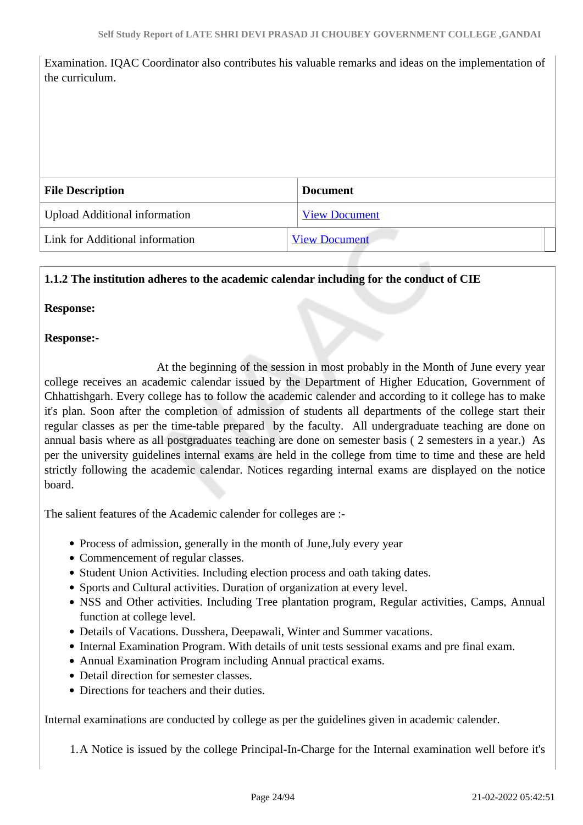Examination. IQAC Coordinator also contributes his valuable remarks and ideas on the implementation of the curriculum.

| <b>File Description</b>              | <b>Document</b>      |
|--------------------------------------|----------------------|
| <b>Upload Additional information</b> | <b>View Document</b> |
| Link for Additional information      | <b>View Document</b> |

#### **1.1.2 The institution adheres to the academic calendar including for the conduct of CIE**

#### **Response:**

#### **Response:-**

 At the beginning of the session in most probably in the Month of June every year college receives an academic calendar issued by the Department of Higher Education, Government of Chhattishgarh. Every college has to follow the academic calender and according to it college has to make it's plan. Soon after the completion of admission of students all departments of the college start their regular classes as per the time-table prepared by the faculty. All undergraduate teaching are done on annual basis where as all postgraduates teaching are done on semester basis ( 2 semesters in a year.) As per the university guidelines internal exams are held in the college from time to time and these are held strictly following the academic calendar. Notices regarding internal exams are displayed on the notice board.

The salient features of the Academic calender for colleges are :-

- Process of admission, generally in the month of June, July every year
- Commencement of regular classes.
- Student Union Activities. Including election process and oath taking dates.
- Sports and Cultural activities. Duration of organization at every level.
- NSS and Other activities. Including Tree plantation program, Regular activities, Camps, Annual function at college level.
- Details of Vacations. Dusshera, Deepawali, Winter and Summer vacations.
- Internal Examination Program. With details of unit tests sessional exams and pre final exam.
- Annual Examination Program including Annual practical exams.
- Detail direction for semester classes.
- Directions for teachers and their duties.

Internal examinations are conducted by college as per the guidelines given in academic calender.

1.A Notice is issued by the college Principal-In-Charge for the Internal examination well before it's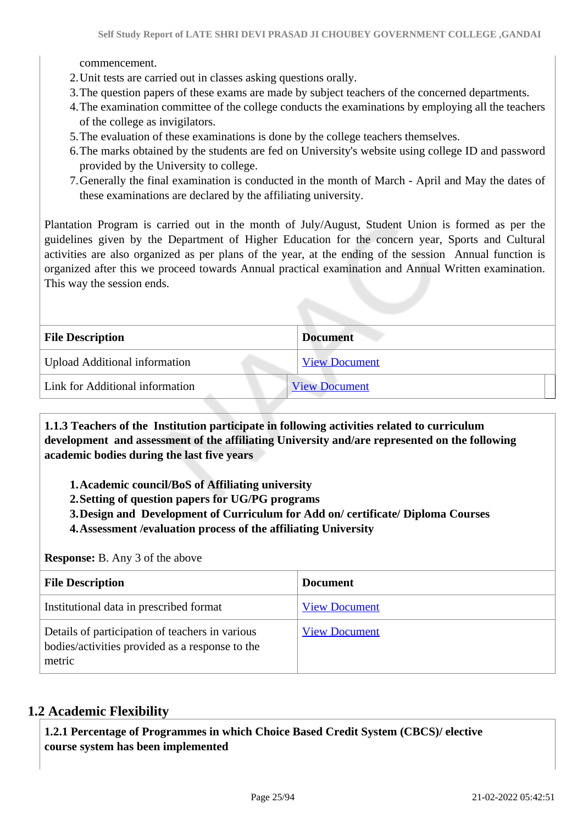commencement.

- 2.Unit tests are carried out in classes asking questions orally.
- 3.The question papers of these exams are made by subject teachers of the concerned departments.
- 4.The examination committee of the college conducts the examinations by employing all the teachers of the college as invigilators.
- 5.The evaluation of these examinations is done by the college teachers themselves.
- 6.The marks obtained by the students are fed on University's website using college ID and password provided by the University to college.
- 7.Generally the final examination is conducted in the month of March April and May the dates of these examinations are declared by the affiliating university.

Plantation Program is carried out in the month of July/August, Student Union is formed as per the guidelines given by the Department of Higher Education for the concern year, Sports and Cultural activities are also organized as per plans of the year, at the ending of the session Annual function is organized after this we proceed towards Annual practical examination and Annual Written examination. This way the session ends.

| <b>File Description</b>              | <b>Document</b>      |
|--------------------------------------|----------------------|
| <b>Upload Additional information</b> | <b>View Document</b> |
| Link for Additional information      | <b>View Document</b> |

 **1.1.3 Teachers of the Institution participate in following activities related to curriculum development and assessment of the affiliating University and/are represented on the following academic bodies during the last five years** 

**1.Academic council/BoS of Affiliating university**

- **2.Setting of question papers for UG/PG programs**
- **3.Design and Development of Curriculum for Add on/ certificate/ Diploma Courses**
- **4.Assessment /evaluation process of the affiliating University**

**Response:** B. Any 3 of the above

| <b>File Description</b>                                                                                      | <b>Document</b>      |
|--------------------------------------------------------------------------------------------------------------|----------------------|
| Institutional data in prescribed format                                                                      | <b>View Document</b> |
| Details of participation of teachers in various<br>bodies/activities provided as a response to the<br>metric | <b>View Document</b> |

# **1.2 Academic Flexibility**

 **1.2.1 Percentage of Programmes in which Choice Based Credit System (CBCS)/ elective course system has been implemented**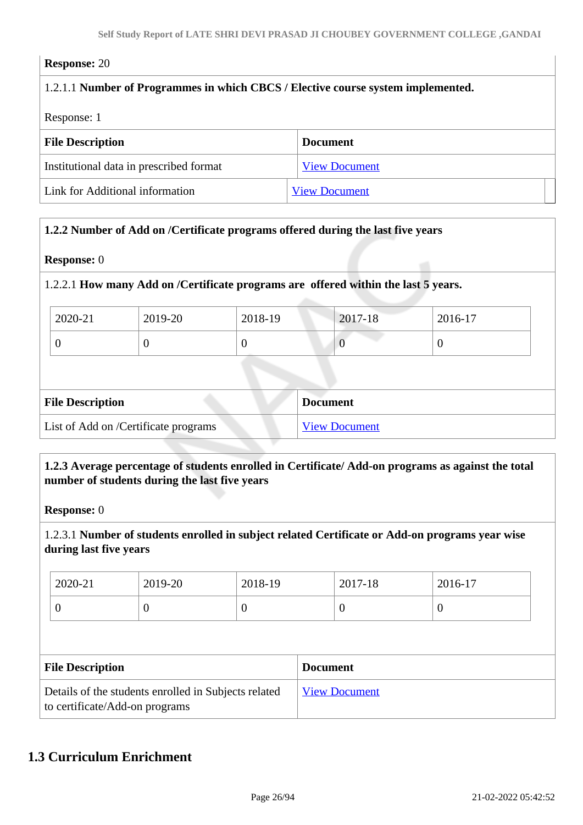#### **Response:** 20

# 1.2.1.1 **Number of Programmes in which CBCS / Elective course system implemented.**

Response: 1

| <b>File Description</b>                 | <b>Document</b>      |
|-----------------------------------------|----------------------|
| Institutional data in prescribed format | <b>View Document</b> |
| Link for Additional information         | <b>View Document</b> |

# **1.2.2 Number of Add on /Certificate programs offered during the last five years Response:** 0 1.2.2.1 **How many Add on /Certificate programs are offered within the last 5 years.** 2020-21 2019-20 2018-19 2017-18 2016-17  $0$  0 0 0 **File Description Document** List of Add on /Certificate programs [View Document](https://assessmentonline.naac.gov.in/storage/app/hei/SSR/109112/1.2.2_1642159553_6961.xlsx)

# **1.2.3 Average percentage of students enrolled in Certificate/ Add-on programs as against the total number of students during the last five years**

**Response:** 0

# 1.2.3.1 **Number of students enrolled in subject related Certificate or Add-on programs year wise during last five years**

| <b>File Description</b> |         |         | <b>Document</b> |          |  |
|-------------------------|---------|---------|-----------------|----------|--|
|                         |         |         |                 |          |  |
| U                       | ν       | U       | υ               | $\theta$ |  |
| 2020-21                 | 2019-20 | 2018-19 | 2017-18         | 2016-17  |  |

| $\sim$ 2.1.0 $\omega$ 0.000 mp 0.011                                                   | $\sim$ $\sim$ $\sim$ $\sim$ $\sim$ $\sim$ $\sim$ |
|----------------------------------------------------------------------------------------|--------------------------------------------------|
| Details of the students enrolled in Subjects related<br>to certificate/Add-on programs | <u>View Document</u>                             |
|                                                                                        |                                                  |

# **1.3 Curriculum Enrichment**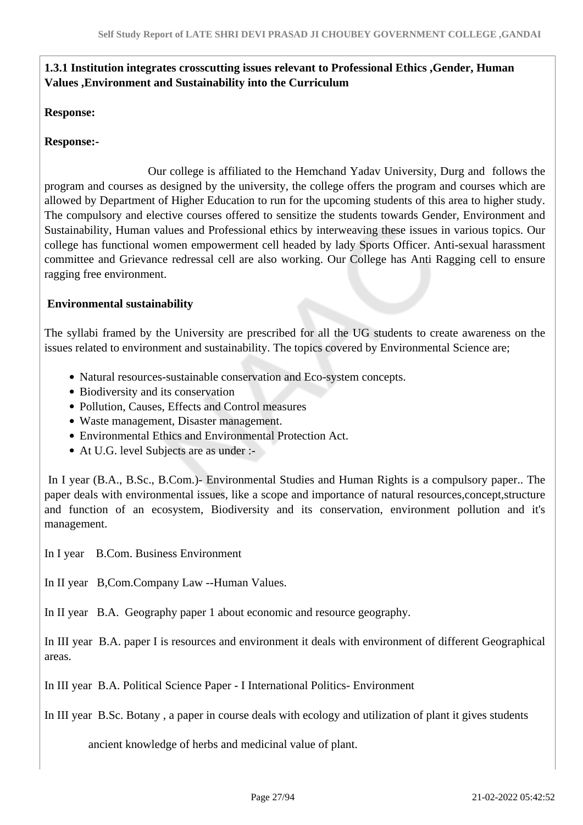# **1.3.1 Institution integrates crosscutting issues relevant to Professional Ethics ,Gender, Human Values ,Environment and Sustainability into the Curriculum**

# **Response:**

### **Response:-**

 Our college is affiliated to the Hemchand Yadav University, Durg and follows the program and courses as designed by the university, the college offers the program and courses which are allowed by Department of Higher Education to run for the upcoming students of this area to higher study. The compulsory and elective courses offered to sensitize the students towards Gender, Environment and Sustainability, Human values and Professional ethics by interweaving these issues in various topics. Our college has functional women empowerment cell headed by lady Sports Officer. Anti-sexual harassment committee and Grievance redressal cell are also working. Our College has Anti Ragging cell to ensure ragging free environment.

### **Environmental sustainability**

The syllabi framed by the University are prescribed for all the UG students to create awareness on the issues related to environment and sustainability. The topics covered by Environmental Science are;

- Natural resources-sustainable conservation and Eco-system concepts.
- Biodiversity and its conservation
- Pollution, Causes, Effects and Control measures
- Waste management, Disaster management.
- Environmental Ethics and Environmental Protection Act.
- At U.G. level Subjects are as under :-

 In I year (B.A., B.Sc., B.Com.)- Environmental Studies and Human Rights is a compulsory paper.. The paper deals with environmental issues, like a scope and importance of natural resources,concept,structure and function of an ecosystem, Biodiversity and its conservation, environment pollution and it's management.

In I year B.Com. Business Environment

In II year B,Com.Company Law --Human Values.

In II year B.A. Geography paper 1 about economic and resource geography.

In III year B.A. paper I is resources and environment it deals with environment of different Geographical areas.

In III year B.A. Political Science Paper - I International Politics- Environment

In III year B.Sc. Botany, a paper in course deals with ecology and utilization of plant it gives students

ancient knowledge of herbs and medicinal value of plant.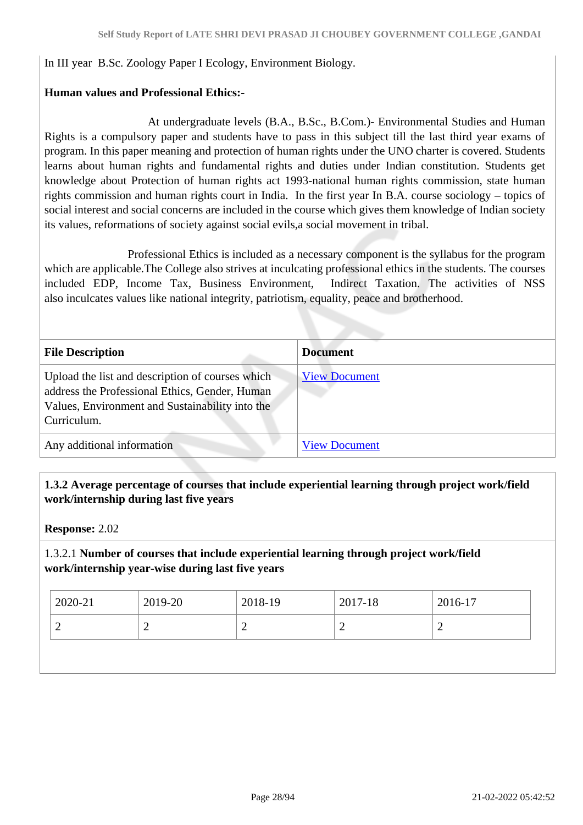In III year B.Sc. Zoology Paper I Ecology, Environment Biology.

# **Human values and Professional Ethics:-**

 At undergraduate levels (B.A., B.Sc., B.Com.)- Environmental Studies and Human Rights is a compulsory paper and students have to pass in this subject till the last third year exams of program. In this paper meaning and protection of human rights under the UNO charter is covered. Students learns about human rights and fundamental rights and duties under Indian constitution. Students get knowledge about Protection of human rights act 1993-national human rights commission, state human rights commission and human rights court in India. In the first year In B.A. course sociology – topics of social interest and social concerns are included in the course which gives them knowledge of Indian society its values, reformations of society against social evils,a social movement in tribal.

 Professional Ethics is included as a necessary component is the syllabus for the program which are applicable.The College also strives at inculcating professional ethics in the students. The courses included EDP, Income Tax, Business Environment, Indirect Taxation. The activities of NSS also inculcates values like national integrity, patriotism, equality, peace and brotherhood.

| <b>File Description</b>                                                                                                                                              | <b>Document</b>      |
|----------------------------------------------------------------------------------------------------------------------------------------------------------------------|----------------------|
| Upload the list and description of courses which<br>address the Professional Ethics, Gender, Human<br>Values, Environment and Sustainability into the<br>Curriculum. | <b>View Document</b> |
| Any additional information                                                                                                                                           | <b>View Document</b> |

# **1.3.2 Average percentage of courses that include experiential learning through project work/field work/internship during last five years**

**Response:** 2.02

# 1.3.2.1 **Number of courses that include experiential learning through project work/field work/internship year-wise during last five years**

| 2019-20<br>2020-21<br>2018-19<br>2017-18 | 2016-17 |
|------------------------------------------|---------|
| ∸                                        |         |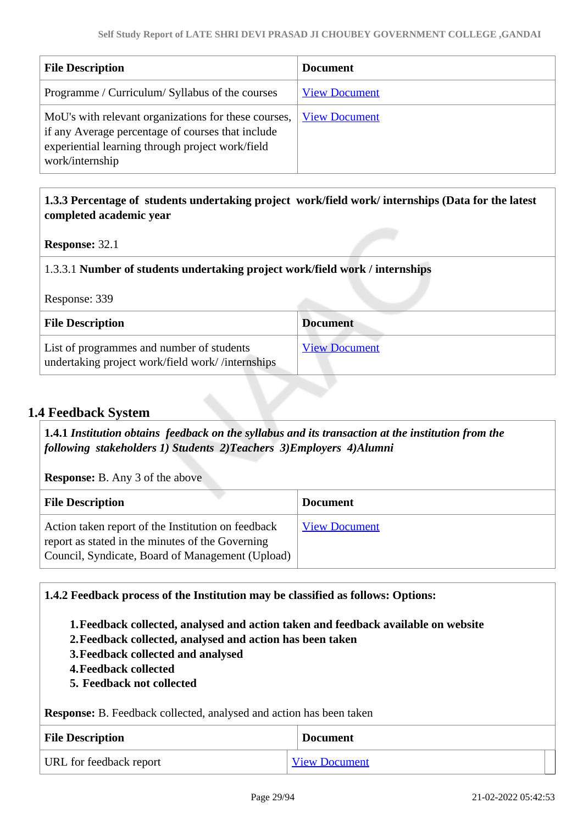| <b>File Description</b>                                                                                                                                                          | <b>Document</b>      |
|----------------------------------------------------------------------------------------------------------------------------------------------------------------------------------|----------------------|
| Programme / Curriculum/ Syllabus of the courses                                                                                                                                  | <b>View Document</b> |
| MoU's with relevant organizations for these courses,<br>if any Average percentage of courses that include<br>experiential learning through project work/field<br>work/internship | <b>View Document</b> |

# **1.3.3 Percentage of students undertaking project work/field work/ internships (Data for the latest completed academic year**

# **Response:** 32.1

# 1.3.3.1 **Number of students undertaking project work/field work / internships**

Response: 339

| <b>File Description</b>                                                                       | <b>Document</b>      |
|-----------------------------------------------------------------------------------------------|----------------------|
| List of programmes and number of students<br>undertaking project work/field work//internships | <b>View Document</b> |

# **1.4 Feedback System**

 **1.4.1** *Institution obtains feedback on the syllabus and its transaction at the institution from the following stakeholders 1) Students 2)Teachers 3)Employers 4)Alumni* 

**Response:** B. Any 3 of the above

| <b>File Description</b>                                                                                                                                    | <b>Document</b>      |
|------------------------------------------------------------------------------------------------------------------------------------------------------------|----------------------|
| Action taken report of the Institution on feedback<br>report as stated in the minutes of the Governing<br>Council, Syndicate, Board of Management (Upload) | <b>View Document</b> |

# **1.4.2 Feedback process of the Institution may be classified as follows: Options:**

**1.Feedback collected, analysed and action taken and feedback available on website**

- **2.Feedback collected, analysed and action has been taken**
- **3.Feedback collected and analysed**
- **4.Feedback collected**
- **5. Feedback not collected**

**Response:** B. Feedback collected, analysed and action has been taken

| <b>File Description</b> | <b>Document</b>      |
|-------------------------|----------------------|
| URL for feedback report | <b>View Document</b> |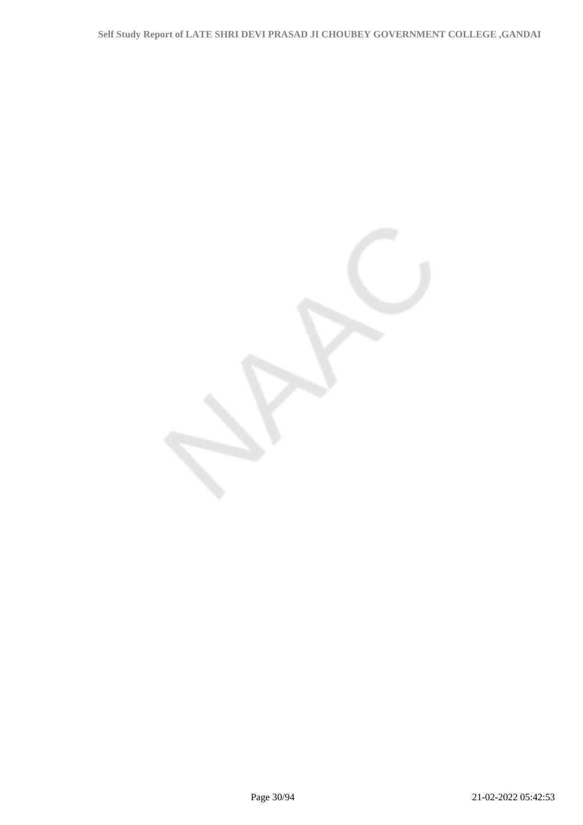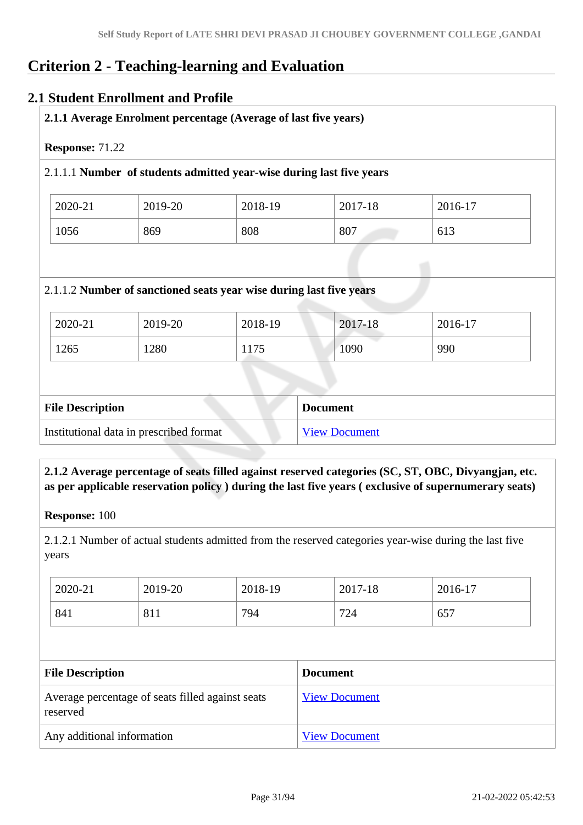# **Criterion 2 - Teaching-learning and Evaluation**

# **2.1 Student Enrollment and Profile**

|                         |         | 2.1.1.1 Number of students admitted year-wise during last five years |                 |         |
|-------------------------|---------|----------------------------------------------------------------------|-----------------|---------|
| 2020-21                 | 2019-20 | 2018-19                                                              | 2017-18         | 2016-17 |
| 1056                    | 869     | 808                                                                  | 807             | 613     |
|                         |         | 2.1.1.2 Number of sanctioned seats year wise during last five years  |                 |         |
| 2020-21                 | 2019-20 | 2018-19                                                              | 2017-18         | 2016-17 |
| 1265                    | 1280    | 1175                                                                 | 1090            | 990     |
|                         |         |                                                                      |                 |         |
| <b>File Description</b> |         |                                                                      | <b>Document</b> |         |

# **2.1.2 Average percentage of seats filled against reserved categories (SC, ST, OBC, Divyangjan, etc. as per applicable reservation policy ) during the last five years ( exclusive of supernumerary seats)**

**Response:** 100

2.1.2.1 Number of actual students admitted from the reserved categories year-wise during the last five years

| 2020-21 | 2019-20 | 2018-19 | 2017-18 | 2016-17 |
|---------|---------|---------|---------|---------|
| 841     | 811     | 794     | 724     | 657     |

| <b>File Description</b>                                      | <b>Document</b>      |
|--------------------------------------------------------------|----------------------|
| Average percentage of seats filled against seats<br>reserved | <b>View Document</b> |
| Any additional information                                   | <b>View Document</b> |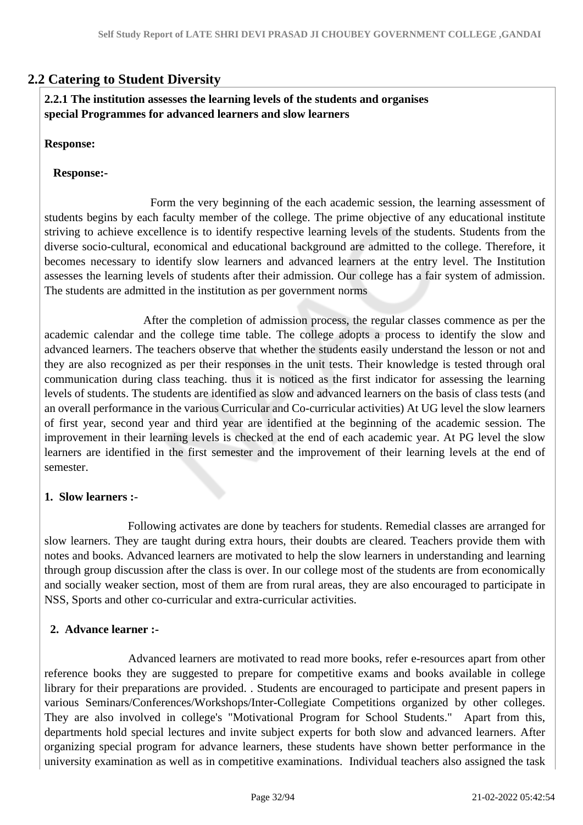# **2.2 Catering to Student Diversity**

 **2.2.1 The institution assesses the learning levels of the students and organises special Programmes for advanced learners and slow learners**

**Response:** 

 **Response:-** 

 Form the very beginning of the each academic session, the learning assessment of students begins by each faculty member of the college. The prime objective of any educational institute striving to achieve excellence is to identify respective learning levels of the students. Students from the diverse socio-cultural, economical and educational background are admitted to the college. Therefore, it becomes necessary to identify slow learners and advanced learners at the entry level. The Institution assesses the learning levels of students after their admission. Our college has a fair system of admission. The students are admitted in the institution as per government norms

 After the completion of admission process, the regular classes commence as per the academic calendar and the college time table. The college adopts a process to identify the slow and advanced learners. The teachers observe that whether the students easily understand the lesson or not and they are also recognized as per their responses in the unit tests. Their knowledge is tested through oral communication during class teaching. thus it is noticed as the first indicator for assessing the learning levels of students. The students are identified as slow and advanced learners on the basis of class tests (and an overall performance in the various Curricular and Co-curricular activities) At UG level the slow learners of first year, second year and third year are identified at the beginning of the academic session. The improvement in their learning levels is checked at the end of each academic year. At PG level the slow learners are identified in the first semester and the improvement of their learning levels at the end of semester.

#### **1. Slow learners :**-

 Following activates are done by teachers for students. Remedial classes are arranged for slow learners. They are taught during extra hours, their doubts are cleared. Teachers provide them with notes and books. Advanced learners are motivated to help the slow learners in understanding and learning through group discussion after the class is over. In our college most of the students are from economically and socially weaker section, most of them are from rural areas, they are also encouraged to participate in NSS, Sports and other co-curricular and extra-curricular activities.

# **2. Advance learner :-**

 Advanced learners are motivated to read more books, refer e-resources apart from other reference books they are suggested to prepare for competitive exams and books available in college library for their preparations are provided. . Students are encouraged to participate and present papers in various Seminars/Conferences/Workshops/Inter-Collegiate Competitions organized by other colleges. They are also involved in college's "Motivational Program for School Students." Apart from this, departments hold special lectures and invite subject experts for both slow and advanced learners. After organizing special program for advance learners, these students have shown better performance in the university examination as well as in competitive examinations. Individual teachers also assigned the task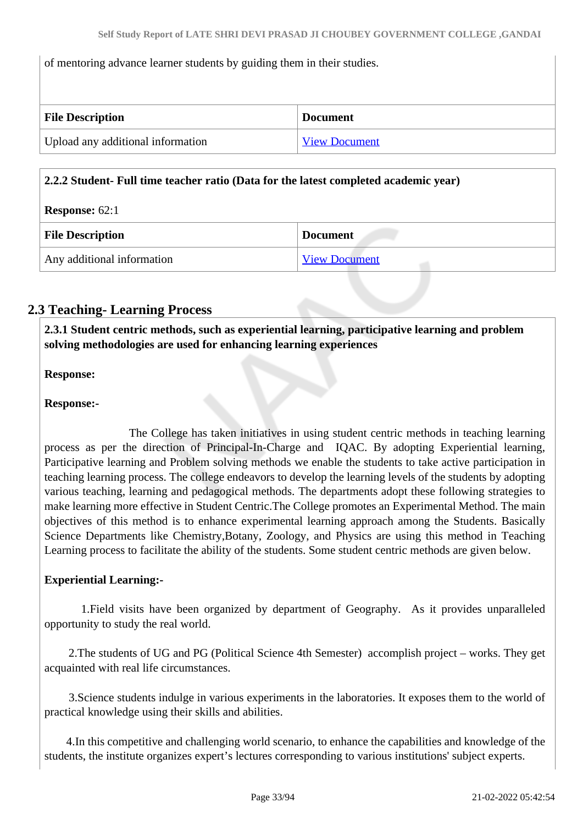of mentoring advance learner students by guiding them in their studies.

| <b>File Description</b>           | <b>Document</b>      |
|-----------------------------------|----------------------|
| Upload any additional information | <b>View Document</b> |

# **2.2.2 Student- Full time teacher ratio (Data for the latest completed academic year)**

| <b>Response:</b> $62:1$    |                      |  |
|----------------------------|----------------------|--|
| <b>File Description</b>    | <b>Document</b>      |  |
| Any additional information | <b>View Document</b> |  |

# **2.3 Teaching- Learning Process**

 **2.3.1 Student centric methods, such as experiential learning, participative learning and problem solving methodologies are used for enhancing learning experiences**

**Response:** 

### **Response:-**

 The College has taken initiatives in using student centric methods in teaching learning process as per the direction of Principal-In-Charge and IQAC. By adopting Experiential learning, Participative learning and Problem solving methods we enable the students to take active participation in teaching learning process. The college endeavors to develop the learning levels of the students by adopting various teaching, learning and pedagogical methods. The departments adopt these following strategies to make learning more effective in Student Centric.The College promotes an Experimental Method. The main objectives of this method is to enhance experimental learning approach among the Students. Basically Science Departments like Chemistry,Botany, Zoology, and Physics are using this method in Teaching Learning process to facilitate the ability of the students. Some student centric methods are given below.

# **Experiential Learning:-**

 1.Field visits have been organized by department of Geography. As it provides unparalleled opportunity to study the real world.

 2.The students of UG and PG (Political Science 4th Semester) accomplish project – works. They get acquainted with real life circumstances.

 3.Science students indulge in various experiments in the laboratories. It exposes them to the world of practical knowledge using their skills and abilities.

 4.In this competitive and challenging world scenario, to enhance the capabilities and knowledge of the students, the institute organizes expert's lectures corresponding to various institutions' subject experts.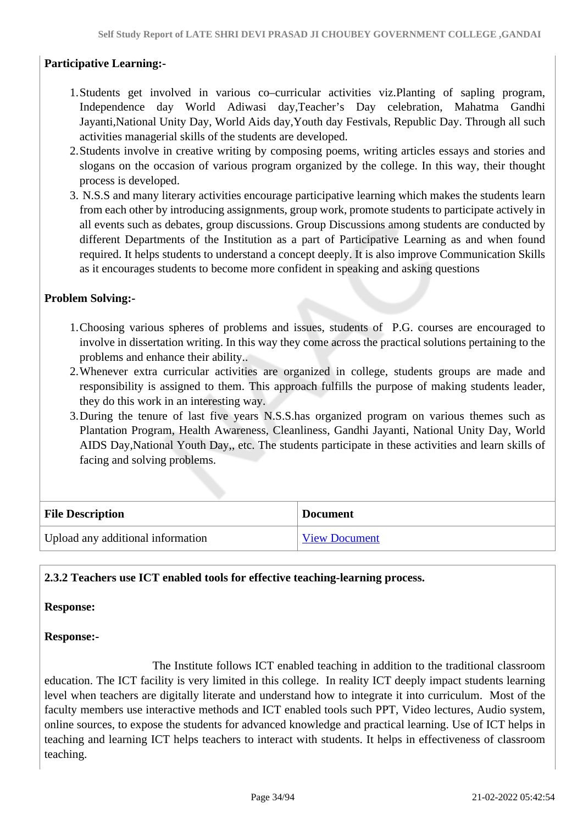# **Participative Learning:-**

- 1.Students get involved in various co–curricular activities viz.Planting of sapling program, Independence day World Adiwasi day,Teacher's Day celebration, Mahatma Gandhi Jayanti,National Unity Day, World Aids day,Youth day Festivals, Republic Day. Through all such activities managerial skills of the students are developed.
- 2.Students involve in creative writing by composing poems, writing articles essays and stories and slogans on the occasion of various program organized by the college. In this way, their thought process is developed.
- 3. N.S.S and many literary activities encourage participative learning which makes the students learn from each other by introducing assignments, group work, promote students to participate actively in all events such as debates, group discussions. Group Discussions among students are conducted by different Departments of the Institution as a part of Participative Learning as and when found required. It helps students to understand a concept deeply. It is also improve Communication Skills as it encourages students to become more confident in speaking and asking questions

### **Problem Solving:-**

- 1.Choosing various spheres of problems and issues, students of P.G. courses are encouraged to involve in dissertation writing. In this way they come across the practical solutions pertaining to the problems and enhance their ability..
- 2.Whenever extra curricular activities are organized in college, students groups are made and responsibility is assigned to them. This approach fulfills the purpose of making students leader, they do this work in an interesting way.
- 3.During the tenure of last five years N.S.S.has organized program on various themes such as Plantation Program, Health Awareness, Cleanliness, Gandhi Jayanti, National Unity Day, World AIDS Day,National Youth Day,, etc. The students participate in these activities and learn skills of facing and solving problems.

| <b>File Description</b>           | <b>Document</b>      |
|-----------------------------------|----------------------|
| Upload any additional information | <b>View Document</b> |

# **2.3.2 Teachers use ICT enabled tools for effective teaching-learning process.**

#### **Response:**

# **Response:-**

 The Institute follows ICT enabled teaching in addition to the traditional classroom education. The ICT facility is very limited in this college. In reality ICT deeply impact students learning level when teachers are digitally literate and understand how to integrate it into curriculum. Most of the faculty members use interactive methods and ICT enabled tools such PPT, Video lectures, Audio system, online sources, to expose the students for advanced knowledge and practical learning. Use of ICT helps in teaching and learning ICT helps teachers to interact with students. It helps in effectiveness of classroom teaching.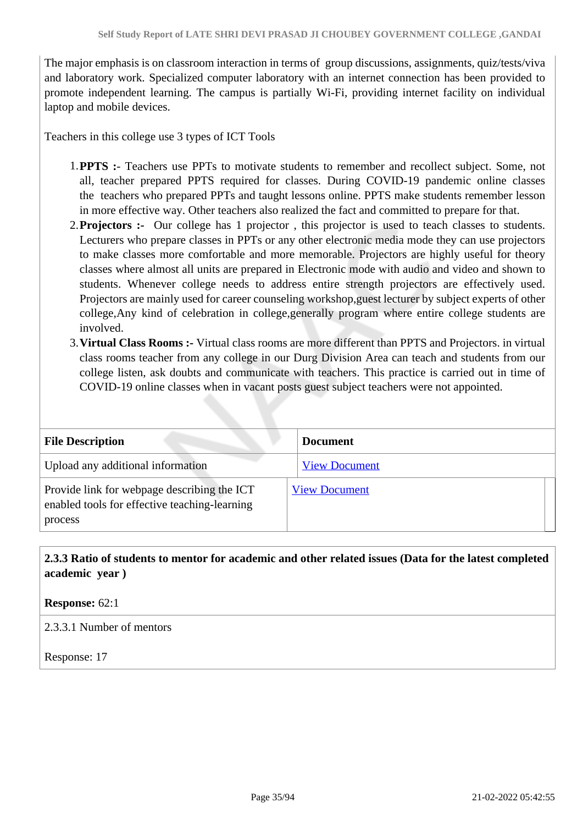The major emphasis is on classroom interaction in terms of group discussions, assignments, quiz/tests/viva and laboratory work. Specialized computer laboratory with an internet connection has been provided to promote independent learning. The campus is partially Wi-Fi, providing internet facility on individual laptop and mobile devices.

Teachers in this college use 3 types of ICT Tools

- 1.**PPTS :** Teachers use PPTs to motivate students to remember and recollect subject. Some, not all, teacher prepared PPTS required for classes. During COVID-19 pandemic online classes the teachers who prepared PPTs and taught lessons online. PPTS make students remember lesson in more effective way. Other teachers also realized the fact and committed to prepare for that.
- 2.**Projectors :-** Our college has 1 projector , this projector is used to teach classes to students. Lecturers who prepare classes in PPTs or any other electronic media mode they can use projectors to make classes more comfortable and more memorable. Projectors are highly useful for theory classes where almost all units are prepared in Electronic mode with audio and video and shown to students. Whenever college needs to address entire strength projectors are effectively used. Projectors are mainly used for career counseling workshop,guest lecturer by subject experts of other college,Any kind of celebration in college,generally program where entire college students are involved.
- 3.**Virtual Class Rooms :-** Virtual class rooms are more different than PPTS and Projectors. in virtual class rooms teacher from any college in our Durg Division Area can teach and students from our college listen, ask doubts and communicate with teachers. This practice is carried out in time of COVID-19 online classes when in vacant posts guest subject teachers were not appointed.

| <b>File Description</b>                                                                                 | <b>Document</b>      |
|---------------------------------------------------------------------------------------------------------|----------------------|
| Upload any additional information                                                                       | <b>View Document</b> |
| Provide link for webpage describing the ICT<br>enabled tools for effective teaching-learning<br>process | <b>View Document</b> |

 **2.3.3 Ratio of students to mentor for academic and other related issues (Data for the latest completed academic year )**

# **Response:** 62:1

2.3.3.1 Number of mentors

#### Response: 17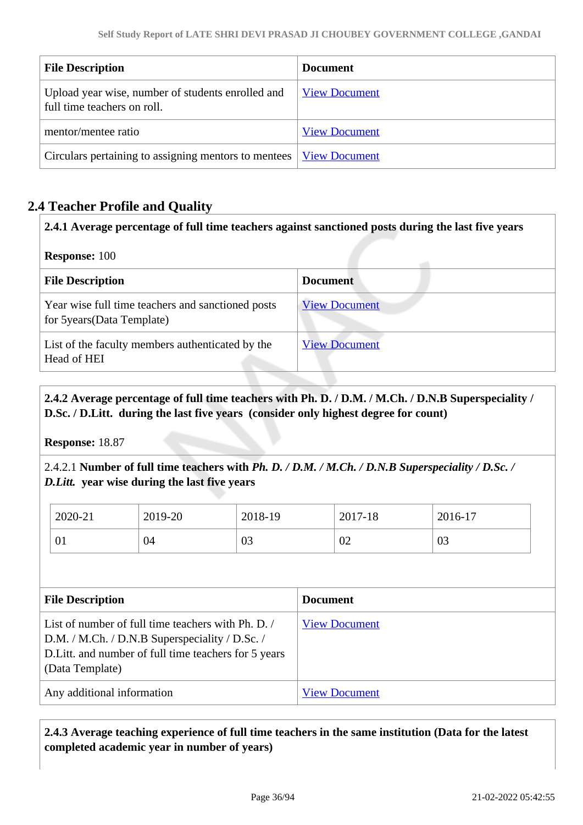| <b>File Description</b>                                                          | Document             |
|----------------------------------------------------------------------------------|----------------------|
| Upload year wise, number of students enrolled and<br>full time teachers on roll. | <b>View Document</b> |
| mentor/mentee ratio                                                              | <b>View Document</b> |
| Circulars pertaining to assigning mentors to mentees   <u>View Document</u>      |                      |

# **2.4 Teacher Profile and Quality**

# **2.4.1 Average percentage of full time teachers against sanctioned posts during the last five years**

### **Response:** 100

| <b>File Description</b>                                                          | <b>Document</b>      |
|----------------------------------------------------------------------------------|----------------------|
| Year wise full time teachers and sanctioned posts<br>for 5 years (Data Template) | <b>View Document</b> |
| List of the faculty members authenticated by the<br>Head of HEI                  | <b>View Document</b> |

# **2.4.2 Average percentage of full time teachers with Ph. D. / D.M. / M.Ch. / D.N.B Superspeciality / D.Sc. / D.Litt. during the last five years (consider only highest degree for count)**

**Response:** 18.87

2.4.2.1 **Number of full time teachers with** *Ph. D. / D.M. / M.Ch. / D.N.B Superspeciality / D.Sc. / D.Litt.* **year wise during the last five years**

| 2020-21 | 2019-20 | 2018-19 | 2017-18 | 2016-17 |
|---------|---------|---------|---------|---------|
| νı      | 04      | 03      | 02      | 03      |

| <b>File Description</b>                                                                                                                                                          | <b>Document</b>      |  |  |
|----------------------------------------------------------------------------------------------------------------------------------------------------------------------------------|----------------------|--|--|
| List of number of full time teachers with Ph. D. /<br>D.M. / M.Ch. / D.N.B Superspeciality / D.Sc. /<br>D. Litt. and number of full time teachers for 5 years<br>(Data Template) | <b>View Document</b> |  |  |
| Any additional information                                                                                                                                                       | <b>View Document</b> |  |  |

# **2.4.3 Average teaching experience of full time teachers in the same institution (Data for the latest completed academic year in number of years)**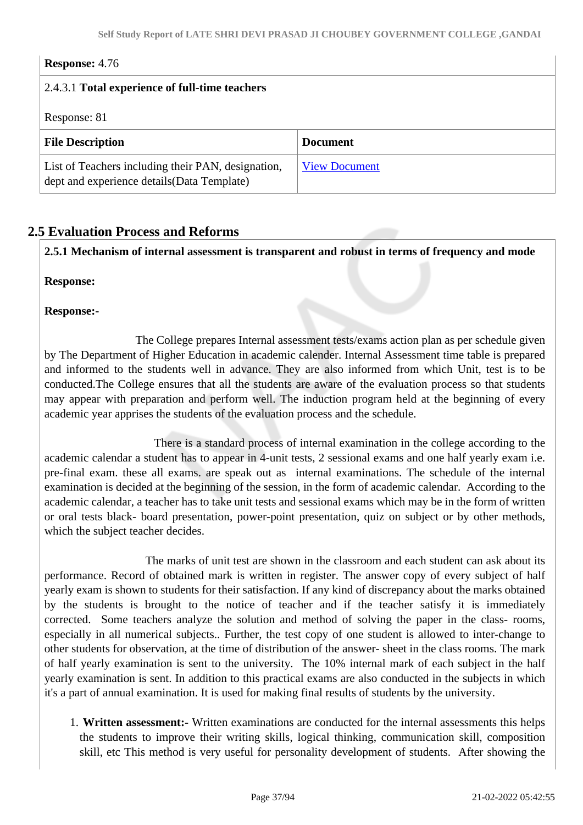| <b>Response:</b> 4.76                                                                             |                      |
|---------------------------------------------------------------------------------------------------|----------------------|
| 2.4.3.1 Total experience of full-time teachers                                                    |                      |
| Response: 81                                                                                      |                      |
| <b>File Description</b>                                                                           | <b>Document</b>      |
| List of Teachers including their PAN, designation,<br>dept and experience details (Data Template) | <b>View Document</b> |

## **2.5 Evaluation Process and Reforms**

**2.5.1 Mechanism of internal assessment is transparent and robust in terms of frequency and mode**

**Response:** 

**Response:-**

The College prepares Internal assessment tests/exams action plan as per schedule given by The Department of Higher Education in academic calender. Internal Assessment time table is prepared and informed to the students well in advance. They are also informed from which Unit, test is to be conducted.The College ensures that all the students are aware of the evaluation process so that students may appear with preparation and perform well. The induction program held at the beginning of every academic year apprises the students of the evaluation process and the schedule.

 There is a standard process of internal examination in the college according to the academic calendar a student has to appear in 4-unit tests, 2 sessional exams and one half yearly exam i.e. pre-final exam. these all exams. are speak out as internal examinations. The schedule of the internal examination is decided at the beginning of the session, in the form of academic calendar. According to the academic calendar, a teacher has to take unit tests and sessional exams which may be in the form of written or oral tests black- board presentation, power-point presentation, quiz on subject or by other methods, which the subject teacher decides.

 The marks of unit test are shown in the classroom and each student can ask about its performance. Record of obtained mark is written in register. The answer copy of every subject of half yearly exam is shown to students for their satisfaction. If any kind of discrepancy about the marks obtained by the students is brought to the notice of teacher and if the teacher satisfy it is immediately corrected. Some teachers analyze the solution and method of solving the paper in the class- rooms, especially in all numerical subjects.. Further, the test copy of one student is allowed to inter-change to other students for observation, at the time of distribution of the answer- sheet in the class rooms. The mark of half yearly examination is sent to the university. The 10% internal mark of each subject in the half yearly examination is sent. In addition to this practical exams are also conducted in the subjects in which it's a part of annual examination. It is used for making final results of students by the university.

1. **Written assessment:-** Written examinations are conducted for the internal assessments this helps the students to improve their writing skills, logical thinking, communication skill, composition skill, etc This method is very useful for personality development of students. After showing the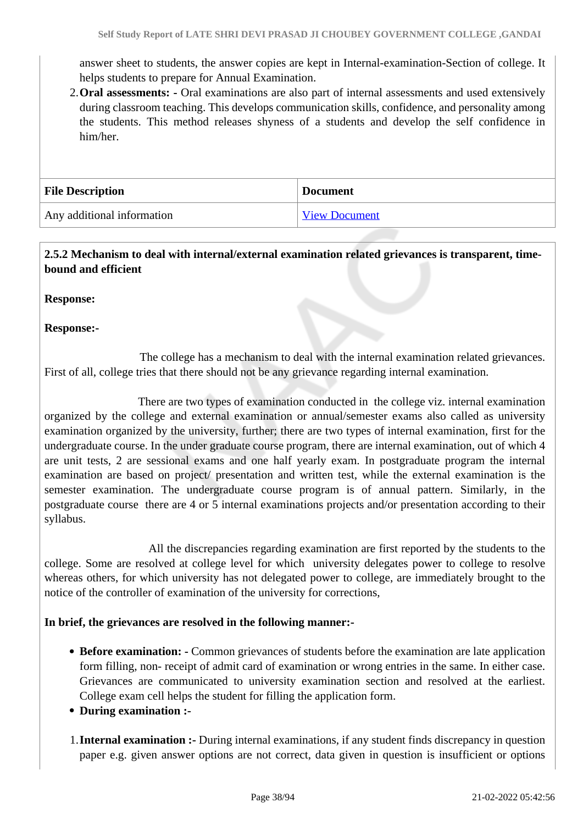answer sheet to students, the answer copies are kept in Internal-examination-Section of college. It helps students to prepare for Annual Examination.

2.**Oral assessments: -** Oral examinations are also part of internal assessments and used extensively during classroom teaching. This develops communication skills, confidence, and personality among the students. This method releases shyness of a students and develop the self confidence in him/her.

| <b>File Description</b>    | <b>Document</b>      |  |  |  |
|----------------------------|----------------------|--|--|--|
| Any additional information | <b>View Document</b> |  |  |  |

 **2.5.2 Mechanism to deal with internal/external examination related grievances is transparent, timebound and efficient** 

**Response:** 

**Response:-**

 The college has a mechanism to deal with the internal examination related grievances. First of all, college tries that there should not be any grievance regarding internal examination.

 There are two types of examination conducted in the college viz. internal examination organized by the college and external examination or annual/semester exams also called as university examination organized by the university, further; there are two types of internal examination, first for the undergraduate course. In the under graduate course program, there are internal examination, out of which 4 are unit tests, 2 are sessional exams and one half yearly exam. In postgraduate program the internal examination are based on project/ presentation and written test, while the external examination is the semester examination. The undergraduate course program is of annual pattern. Similarly, in the postgraduate course there are 4 or 5 internal examinations projects and/or presentation according to their syllabus.

 All the discrepancies regarding examination are first reported by the students to the college. Some are resolved at college level for which university delegates power to college to resolve whereas others, for which university has not delegated power to college, are immediately brought to the notice of the controller of examination of the university for corrections,

#### **In brief, the grievances are resolved in the following manner:-**

- **Before examination:** Common grievances of students before the examination are late application form filling, non- receipt of admit card of examination or wrong entries in the same. In either case. Grievances are communicated to university examination section and resolved at the earliest. College exam cell helps the student for filling the application form.
- **During examination :-**
- 1.**Internal examination :-** During internal examinations, if any student finds discrepancy in question paper e.g. given answer options are not correct, data given in question is insufficient or options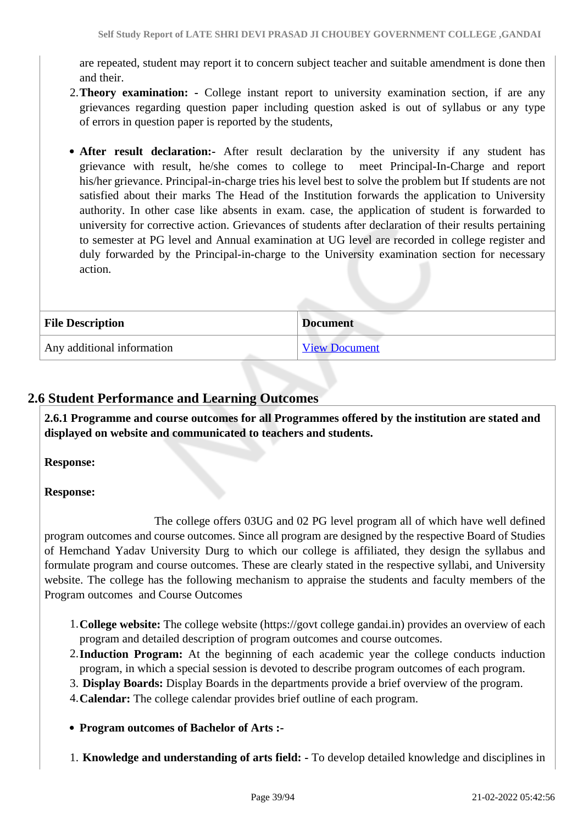are repeated, student may report it to concern subject teacher and suitable amendment is done then and their.

- 2.**Theory examination:** College instant report to university examination section, if are any grievances regarding question paper including question asked is out of syllabus or any type of errors in question paper is reported by the students,
- **After result declaration:-** After result declaration by the university if any student has grievance with result, he/she comes to college to meet Principal-In-Charge and report his/her grievance. Principal-in-charge tries his level best to solve the problem but If students are not satisfied about their marks The Head of the Institution forwards the application to University authority. In other case like absents in exam. case, the application of student is forwarded to university for corrective action. Grievances of students after declaration of their results pertaining to semester at PG level and Annual examination at UG level are recorded in college register and duly forwarded by the Principal-in-charge to the University examination section for necessary action.

| <b>File Description</b>    | <b>Document</b> |
|----------------------------|-----------------|
| Any additional information | View Document   |

## **2.6 Student Performance and Learning Outcomes**

 **2.6.1 Programme and course outcomes for all Programmes offered by the institution are stated and displayed on website and communicated to teachers and students.**

**Response:** 

#### **Response:**

 The college offers 03UG and 02 PG level program all of which have well defined program outcomes and course outcomes. Since all program are designed by the respective Board of Studies of Hemchand Yadav University Durg to which our college is affiliated, they design the syllabus and formulate program and course outcomes. These are clearly stated in the respective syllabi, and University website. The college has the following mechanism to appraise the students and faculty members of the Program outcomes and Course Outcomes

- 1.**College website:** The college website (https://govt college gandai.in) provides an overview of each program and detailed description of program outcomes and course outcomes.
- 2.**Induction Program:** At the beginning of each academic year the college conducts induction program, in which a special session is devoted to describe program outcomes of each program.
- 3. **Display Boards:** Display Boards in the departments provide a brief overview of the program.
- 4.**Calendar:** The college calendar provides brief outline of each program.

**Program outcomes of Bachelor of Arts :-** 

1. **Knowledge and understanding of arts field: -** To develop detailed knowledge and disciplines in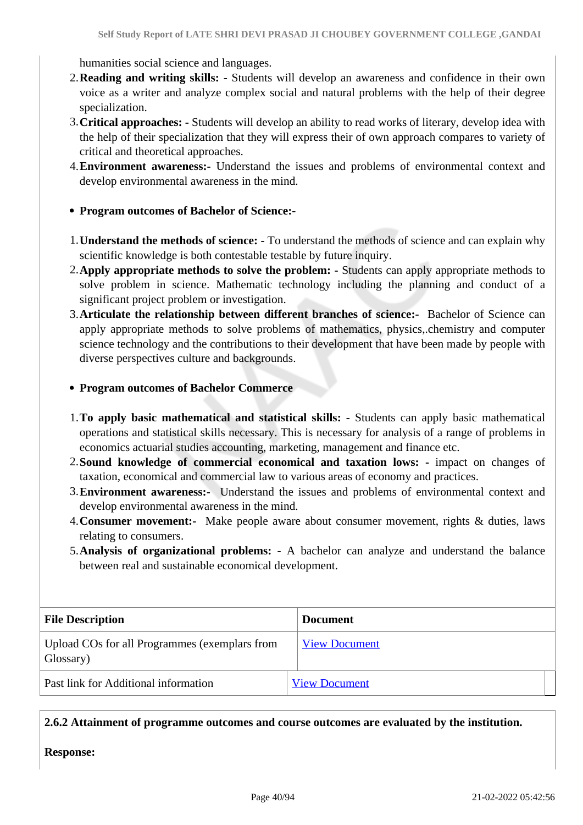humanities social science and languages.

- 2.**Reading and writing skills: -** Students will develop an awareness and confidence in their own voice as a writer and analyze complex social and natural problems with the help of their degree specialization.
- 3.**Critical approaches:** Students will develop an ability to read works of literary, develop idea with the help of their specialization that they will express their of own approach compares to variety of critical and theoretical approaches.
- 4.**Environment awareness:-** Understand the issues and problems of environmental context and develop environmental awareness in the mind.

#### **Program outcomes of Bachelor of Science:-**

- 1.**Understand the methods of science:** To understand the methods of science and can explain why scientific knowledge is both contestable testable by future inquiry.
- 2.**Apply appropriate methods to solve the problem:** Students can apply appropriate methods to solve problem in science. Mathematic technology including the planning and conduct of a significant project problem or investigation.
- 3.**Articulate the relationship between different branches of science:-** Bachelor of Science can apply appropriate methods to solve problems of mathematics, physics,.chemistry and computer science technology and the contributions to their development that have been made by people with diverse perspectives culture and backgrounds.
- **Program outcomes of Bachelor Commerce**
- 1.**To apply basic mathematical and statistical skills:** Students can apply basic mathematical operations and statistical skills necessary. This is necessary for analysis of a range of problems in economics actuarial studies accounting, marketing, management and finance etc.
- 2.**Sound knowledge of commercial economical and taxation lows:** impact on changes of taxation, economical and commercial law to various areas of economy and practices.
- 3.**Environment awareness:-** Understand the issues and problems of environmental context and develop environmental awareness in the mind.
- 4.**Consumer movement:-** Make people aware about consumer movement, rights & duties, laws relating to consumers.
- 5.**Analysis of organizational problems: -** A bachelor can analyze and understand the balance between real and sustainable economical development.

| <b>File Description</b>                                    | <b>Document</b>      |
|------------------------------------------------------------|----------------------|
| Upload COs for all Programmes (exemplars from<br>Glossary) | <b>View Document</b> |
| Past link for Additional information                       | <b>View Document</b> |

**2.6.2 Attainment of programme outcomes and course outcomes are evaluated by the institution.**

**Response:**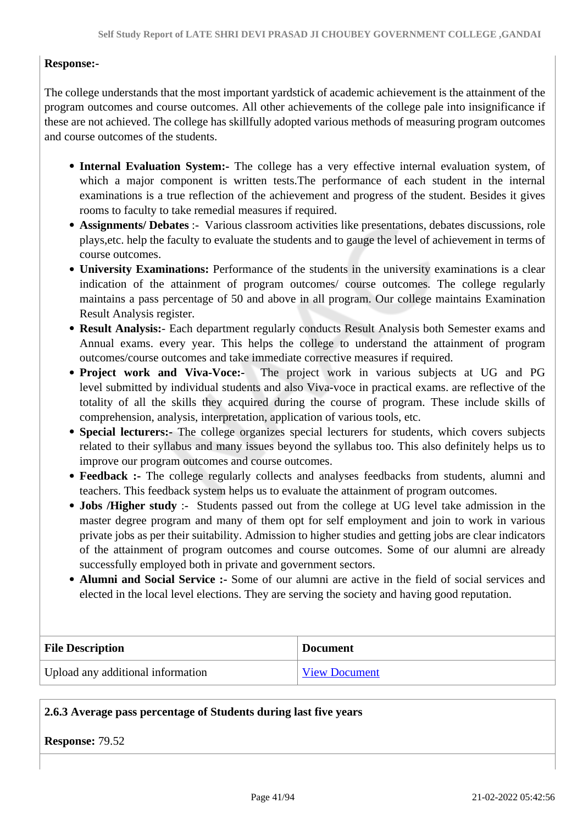#### **Response:-**

The college understands that the most important yardstick of academic achievement is the attainment of the program outcomes and course outcomes. All other achievements of the college pale into insignificance if these are not achieved. The college has skillfully adopted various methods of measuring program outcomes and course outcomes of the students.

- **Internal Evaluation System:-** The college has a very effective internal evaluation system, of which a major component is written tests.The performance of each student in the internal examinations is a true reflection of the achievement and progress of the student. Besides it gives rooms to faculty to take remedial measures if required.
- **Assignments/ Debates** :- Various classroom activities like presentations, debates discussions, role plays,etc. help the faculty to evaluate the students and to gauge the level of achievement in terms of course outcomes.
- **University Examinations:** Performance of the students in the university examinations is a clear indication of the attainment of program outcomes/ course outcomes. The college regularly maintains a pass percentage of 50 and above in all program. Our college maintains Examination Result Analysis register.
- **Result Analysis:** Each department regularly conducts Result Analysis both Semester exams and Annual exams. every year. This helps the college to understand the attainment of program outcomes/course outcomes and take immediate corrective measures if required.
- **Project work and Viva-Voce:-** The project work in various subjects at UG and PG level submitted by individual students and also Viva-voce in practical exams. are reflective of the totality of all the skills they acquired during the course of program. These include skills of comprehension, analysis, interpretation, application of various tools, etc.
- **Special lecturers:-** The college organizes special lecturers for students, which covers subjects related to their syllabus and many issues beyond the syllabus too. This also definitely helps us to improve our program outcomes and course outcomes.
- **Feedback :-** The college regularly collects and analyses feedbacks from students, alumni and teachers. This feedback system helps us to evaluate the attainment of program outcomes.
- **Jobs /Higher study** :- Students passed out from the college at UG level take admission in the master degree program and many of them opt for self employment and join to work in various private jobs as per their suitability. Admission to higher studies and getting jobs are clear indicators of the attainment of program outcomes and course outcomes. Some of our alumni are already successfully employed both in private and government sectors.
- **Alumni and Social Service :-** Some of our alumni are active in the field of social services and elected in the local level elections. They are serving the society and having good reputation.

| <b>File Description</b>           | <b>Document</b>      |  |
|-----------------------------------|----------------------|--|
| Upload any additional information | <b>View Document</b> |  |

#### **2.6.3 Average pass percentage of Students during last five years**

**Response:** 79.52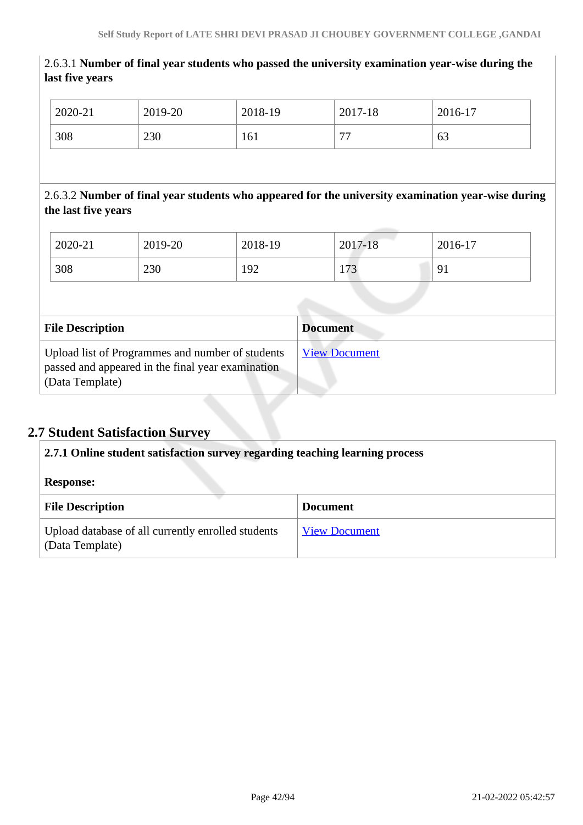| 2020-21                                                                                                                  | 2019-20 | 2018-19 |                 | 2017-18              | 2016-17                                                                                            |  |
|--------------------------------------------------------------------------------------------------------------------------|---------|---------|-----------------|----------------------|----------------------------------------------------------------------------------------------------|--|
| 308                                                                                                                      | 230     | 161     |                 | 77                   | 63                                                                                                 |  |
|                                                                                                                          |         |         |                 |                      |                                                                                                    |  |
| the last five years                                                                                                      |         |         |                 |                      | 2.6.3.2 Number of final year students who appeared for the university examination year-wise during |  |
| 2020-21                                                                                                                  | 2019-20 | 2018-19 |                 | 2017-18              | 2016-17                                                                                            |  |
| 308                                                                                                                      | 230     | 192     |                 | 173                  | 91                                                                                                 |  |
|                                                                                                                          |         |         |                 |                      |                                                                                                    |  |
| <b>File Description</b>                                                                                                  |         |         | <b>Document</b> |                      |                                                                                                    |  |
| Upload list of Programmes and number of students<br>passed and appeared in the final year examination<br>(Data Template) |         |         |                 | <b>View Document</b> |                                                                                                    |  |

## 2.6.3.1 **Number of final year students who passed the university examination year-wise during the last five years**

## **2.7 Student Satisfaction Survey**

| 2.7.1 Online student satisfaction survey regarding teaching learning process |                      |  |  |  |  |  |  |
|------------------------------------------------------------------------------|----------------------|--|--|--|--|--|--|
| <b>Response:</b>                                                             |                      |  |  |  |  |  |  |
| <b>File Description</b>                                                      | <b>Document</b>      |  |  |  |  |  |  |
| Upload database of all currently enrolled students<br>(Data Template)        | <b>View Document</b> |  |  |  |  |  |  |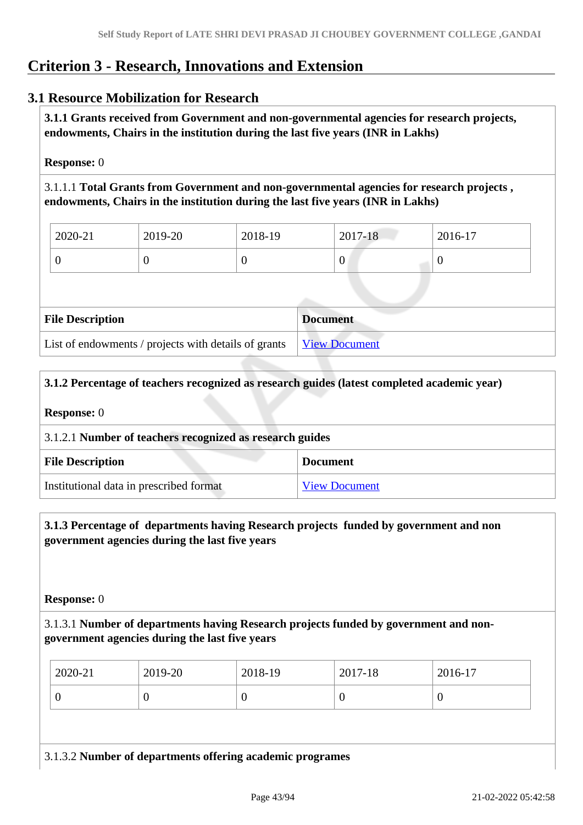# **Criterion 3 - Research, Innovations and Extension**

## **3.1 Resource Mobilization for Research**

 **3.1.1 Grants received from Government and non-governmental agencies for research projects, endowments, Chairs in the institution during the last five years (INR in Lakhs)** 

**Response:** 0

3.1.1.1 **Total Grants from Government and non-governmental agencies for research projects , endowments, Chairs in the institution during the last five years (INR in Lakhs)**

| 2020-21 | 2019-20 | 2018-19 | 2017-18 | 2016-17 |
|---------|---------|---------|---------|---------|
|         |         |         | 0       | U       |
|         |         |         |         |         |

| <b>File Description</b>                                            | <b>Document</b> |  |  |
|--------------------------------------------------------------------|-----------------|--|--|
| List of endowments / projects with details of grants View Document |                 |  |  |

#### **3.1.2 Percentage of teachers recognized as research guides (latest completed academic year)**

| <b>Response:</b> 0                                       |                      |  |  |  |  |  |
|----------------------------------------------------------|----------------------|--|--|--|--|--|
| 3.1.2.1 Number of teachers recognized as research guides |                      |  |  |  |  |  |
| <b>File Description</b>                                  | <b>Document</b>      |  |  |  |  |  |
| Institutional data in prescribed format                  | <b>View Document</b> |  |  |  |  |  |

#### **3.1.3 Percentage of departments having Research projects funded by government and non government agencies during the last five years**

**Response:** 0

## 3.1.3.1 **Number of departments having Research projects funded by government and nongovernment agencies during the last five years**

| 2020-21 | 2019-20 | 2018-19 | $2017 - 18$ | 2016-17 |
|---------|---------|---------|-------------|---------|
|         | U       |         | ◡           | ν       |

## 3.1.3.2 **Number of departments offering academic programes**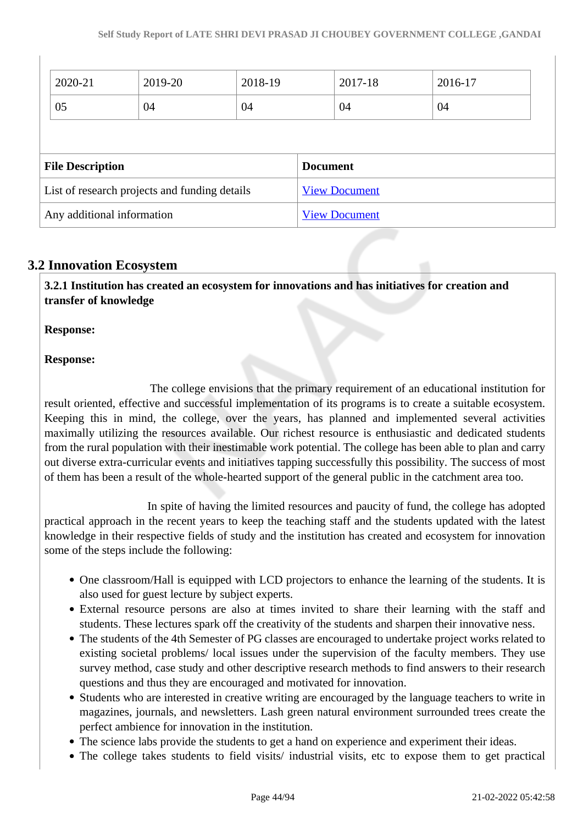|                                               | 2020-21                    | 2019-20 | 2018-19              |  | 2017-18              | 2016-17 |  |
|-----------------------------------------------|----------------------------|---------|----------------------|--|----------------------|---------|--|
|                                               | 05                         | 04      | 04                   |  | 04                   | 04      |  |
|                                               |                            |         |                      |  |                      |         |  |
|                                               |                            |         |                      |  |                      |         |  |
|                                               | <b>File Description</b>    |         |                      |  | <b>Document</b>      |         |  |
| List of research projects and funding details |                            |         | <b>View Document</b> |  |                      |         |  |
|                                               | Any additional information |         |                      |  | <b>View Document</b> |         |  |

#### **3.2 Innovation Ecosystem**

 **3.2.1 Institution has created an ecosystem for innovations and has initiatives for creation and transfer of knowledge**

**Response:** 

 $\begin{array}{c} \hline \end{array}$ 

#### **Response:**

The college envisions that the primary requirement of an educational institution for result oriented, effective and successful implementation of its programs is to create a suitable ecosystem. Keeping this in mind, the college, over the years, has planned and implemented several activities maximally utilizing the resources available. Our richest resource is enthusiastic and dedicated students from the rural population with their inestimable work potential. The college has been able to plan and carry out diverse extra-curricular events and initiatives tapping successfully this possibility. The success of most of them has been a result of the whole-hearted support of the general public in the catchment area too.

 In spite of having the limited resources and paucity of fund, the college has adopted practical approach in the recent years to keep the teaching staff and the students updated with the latest knowledge in their respective fields of study and the institution has created and ecosystem for innovation some of the steps include the following:

- One classroom/Hall is equipped with LCD projectors to enhance the learning of the students. It is also used for guest lecture by subject experts.
- External resource persons are also at times invited to share their learning with the staff and students. These lectures spark off the creativity of the students and sharpen their innovative ness.
- The students of the 4th Semester of PG classes are encouraged to undertake project works related to existing societal problems/ local issues under the supervision of the faculty members. They use survey method, case study and other descriptive research methods to find answers to their research questions and thus they are encouraged and motivated for innovation.
- Students who are interested in creative writing are encouraged by the language teachers to write in magazines, journals, and newsletters. Lash green natural environment surrounded trees create the perfect ambience for innovation in the institution.
- The science labs provide the students to get a hand on experience and experiment their ideas.
- The college takes students to field visits/ industrial visits, etc to expose them to get practical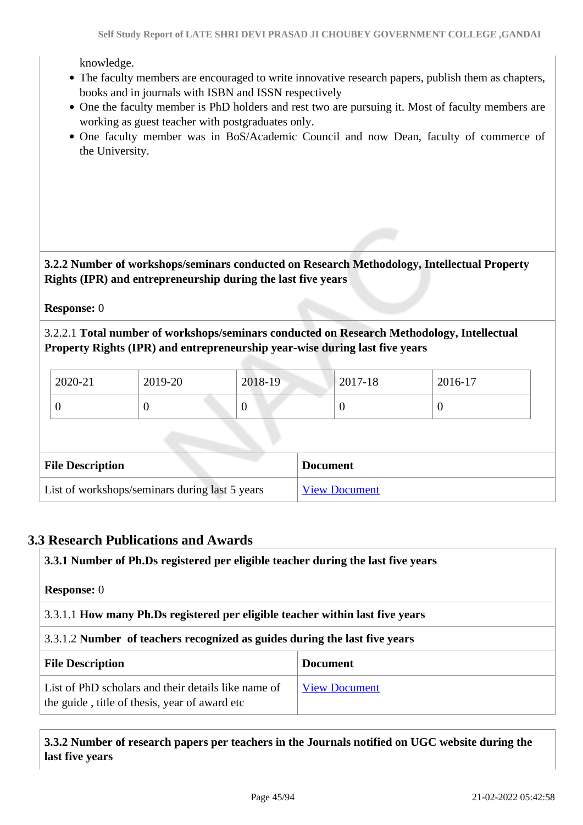knowledge.

- The faculty members are encouraged to write innovative research papers, publish them as chapters, books and in journals with ISBN and ISSN respectively
- One the faculty member is PhD holders and rest two are pursuing it. Most of faculty members are working as guest teacher with postgraduates only.
- One faculty member was in BoS/Academic Council and now Dean, faculty of commerce of the University.

#### **3.2.2 Number of workshops/seminars conducted on Research Methodology, Intellectual Property Rights (IPR) and entrepreneurship during the last five years**

#### **Response:** 0

3.2.2.1 **Total number of workshops/seminars conducted on Research Methodology, Intellectual Property Rights (IPR) and entrepreneurship year-wise during last five years** 

| 2020-21                                        | 2019-20 | 2018-19          |                 | 2017-18              | 2016-17          |
|------------------------------------------------|---------|------------------|-----------------|----------------------|------------------|
| $\theta$                                       | O       | $\boldsymbol{0}$ |                 | $\theta$             | $\boldsymbol{0}$ |
|                                                |         |                  |                 |                      |                  |
| <b>File Description</b>                        |         |                  | <b>Document</b> |                      |                  |
| List of workshops/seminars during last 5 years |         |                  |                 | <b>View Document</b> |                  |

#### **3.3 Research Publications and Awards**

| 3.3.1 Number of Ph.Ds registered per eligible teacher during the last five years                     |                                                                            |  |  |
|------------------------------------------------------------------------------------------------------|----------------------------------------------------------------------------|--|--|
| <b>Response:</b> 0                                                                                   |                                                                            |  |  |
| 3.3.1.1 How many Ph.Ds registered per eligible teacher within last five years                        |                                                                            |  |  |
|                                                                                                      | 3.3.1.2 Number of teachers recognized as guides during the last five years |  |  |
| <b>File Description</b>                                                                              | <b>Document</b>                                                            |  |  |
| List of PhD scholars and their details like name of<br>the guide, title of thesis, year of award etc | <b>View Document</b>                                                       |  |  |

#### **3.3.2 Number of research papers per teachers in the Journals notified on UGC website during the last five years**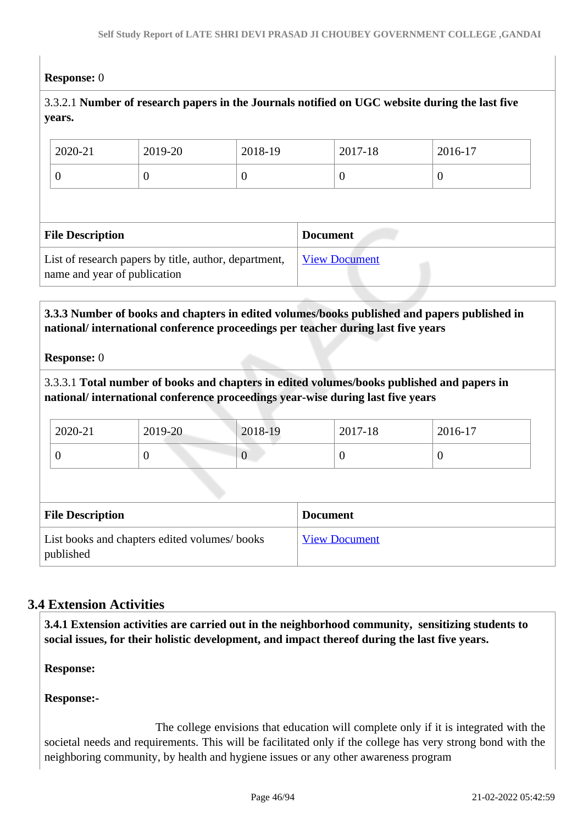## **Response:** 0

| 3.3.2.1 Number of research papers in the Journals notified on UGC website during the last five |  |
|------------------------------------------------------------------------------------------------|--|
| years.                                                                                         |  |

| 2020-21                 | 2019-20  | 2018-19  | 2017-18         | 2016-17 |  |
|-------------------------|----------|----------|-----------------|---------|--|
| $\theta$                | $\theta$ | $\theta$ | $\theta$        | U       |  |
|                         |          |          |                 |         |  |
|                         |          |          |                 |         |  |
| <b>File Description</b> |          |          | <b>Document</b> |         |  |

 **3.3.3 Number of books and chapters in edited volumes/books published and papers published in national/ international conference proceedings per teacher during last five years**

#### **Response:** 0

3.3.3.1 **Total number of books and chapters in edited volumes/books published and papers in national/ international conference proceedings year-wise during last five years**

| 2020-21 | 2019-20 | 2018-19 | 2017-18 | 2016-17 |
|---------|---------|---------|---------|---------|
|         |         | ν       |         |         |

| <b>File Description</b>                                   | <b>Document</b>      |
|-----------------------------------------------------------|----------------------|
| List books and chapters edited volumes/books<br>published | <b>View Document</b> |

#### **3.4 Extension Activities**

 **3.4.1 Extension activities are carried out in the neighborhood community, sensitizing students to social issues, for their holistic development, and impact thereof during the last five years.**

**Response:** 

**Response:-**

 The college envisions that education will complete only if it is integrated with the societal needs and requirements. This will be facilitated only if the college has very strong bond with the neighboring community, by health and hygiene issues or any other awareness program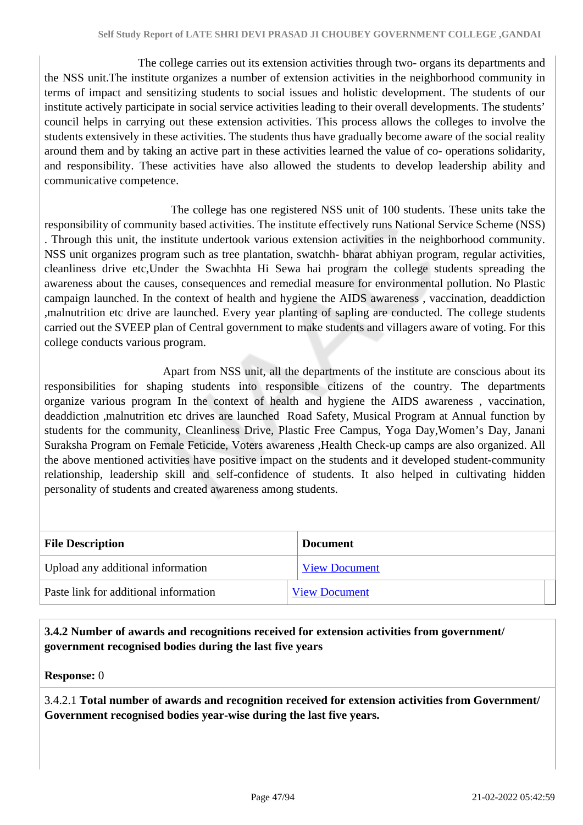The college carries out its extension activities through two- organs its departments and the NSS unit.The institute organizes a number of extension activities in the neighborhood community in terms of impact and sensitizing students to social issues and holistic development. The students of our institute actively participate in social service activities leading to their overall developments. The students' council helps in carrying out these extension activities. This process allows the colleges to involve the students extensively in these activities. The students thus have gradually become aware of the social reality around them and by taking an active part in these activities learned the value of co- operations solidarity, and responsibility. These activities have also allowed the students to develop leadership ability and communicative competence.

 The college has one registered NSS unit of 100 students. These units take the responsibility of community based activities. The institute effectively runs National Service Scheme (NSS) . Through this unit, the institute undertook various extension activities in the neighborhood community. NSS unit organizes program such as tree plantation, swatchh- bharat abhiyan program, regular activities, cleanliness drive etc,Under the Swachhta Hi Sewa hai program the college students spreading the awareness about the causes, consequences and remedial measure for environmental pollution. No Plastic campaign launched. In the context of health and hygiene the AIDS awareness , vaccination, deaddiction ,malnutrition etc drive are launched. Every year planting of sapling are conducted. The college students carried out the SVEEP plan of Central government to make students and villagers aware of voting. For this college conducts various program.

 Apart from NSS unit, all the departments of the institute are conscious about its responsibilities for shaping students into responsible citizens of the country. The departments organize various program In the context of health and hygiene the AIDS awareness , vaccination, deaddiction ,malnutrition etc drives are launched Road Safety, Musical Program at Annual function by students for the community, Cleanliness Drive, Plastic Free Campus, Yoga Day,Women's Day, Janani Suraksha Program on Female Feticide, Voters awareness ,Health Check-up camps are also organized. All the above mentioned activities have positive impact on the students and it developed student-community relationship, leadership skill and self-confidence of students. It also helped in cultivating hidden personality of students and created awareness among students.

| <b>File Description</b>               | <b>Document</b>      |  |
|---------------------------------------|----------------------|--|
| Upload any additional information     | <b>View Document</b> |  |
| Paste link for additional information | <b>View Document</b> |  |

## **3.4.2 Number of awards and recognitions received for extension activities from government/ government recognised bodies during the last five years**

#### **Response:** 0

3.4.2.1 **Total number of awards and recognition received for extension activities from Government/ Government recognised bodies year-wise during the last five years.**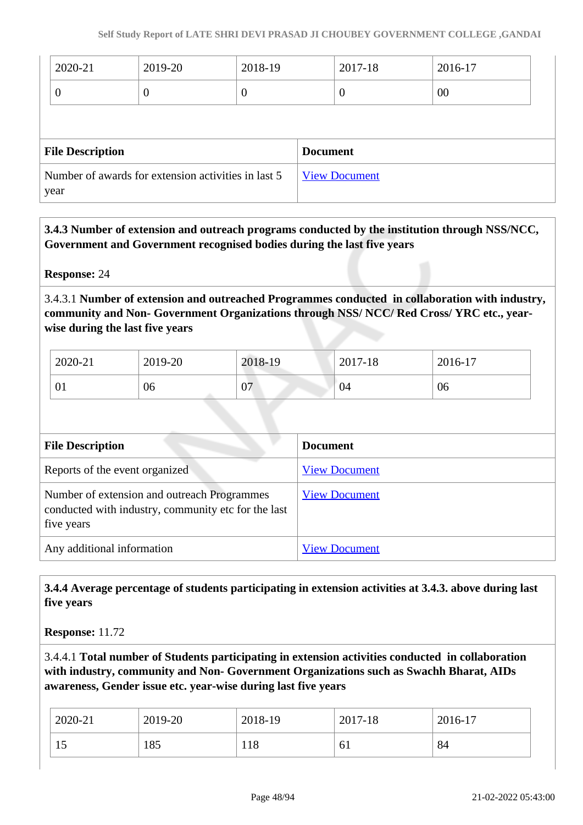| 2020-21                                                     | 2019-20  | 2018-19  |                      | 2017-18 | 2016-17 |  |
|-------------------------------------------------------------|----------|----------|----------------------|---------|---------|--|
| $\overline{0}$                                              | $\theta$ | $\theta$ | $\boldsymbol{0}$     |         | 00      |  |
|                                                             |          |          |                      |         |         |  |
| <b>File Description</b>                                     |          |          | <b>Document</b>      |         |         |  |
| Number of awards for extension activities in last 5<br>year |          |          | <b>View Document</b> |         |         |  |

 **3.4.3 Number of extension and outreach programs conducted by the institution through NSS/NCC, Government and Government recognised bodies during the last five years**

**Response:** 24

3.4.3.1 **Number of extension and outreached Programmes conducted in collaboration with industry, community and Non- Government Organizations through NSS/ NCC/ Red Cross/ YRC etc., yearwise during the last five years**

| 2020-21 | 2019-20 | 2018-19 | 2017<br>1 O<br>2011-10 | 2016-17 |
|---------|---------|---------|------------------------|---------|
| U1      | 06      | 07      | 04                     | 06      |

| <b>File Description</b>                                                                                          | <b>Document</b>      |
|------------------------------------------------------------------------------------------------------------------|----------------------|
| Reports of the event organized                                                                                   | <b>View Document</b> |
| Number of extension and outreach Programmes<br>conducted with industry, community etc for the last<br>five years | <b>View Document</b> |
| Any additional information                                                                                       | <b>View Document</b> |

 **3.4.4 Average percentage of students participating in extension activities at 3.4.3. above during last five years**

**Response:** 11.72

3.4.4.1 **Total number of Students participating in extension activities conducted in collaboration with industry, community and Non- Government Organizations such as Swachh Bharat, AIDs awareness, Gender issue etc. year-wise during last five years**

| 2020-21 | 2019-20 | 2018-19 | 2017-18 | 2016-17 |
|---------|---------|---------|---------|---------|
| ⊥J      | 185     | 118     | 61      | 84      |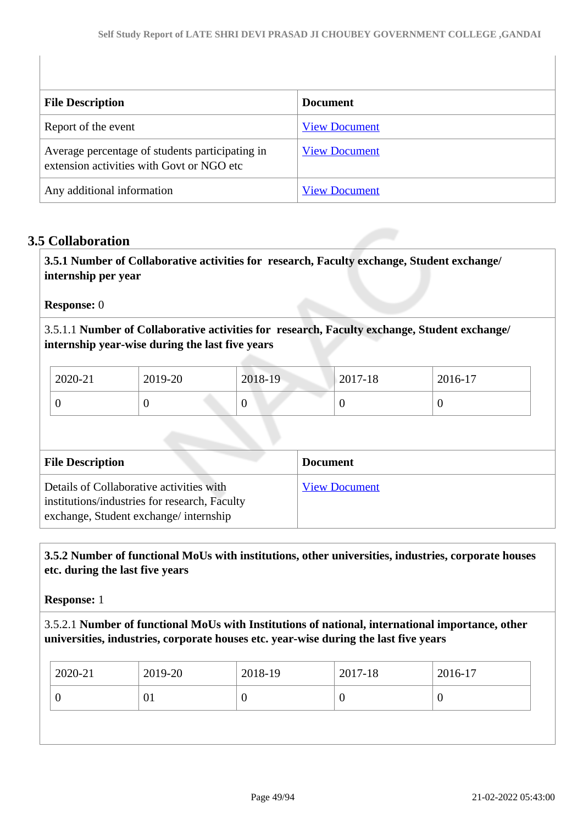| <b>File Description</b>                                                                      | <b>Document</b>      |
|----------------------------------------------------------------------------------------------|----------------------|
| Report of the event                                                                          | <b>View Document</b> |
| Average percentage of students participating in<br>extension activities with Govt or NGO etc | <b>View Document</b> |
| Any additional information                                                                   | <b>View Document</b> |

## **3.5 Collaboration**

 **3.5.1 Number of Collaborative activities for research, Faculty exchange, Student exchange/ internship per year**

**Response:** 0

3.5.1.1 **Number of Collaborative activities for research, Faculty exchange, Student exchange/ internship year-wise during the last five years**

| 2020-21 | 2019-20 | 2018-19 | $2017 - 18$ | 2016-17 |
|---------|---------|---------|-------------|---------|
|         |         |         | ◡           |         |

| <b>File Description</b>                                                                                                            | <b>Document</b>      |
|------------------------------------------------------------------------------------------------------------------------------------|----------------------|
| Details of Collaborative activities with<br>institutions/industries for research, Faculty<br>exchange, Student exchange/internship | <b>View Document</b> |

#### **3.5.2 Number of functional MoUs with institutions, other universities, industries, corporate houses etc. during the last five years**

**Response:** 1

3.5.2.1 **Number of functional MoUs with Institutions of national, international importance, other universities, industries, corporate houses etc. year-wise during the last five years**

| 2019-20<br>2020-21<br>2018-19<br>2017-18 | 2016-17 |
|------------------------------------------|---------|
| $\,0_{1}$<br>$\theta$<br>υ<br>ν          |         |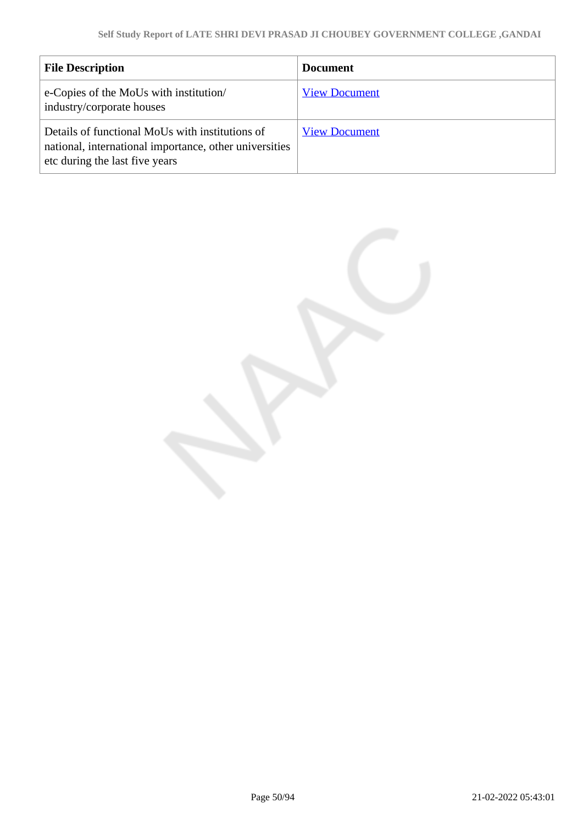| <b>File Description</b>                                                                                                                     | <b>Document</b>      |
|---------------------------------------------------------------------------------------------------------------------------------------------|----------------------|
| e-Copies of the MoUs with institution/<br>industry/corporate houses                                                                         | <b>View Document</b> |
| Details of functional MoUs with institutions of<br>national, international importance, other universities<br>etc during the last five years | <b>View Document</b> |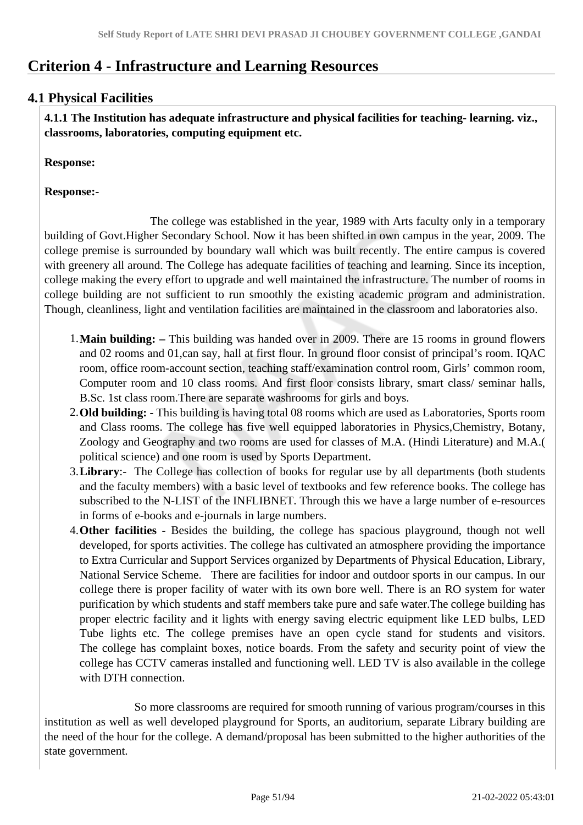# **Criterion 4 - Infrastructure and Learning Resources**

## **4.1 Physical Facilities**

 **4.1.1 The Institution has adequate infrastructure and physical facilities for teaching- learning. viz., classrooms, laboratories, computing equipment etc.** 

**Response:** 

**Response:-**

 The college was established in the year, 1989 with Arts faculty only in a temporary building of Govt.Higher Secondary School. Now it has been shifted in own campus in the year, 2009. The college premise is surrounded by boundary wall which was built recently. The entire campus is covered with greenery all around. The College has adequate facilities of teaching and learning. Since its inception, college making the every effort to upgrade and well maintained the infrastructure. The number of rooms in college building are not sufficient to run smoothly the existing academic program and administration. Though, cleanliness, light and ventilation facilities are maintained in the classroom and laboratories also.

- 1.**Main building:** This building was handed over in 2009. There are 15 rooms in ground flowers and 02 rooms and 01,can say, hall at first flour. In ground floor consist of principal's room. IQAC room, office room-account section, teaching staff/examination control room, Girls' common room, Computer room and 10 class rooms. And first floor consists library, smart class/ seminar halls, B.Sc. 1st class room.There are separate washrooms for girls and boys.
- 2.**Old building:** This building is having total 08 rooms which are used as Laboratories, Sports room and Class rooms. The college has five well equipped laboratories in Physics,Chemistry, Botany, Zoology and Geography and two rooms are used for classes of M.A. (Hindi Literature) and M.A.( political science) and one room is used by Sports Department.
- 3.**Library**:- The College has collection of books for regular use by all departments (both students and the faculty members) with a basic level of textbooks and few reference books. The college has subscribed to the N-LIST of the INFLIBNET. Through this we have a large number of e-resources in forms of e-books and e-journals in large numbers.
- 4.**Other facilities -** Besides the building, the college has spacious playground, though not well developed, for sports activities. The college has cultivated an atmosphere providing the importance to Extra Curricular and Support Services organized by Departments of Physical Education, Library, National Service Scheme. There are facilities for indoor and outdoor sports in our campus. In our college there is proper facility of water with its own bore well. There is an RO system for water purification by which students and staff members take pure and safe water.The college building has proper electric facility and it lights with energy saving electric equipment like LED bulbs, LED Tube lights etc. The college premises have an open cycle stand for students and visitors. The college has complaint boxes, notice boards. From the safety and security point of view the college has CCTV cameras installed and functioning well. LED TV is also available in the college with DTH connection.

 So more classrooms are required for smooth running of various program/courses in this institution as well as well developed playground for Sports, an auditorium, separate Library building are the need of the hour for the college. A demand/proposal has been submitted to the higher authorities of the state government.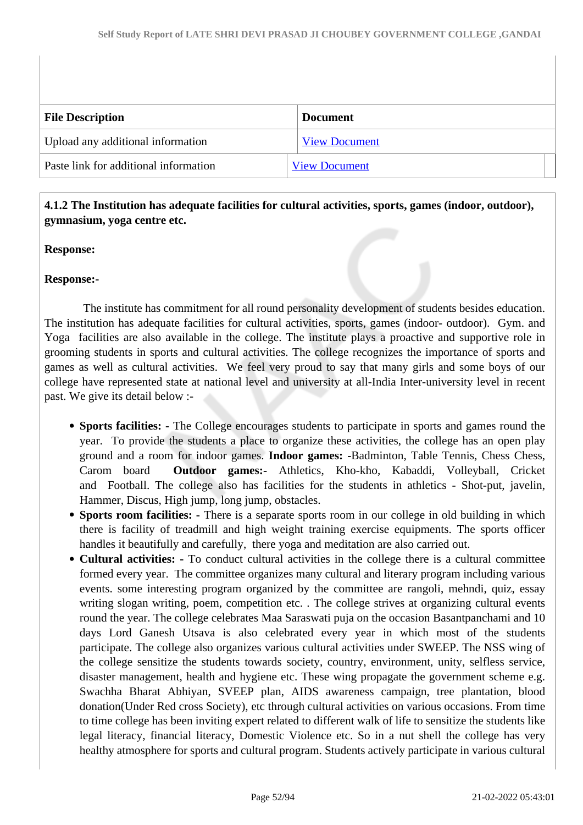| <b>File Description</b>               | <b>Document</b>      |  |
|---------------------------------------|----------------------|--|
| Upload any additional information     | <b>View Document</b> |  |
| Paste link for additional information | <b>View Document</b> |  |

## **4.1.2 The Institution has adequate facilities for cultural activities, sports, games (indoor, outdoor), gymnasium, yoga centre etc.**

## **Response:**

#### **Response:-**

 The institute has commitment for all round personality development of students besides education. The institution has adequate facilities for cultural activities, sports, games (indoor- outdoor). Gym. and Yoga facilities are also available in the college. The institute plays a proactive and supportive role in grooming students in sports and cultural activities. The college recognizes the importance of sports and games as well as cultural activities. We feel very proud to say that many girls and some boys of our college have represented state at national level and university at all-India Inter-university level in recent past. We give its detail below :-

- **Sports facilities: -** The College encourages students to participate in sports and games round the year. To provide the students a place to organize these activities, the college has an open play ground and a room for indoor games. **Indoor games: -**Badminton, Table Tennis, Chess Chess, Carom board **Outdoor games:-** Athletics, Kho-kho, Kabaddi, Volleyball, Cricket and Football. The college also has facilities for the students in athletics - Shot-put, javelin, Hammer, Discus, High jump, long jump, obstacles.
- **Sports room facilities:** There is a separate sports room in our college in old building in which there is facility of treadmill and high weight training exercise equipments. The sports officer handles it beautifully and carefully, there yoga and meditation are also carried out.
- **Cultural activities:** To conduct cultural activities in the college there is a cultural committee formed every year. The committee organizes many cultural and literary program including various events. some interesting program organized by the committee are rangoli, mehndi, quiz, essay writing slogan writing, poem, competition etc. . The college strives at organizing cultural events round the year. The college celebrates Maa Saraswati puja on the occasion Basantpanchami and 10 days Lord Ganesh Utsava is also celebrated every year in which most of the students participate. The college also organizes various cultural activities under SWEEP. The NSS wing of the college sensitize the students towards society, country, environment, unity, selfless service, disaster management, health and hygiene etc. These wing propagate the government scheme e.g. Swachha Bharat Abhiyan, SVEEP plan, AIDS awareness campaign, tree plantation, blood donation(Under Red cross Society), etc through cultural activities on various occasions. From time to time college has been inviting expert related to different walk of life to sensitize the students like legal literacy, financial literacy, Domestic Violence etc. So in a nut shell the college has very healthy atmosphere for sports and cultural program. Students actively participate in various cultural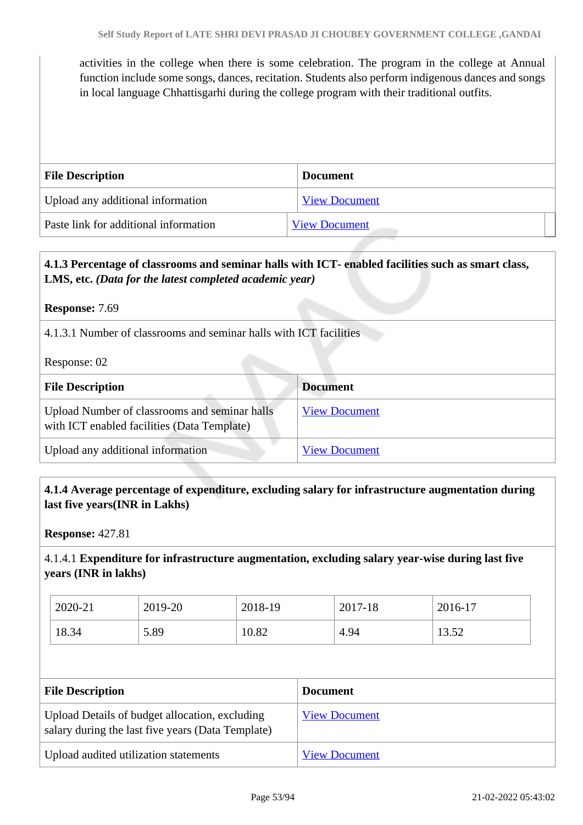activities in the college when there is some celebration. The program in the college at Annual function include some songs, dances, recitation. Students also perform indigenous dances and songs in local language Chhattisgarhi during the college program with their traditional outfits.

| <b>File Description</b>               | <b>Document</b>      |  |
|---------------------------------------|----------------------|--|
| Upload any additional information     | <b>View Document</b> |  |
| Paste link for additional information | <b>View Document</b> |  |

#### **4.1.3 Percentage of classrooms and seminar halls with ICT- enabled facilities such as smart class, LMS, etc.** *(Data for the latest completed academic year)*

#### **Response:** 7.69

4.1.3.1 Number of classrooms and seminar halls with ICT facilities

Response: 02

| <b>File Description</b>                                                                      | <b>Document</b>      |
|----------------------------------------------------------------------------------------------|----------------------|
| Upload Number of classrooms and seminar halls<br>with ICT enabled facilities (Data Template) | <b>View Document</b> |
| Upload any additional information                                                            | <b>View Document</b> |

#### **4.1.4 Average percentage of expenditure, excluding salary for infrastructure augmentation during last five years(INR in Lakhs)**

**Response:** 427.81

#### 4.1.4.1 **Expenditure for infrastructure augmentation, excluding salary year-wise during last five years (INR in lakhs)**

| 2020-21 | 2019-20 | 2018-19 | 2017-18 | 2016-17 |
|---------|---------|---------|---------|---------|
| 18.34   | 5.89    | 10.82   | 4.94    | 13.50   |

| <b>File Description</b>                                                                             | <b>Document</b>      |
|-----------------------------------------------------------------------------------------------------|----------------------|
| Upload Details of budget allocation, excluding<br>salary during the last five years (Data Template) | <b>View Document</b> |
| Upload audited utilization statements                                                               | <b>View Document</b> |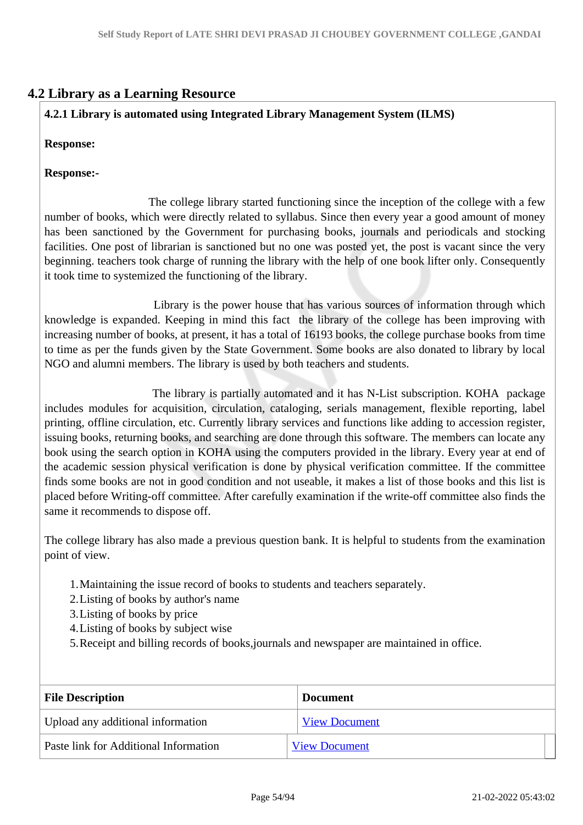## **4.2 Library as a Learning Resource**

## **4.2.1 Library is automated using Integrated Library Management System (ILMS)**

**Response:** 

#### **Response:-**

 The college library started functioning since the inception of the college with a few number of books, which were directly related to syllabus. Since then every year a good amount of money has been sanctioned by the Government for purchasing books, journals and periodicals and stocking facilities. One post of librarian is sanctioned but no one was posted yet, the post is vacant since the very beginning. teachers took charge of running the library with the help of one book lifter only. Consequently it took time to systemized the functioning of the library.

 Library is the power house that has various sources of information through which knowledge is expanded. Keeping in mind this fact the library of the college has been improving with increasing number of books, at present, it has a total of 16193 books, the college purchase books from time to time as per the funds given by the State Government. Some books are also donated to library by local NGO and alumni members. The library is used by both teachers and students.

 The library is partially automated and it has N-List subscription. KOHA package includes modules for acquisition, circulation, cataloging, serials management, flexible reporting, label printing, offline circulation, etc. Currently library services and functions like adding to accession register, issuing books, returning books, and searching are done through this software. The members can locate any book using the search option in KOHA using the computers provided in the library. Every year at end of the academic session physical verification is done by physical verification committee. If the committee finds some books are not in good condition and not useable, it makes a list of those books and this list is placed before Writing-off committee. After carefully examination if the write-off committee also finds the same it recommends to dispose off.

The college library has also made a previous question bank. It is helpful to students from the examination point of view.

- 1.Maintaining the issue record of books to students and teachers separately.
- 2.Listing of books by author's name
- 3.Listing of books by price
- 4.Listing of books by subject wise
- 5.Receipt and billing records of books,journals and newspaper are maintained in office.

| <b>File Description</b>                      | <b>Document</b>      |  |
|----------------------------------------------|----------------------|--|
| Upload any additional information            | <b>View Document</b> |  |
| <b>Paste link for Additional Information</b> | <b>View Document</b> |  |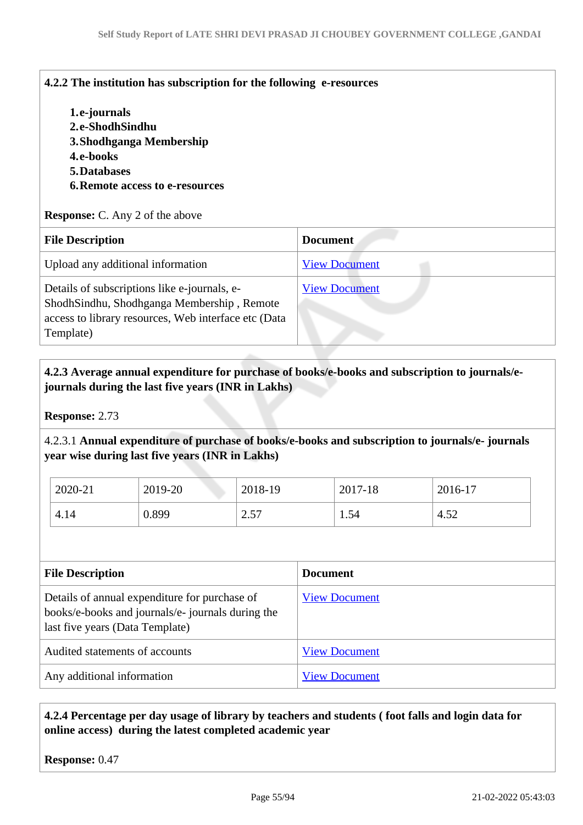#### **4.2.2 The institution has subscription for the following e-resources**

- **1.e-journals 2.e-ShodhSindhu 3.Shodhganga Membership 4.e-books 5.Databases**
- **6.Remote access to e-resources**

#### **Response:** C. Any 2 of the above

| <b>File Description</b>                                                                                                                                         | <b>Document</b>      |
|-----------------------------------------------------------------------------------------------------------------------------------------------------------------|----------------------|
| Upload any additional information                                                                                                                               | <b>View Document</b> |
| Details of subscriptions like e-journals, e-<br>ShodhSindhu, Shodhganga Membership, Remote<br>access to library resources, Web interface etc (Data<br>Template) | <b>View Document</b> |

#### **4.2.3 Average annual expenditure for purchase of books/e-books and subscription to journals/ejournals during the last five years (INR in Lakhs)**

**Response:** 2.73

4.2.3.1 **Annual expenditure of purchase of books/e-books and subscription to journals/e- journals year wise during last five years (INR in Lakhs)**

| 2020-21 | 2019-20 | 2018-19    | 2017-18 | 2016-17             |
|---------|---------|------------|---------|---------------------|
| 4.14    | 0.899   | 257<br>ا ن | 1.54    | $5^{\circ}$<br>4.52 |

| <b>File Description</b>                                                                                                               | <b>Document</b>      |
|---------------------------------------------------------------------------------------------------------------------------------------|----------------------|
| Details of annual expenditure for purchase of<br>books/e-books and journals/e- journals during the<br>last five years (Data Template) | <b>View Document</b> |
| Audited statements of accounts                                                                                                        | <b>View Document</b> |
| Any additional information                                                                                                            | <b>View Document</b> |

#### **4.2.4 Percentage per day usage of library by teachers and students ( foot falls and login data for online access) during the latest completed academic year**

**Response:** 0.47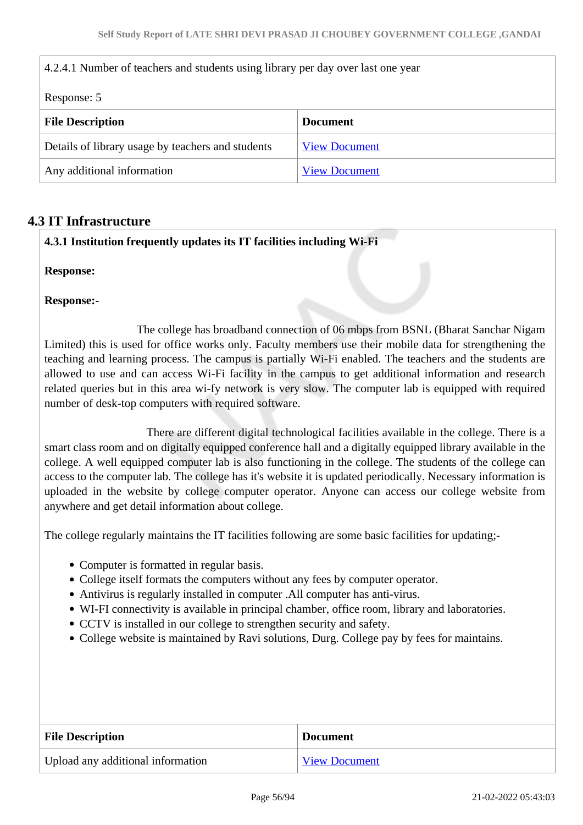| 4.2.4.1 Number of teachers and students using library per day over last one year |                      |  |
|----------------------------------------------------------------------------------|----------------------|--|
| Response: 5                                                                      |                      |  |
| <b>File Description</b>                                                          | <b>Document</b>      |  |
| Details of library usage by teachers and students                                | <b>View Document</b> |  |
| Any additional information                                                       | <b>View Document</b> |  |

## **4.3 IT Infrastructure**

#### **4.3.1 Institution frequently updates its IT facilities including Wi-Fi**

**Response:** 

**Response:-**

 The college has broadband connection of 06 mbps from BSNL (Bharat Sanchar Nigam Limited) this is used for office works only. Faculty members use their mobile data for strengthening the teaching and learning process. The campus is partially Wi-Fi enabled. The teachers and the students are allowed to use and can access Wi-Fi facility in the campus to get additional information and research related queries but in this area wi-fy network is very slow. The computer lab is equipped with required number of desk-top computers with required software.

 There are different digital technological facilities available in the college. There is a smart class room and on digitally equipped conference hall and a digitally equipped library available in the college. A well equipped computer lab is also functioning in the college. The students of the college can access to the computer lab. The college has it's website it is updated periodically. Necessary information is uploaded in the website by college computer operator. Anyone can access our college website from anywhere and get detail information about college.

The college regularly maintains the IT facilities following are some basic facilities for updating;-

- Computer is formatted in regular basis.
- College itself formats the computers without any fees by computer operator.
- Antivirus is regularly installed in computer .All computer has anti-virus.
- WI-FI connectivity is available in principal chamber, office room, library and laboratories.
- CCTV is installed in our college to strengthen security and safety.
- College website is maintained by Ravi solutions, Durg. College pay by fees for maintains.

| <b>File Description</b>           | <b>Document</b>      |
|-----------------------------------|----------------------|
| Upload any additional information | <b>View Document</b> |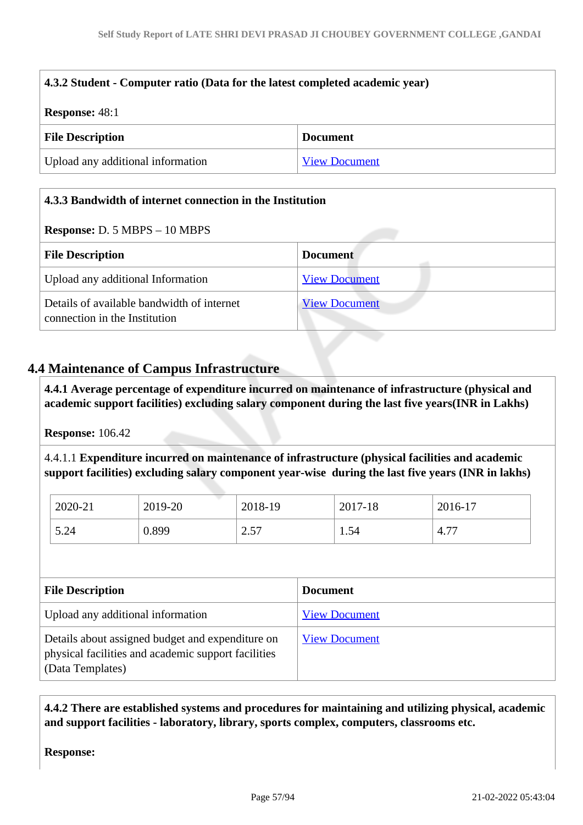#### **4.3.2 Student - Computer ratio (Data for the latest completed academic year)**

#### **Response:** 48:1

| <b>File Description</b>           | <b>Document</b> |
|-----------------------------------|-----------------|
| Upload any additional information | View Document   |

#### **4.3.3 Bandwidth of internet connection in the Institution**

#### **Response:** D. 5 MBPS – 10 MBPS

| <b>File Description</b>                                                     | <b>Document</b>      |
|-----------------------------------------------------------------------------|----------------------|
| Upload any additional Information                                           | <b>View Document</b> |
| Details of available bandwidth of internet<br>connection in the Institution | <b>View Document</b> |

## **4.4 Maintenance of Campus Infrastructure**

 **4.4.1 Average percentage of expenditure incurred on maintenance of infrastructure (physical and academic support facilities) excluding salary component during the last five years(INR in Lakhs)**

#### **Response:** 106.42

4.4.1.1 **Expenditure incurred on maintenance of infrastructure (physical facilities and academic support facilities) excluding salary component year-wise during the last five years (INR in lakhs)**

| 2020-21 | 2019-20 | 2018-19     | 2017-18 | 2016-17    |
|---------|---------|-------------|---------|------------|
| 5.24    | 0.899   | า รา<br>ا ت | 1.54    | 77<br>4.7. |

| <b>File Description</b>                                                                                                     | <b>Document</b>      |
|-----------------------------------------------------------------------------------------------------------------------------|----------------------|
| Upload any additional information                                                                                           | <b>View Document</b> |
| Details about assigned budget and expenditure on<br>physical facilities and academic support facilities<br>(Data Templates) | <b>View Document</b> |

 **4.4.2 There are established systems and procedures for maintaining and utilizing physical, academic and support facilities - laboratory, library, sports complex, computers, classrooms etc.**

**Response:**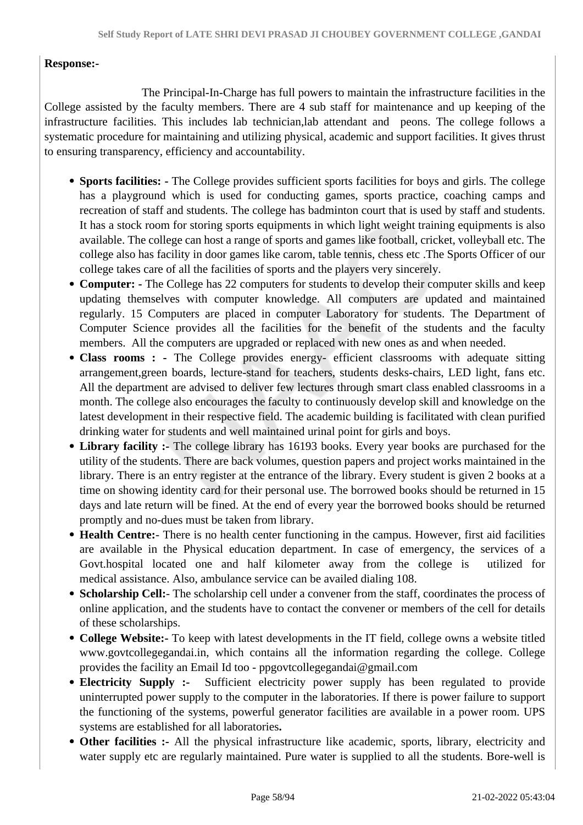#### **Response:-**

 The Principal-In-Charge has full powers to maintain the infrastructure facilities in the College assisted by the faculty members. There are 4 sub staff for maintenance and up keeping of the infrastructure facilities. This includes lab technician,lab attendant and peons. The college follows a systematic procedure for maintaining and utilizing physical, academic and support facilities. It gives thrust to ensuring transparency, efficiency and accountability.

- **Sports facilities: -** The College provides sufficient sports facilities for boys and girls. The college has a playground which is used for conducting games, sports practice, coaching camps and recreation of staff and students. The college has badminton court that is used by staff and students. It has a stock room for storing sports equipments in which light weight training equipments is also available. The college can host a range of sports and games like football, cricket, volleyball etc. The college also has facility in door games like carom, table tennis, chess etc .The Sports Officer of our college takes care of all the facilities of sports and the players very sincerely.
- **Computer: -** The College has 22 computers for students to develop their computer skills and keep updating themselves with computer knowledge. All computers are updated and maintained regularly. 15 Computers are placed in computer Laboratory for students. The Department of Computer Science provides all the facilities for the benefit of the students and the faculty members. All the computers are upgraded or replaced with new ones as and when needed.
- **Class rooms :** The College provides energy- efficient classrooms with adequate sitting arrangement,green boards, lecture-stand for teachers, students desks-chairs, LED light, fans etc. All the department are advised to deliver few lectures through smart class enabled classrooms in a month. The college also encourages the faculty to continuously develop skill and knowledge on the latest development in their respective field. The academic building is facilitated with clean purified drinking water for students and well maintained urinal point for girls and boys.
- **Library facility :-** The college library has 16193 books. Every year books are purchased for the utility of the students. There are back volumes, question papers and project works maintained in the library. There is an entry register at the entrance of the library. Every student is given 2 books at a time on showing identity card for their personal use. The borrowed books should be returned in 15 days and late return will be fined. At the end of every year the borrowed books should be returned promptly and no-dues must be taken from library.
- **Health Centre:** There is no health center functioning in the campus. However, first aid facilities are available in the Physical education department. In case of emergency, the services of a Govt.hospital located one and half kilometer away from the college is utilized for medical assistance. Also, ambulance service can be availed dialing 108.
- **Scholarship Cell:** The scholarship cell under a convener from the staff, coordinates the process of online application, and the students have to contact the convener or members of the cell for details of these scholarships.
- **College Website:-** To keep with latest developments in the IT field, college owns a website titled www.govtcollegegandai.in, which contains all the information regarding the college. College provides the facility an Email Id too - ppgovtcollegegandai@gmail.com
- **Electricity Supply :-** Sufficient electricity power supply has been regulated to provide uninterrupted power supply to the computer in the laboratories. If there is power failure to support the functioning of the systems, powerful generator facilities are available in a power room. UPS systems are established for all laboratories**.**
- **Other facilities :-** All the physical infrastructure like academic, sports, library, electricity and water supply etc are regularly maintained. Pure water is supplied to all the students. Bore-well is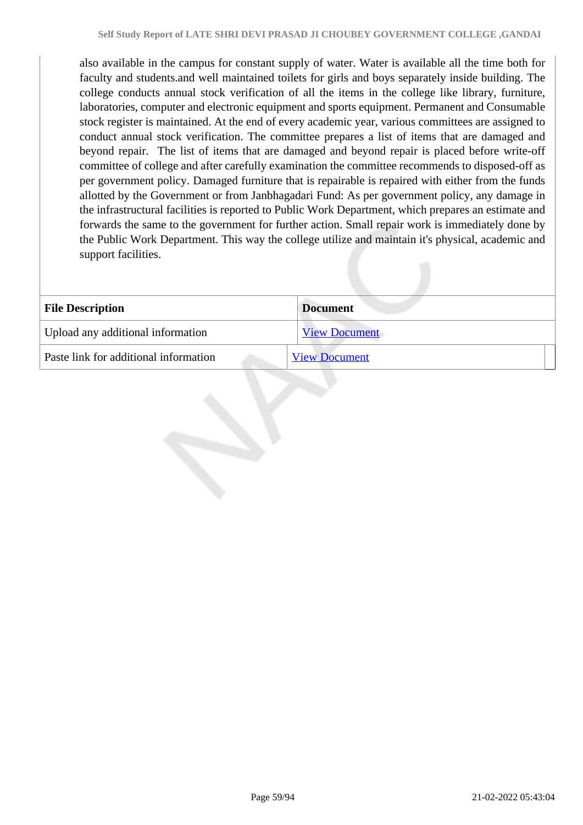also available in the campus for constant supply of water. Water is available all the time both for faculty and students.and well maintained toilets for girls and boys separately inside building. The college conducts annual stock verification of all the items in the college like library, furniture, laboratories, computer and electronic equipment and sports equipment. Permanent and Consumable stock register is maintained. At the end of every academic year, various committees are assigned to conduct annual stock verification. The committee prepares a list of items that are damaged and beyond repair. The list of items that are damaged and beyond repair is placed before write-off committee of college and after carefully examination the committee recommends to disposed-off as per government policy. Damaged furniture that is repairable is repaired with either from the funds allotted by the Government or from Janbhagadari Fund: As per government policy, any damage in the infrastructural facilities is reported to Public Work Department, which prepares an estimate and forwards the same to the government for further action. Small repair work is immediately done by the Public Work Department. This way the college utilize and maintain it's physical, academic and support facilities.

| <b>File Description</b>               | <b>Document</b>      |
|---------------------------------------|----------------------|
| Upload any additional information     | <b>View Document</b> |
| Paste link for additional information | <b>View Document</b> |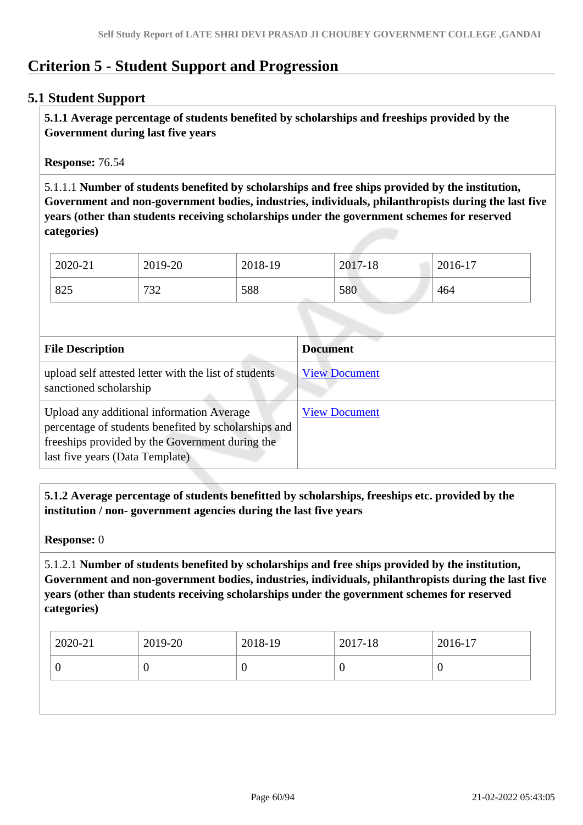## **Criterion 5 - Student Support and Progression**

## **5.1 Student Support**

 **5.1.1 Average percentage of students benefited by scholarships and freeships provided by the Government during last five years** 

**Response:** 76.54

5.1.1.1 **Number of students benefited by scholarships and free ships provided by the institution, Government and non-government bodies, industries, individuals, philanthropists during the last five years (other than students receiving scholarships under the government schemes for reserved categories)** 

| 2020-21 | 2019-20               | 2018-19 | 2017-18 | 2016-17 |
|---------|-----------------------|---------|---------|---------|
| 825     | 722<br>$J\mathcal{L}$ | 588     | 580     | 464     |

| <b>File Description</b>                                                                                                                                                                 | <b>Document</b>      |
|-----------------------------------------------------------------------------------------------------------------------------------------------------------------------------------------|----------------------|
| upload self attested letter with the list of students<br>sanctioned scholarship                                                                                                         | <b>View Document</b> |
| Upload any additional information Average<br>percentage of students benefited by scholarships and<br>freeships provided by the Government during the<br>last five years (Data Template) | <b>View Document</b> |

 **5.1.2 Average percentage of students benefitted by scholarships, freeships etc. provided by the institution / non- government agencies during the last five years**

**Response:** 0

5.1.2.1 **Number of students benefited by scholarships and free ships provided by the institution, Government and non-government bodies, industries, individuals, philanthropists during the last five years (other than students receiving scholarships under the government schemes for reserved categories)** 

| ν<br>ν<br>ν | 2020-21 | $2019-20$ | 2018-19 | 2017-18 | 2016-17 |
|-------------|---------|-----------|---------|---------|---------|
|             |         |           |         |         |         |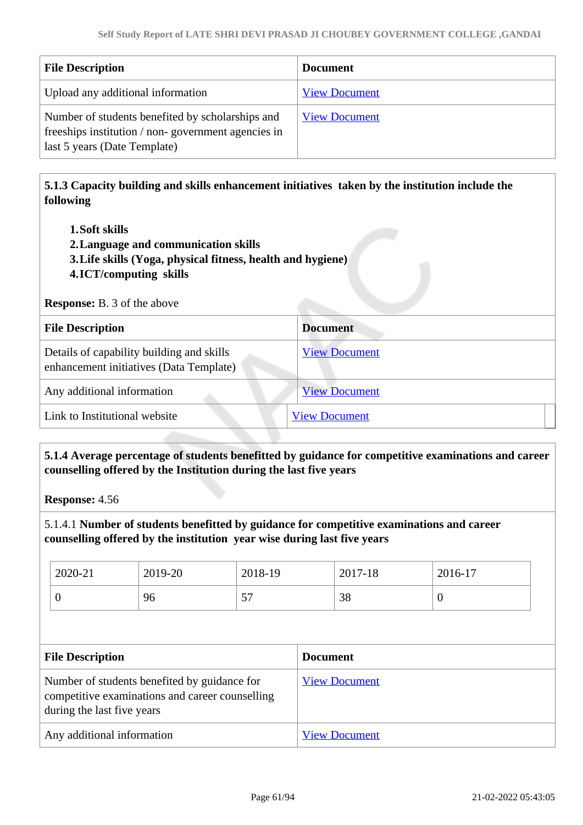| <b>File Description</b>                                                                                                                | <b>Document</b>      |
|----------------------------------------------------------------------------------------------------------------------------------------|----------------------|
| Upload any additional information                                                                                                      | <b>View Document</b> |
| Number of students benefited by scholarships and<br>freeships institution / non-government agencies in<br>last 5 years (Date Template) | <b>View Document</b> |

 **5.1.3 Capacity building and skills enhancement initiatives taken by the institution include the following**

#### **1.Soft skills**

- **2.Language and communication skills**
- **3.Life skills (Yoga, physical fitness, health and hygiene)**
- **4.ICT/computing skills**

**Response:** B. 3 of the above

| <b>File Description</b>                                                              | <b>Document</b>      |  |
|--------------------------------------------------------------------------------------|----------------------|--|
| Details of capability building and skills<br>enhancement initiatives (Data Template) | <b>View Document</b> |  |
| Any additional information                                                           | <b>View Document</b> |  |
| Link to Institutional website                                                        | <b>View Document</b> |  |

 **5.1.4 Average percentage of students benefitted by guidance for competitive examinations and career counselling offered by the Institution during the last five years**

**Response:** 4.56

5.1.4.1 **Number of students benefitted by guidance for competitive examinations and career counselling offered by the institution year wise during last five years**

| 2020-21<br>2019-20<br>2018-19<br>2017-18<br>2016-17 |  |
|-----------------------------------------------------|--|
| 38<br>57<br>96<br>0<br>∪                            |  |

| <b>File Description</b>                                                                                                       | <b>Document</b>      |
|-------------------------------------------------------------------------------------------------------------------------------|----------------------|
| Number of students benefited by guidance for<br>competitive examinations and career counselling<br>during the last five years | <b>View Document</b> |
| Any additional information                                                                                                    | <b>View Document</b> |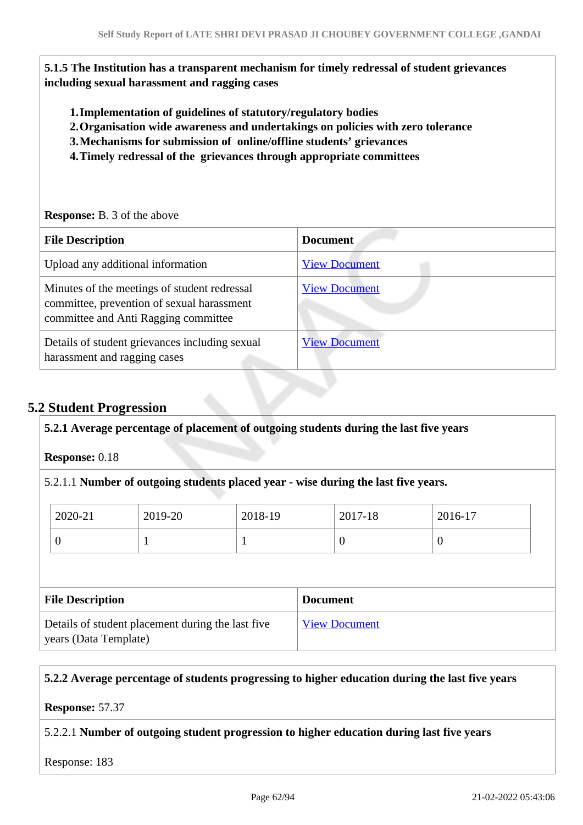**5.1.5 The Institution has a transparent mechanism for timely redressal of student grievances including sexual harassment and ragging cases**

- **1.Implementation of guidelines of statutory/regulatory bodies**
- **2.Organisation wide awareness and undertakings on policies with zero tolerance**
- **3.Mechanisms for submission of online/offline students' grievances**
- **4.Timely redressal of the grievances through appropriate committees**

#### **Response:** B. 3 of the above

| <b>File Description</b>                                                                                                            | <b>Document</b>      |
|------------------------------------------------------------------------------------------------------------------------------------|----------------------|
| Upload any additional information                                                                                                  | <b>View Document</b> |
| Minutes of the meetings of student redressal<br>committee, prevention of sexual harassment<br>committee and Anti Ragging committee | <b>View Document</b> |
| Details of student grievances including sexual<br>harassment and ragging cases                                                     | <b>View Document</b> |

## **5.2 Student Progression**

#### **5.2.1 Average percentage of placement of outgoing students during the last five years**

**Response:** 0.18

5.2.1.1 **Number of outgoing students placed year - wise during the last five years.**

| 2020-21 | 2019-20 | 2018-19 | 2017-18 | 2016-17 |
|---------|---------|---------|---------|---------|
|         |         |         | ν       |         |

| <b>File Description</b>                                                    | <b>Document</b>      |
|----------------------------------------------------------------------------|----------------------|
| Details of student placement during the last five<br>years (Data Template) | <b>View Document</b> |

#### **5.2.2 Average percentage of students progressing to higher education during the last five years**

#### **Response:** 57.37

5.2.2.1 **Number of outgoing student progression to higher education during last five years**

Response: 183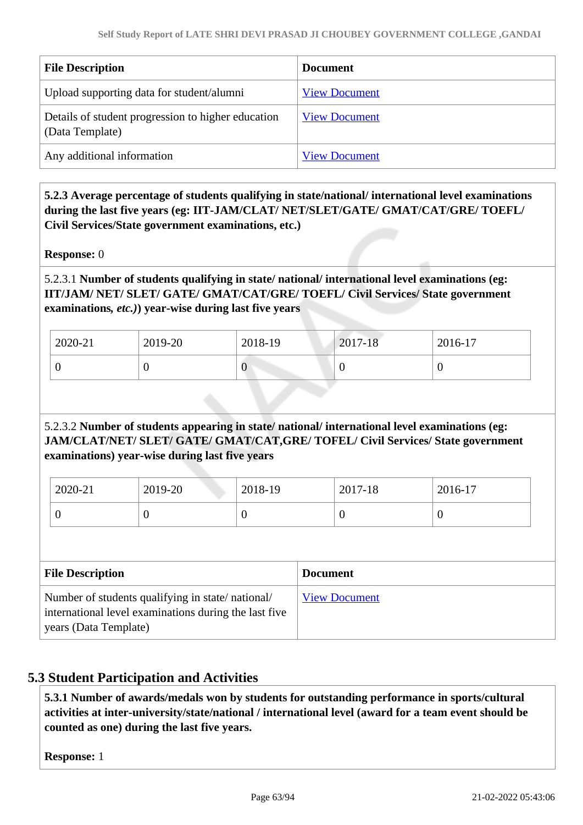| <b>File Description</b>                                               | <b>Document</b>      |
|-----------------------------------------------------------------------|----------------------|
| Upload supporting data for student/alumni                             | <b>View Document</b> |
| Details of student progression to higher education<br>(Data Template) | <b>View Document</b> |
| Any additional information                                            | <b>View Document</b> |

 **5.2.3 Average percentage of students qualifying in state/national/ international level examinations during the last five years (eg: IIT-JAM/CLAT/ NET/SLET/GATE/ GMAT/CAT/GRE/ TOEFL/ Civil Services/State government examinations, etc.)**

**Response:** 0

5.2.3.1 **Number of students qualifying in state/ national/ international level examinations (eg: IIT/JAM/ NET/ SLET/ GATE/ GMAT/CAT/GRE/ TOEFL/ Civil Services/ State government examinations***, etc.)***) year-wise during last five years**

| 2020-21 | 2019-20 | 2018-19 | 2017-18 | 2016-17 |
|---------|---------|---------|---------|---------|
|         |         | v       |         | ν       |

## 5.2.3.2 **Number of students appearing in state/ national/ international level examinations (eg: JAM/CLAT/NET/ SLET/ GATE/ GMAT/CAT,GRE/ TOFEL/ Civil Services/ State government examinations) year-wise during last five years**

| 2020-21 | 2019-20 | 2018-19 | 2017-18 | 2016-17 |
|---------|---------|---------|---------|---------|
|         |         | ν       |         | ν       |

| <b>File Description</b>                                                                                                            | <b>Document</b>      |
|------------------------------------------------------------------------------------------------------------------------------------|----------------------|
| Number of students qualifying in state/national/<br>international level examinations during the last five<br>years (Data Template) | <b>View Document</b> |

## **5.3 Student Participation and Activities**

 **5.3.1 Number of awards/medals won by students for outstanding performance in sports/cultural activities at inter-university/state/national / international level (award for a team event should be counted as one) during the last five years.**

**Response:** 1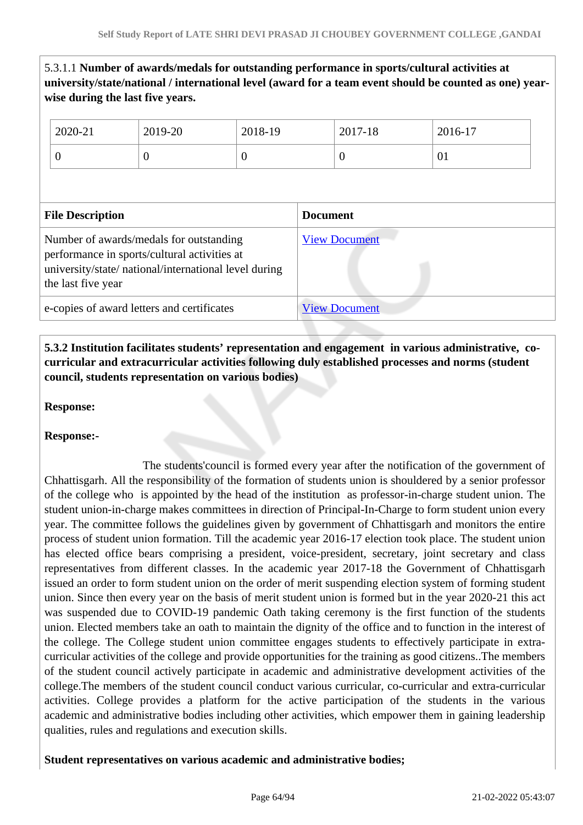# 5.3.1.1 **Number of awards/medals for outstanding performance in sports/cultural activities at university/state/national / international level (award for a team event should be counted as one) yearwise during the last five years.** 2020-21 2019-20 2018-19 2017-18 2016-17  $0$  0 0 0 **File Description Document** Number of awards/medals for outstanding performance in sports/cultural activities at university/state/ national/international level during the last five year [View Document](https://assessmentonline.naac.gov.in/storage/app/hei/SSR/109112/5.3.1_1644923112_6961.xlsx) e-copies of award letters and certificates [View Document](https://assessmentonline.naac.gov.in/storage/app/hei/SSR/109112/5.3.1_1644925689_6961.pdf)

## **5.3.2 Institution facilitates students' representation and engagement in various administrative, cocurricular and extracurricular activities following duly established processes and norms (student council, students representation on various bodies)**

**Response:** 

**Response:-**

 The students'council is formed every year after the notification of the government of Chhattisgarh. All the responsibility of the formation of students union is shouldered by a senior professor of the college who is appointed by the head of the institution as professor-in-charge student union. The student union-in-charge makes committees in direction of Principal-In-Charge to form student union every year. The committee follows the guidelines given by government of Chhattisgarh and monitors the entire process of student union formation. Till the academic year 2016-17 election took place. The student union has elected office bears comprising a president, voice-president, secretary, joint secretary and class representatives from different classes. In the academic year 2017-18 the Government of Chhattisgarh issued an order to form student union on the order of merit suspending election system of forming student union. Since then every year on the basis of merit student union is formed but in the year 2020-21 this act was suspended due to COVID-19 pandemic Oath taking ceremony is the first function of the students union. Elected members take an oath to maintain the dignity of the office and to function in the interest of the college. The College student union committee engages students to effectively participate in extracurricular activities of the college and provide opportunities for the training as good citizens..The members of the student council actively participate in academic and administrative development activities of the college.The members of the student council conduct various curricular, co-curricular and extra-curricular activities. College provides a platform for the active participation of the students in the various academic and administrative bodies including other activities, which empower them in gaining leadership qualities, rules and regulations and execution skills.

#### **Student representatives on various academic and administrative bodies;**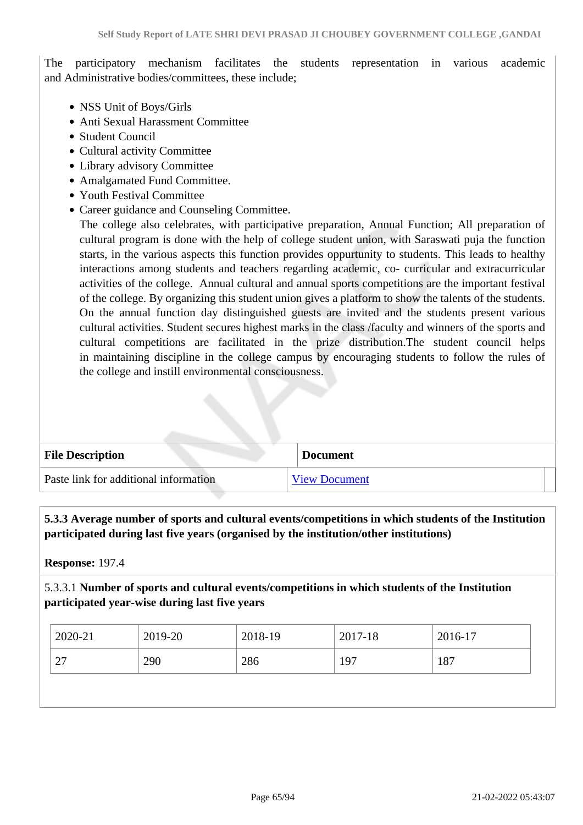The participatory mechanism facilitates the students representation in various academic and Administrative bodies/committees, these include;

- NSS Unit of Boys/Girls
- Anti Sexual Harassment Committee
- Student Council
- Cultural activity Committee
- Library advisory Committee
- Amalgamated Fund Committee.
- Youth Festival Committee
- Career guidance and Counseling Committee.

The college also celebrates, with participative preparation, Annual Function; All preparation of cultural program is done with the help of college student union, with Saraswati puja the function starts, in the various aspects this function provides oppurtunity to students. This leads to healthy interactions among students and teachers regarding academic, co- curricular and extracurricular activities of the college. Annual cultural and annual sports competitions are the important festival of the college. By organizing this student union gives a platform to show the talents of the students. On the annual function day distinguished guests are invited and the students present various cultural activities. Student secures highest marks in the class /faculty and winners of the sports and cultural competitions are facilitated in the prize distribution.The student council helps in maintaining discipline in the college campus by encouraging students to follow the rules of the college and instill environmental consciousness.

| <b>File Description</b>               | <b>Document</b> |
|---------------------------------------|-----------------|
| Paste link for additional information | View Document   |

 **5.3.3 Average number of sports and cultural events/competitions in which students of the Institution participated during last five years (organised by the institution/other institutions)**

**Response:** 197.4

5.3.3.1 **Number of sports and cultural events/competitions in which students of the Institution participated year-wise during last five years**

| 2020-21                            | 2019-20 | 2018-19 | 2017-18 | 2016-17 |
|------------------------------------|---------|---------|---------|---------|
| $\sim$<br>$\overline{\phantom{0}}$ | 290     | 286     | 197     | 187     |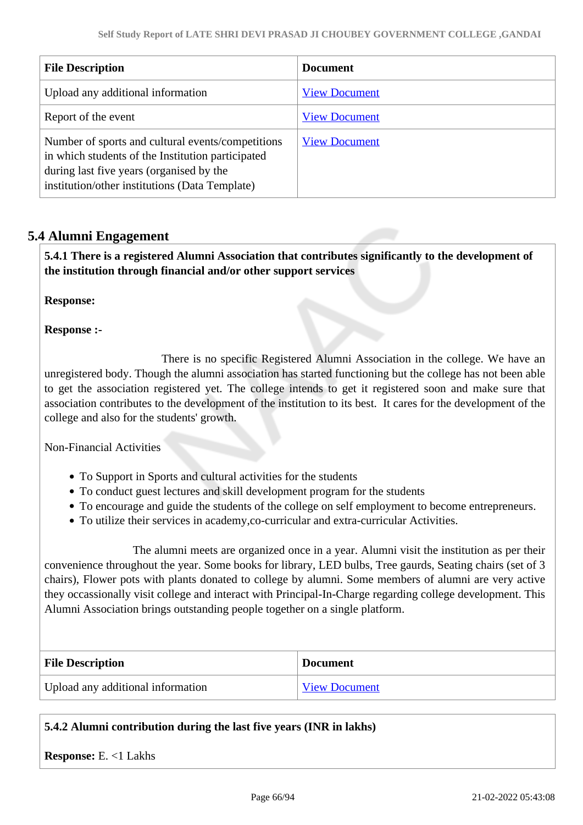| <b>File Description</b>                                                                                                                                                                              | <b>Document</b>      |
|------------------------------------------------------------------------------------------------------------------------------------------------------------------------------------------------------|----------------------|
| Upload any additional information                                                                                                                                                                    | <b>View Document</b> |
| Report of the event                                                                                                                                                                                  | <b>View Document</b> |
| Number of sports and cultural events/competitions<br>in which students of the Institution participated<br>during last five years (organised by the<br>institution/other institutions (Data Template) | <b>View Document</b> |

## **5.4 Alumni Engagement**

 **5.4.1 There is a registered Alumni Association that contributes significantly to the development of the institution through financial and/or other support services**

**Response:** 

**Response :-**

 There is no specific Registered Alumni Association in the college. We have an unregistered body. Though the alumni association has started functioning but the college has not been able to get the association registered yet. The college intends to get it registered soon and make sure that association contributes to the development of the institution to its best. It cares for the development of the college and also for the students' growth.

Non-Financial Activities

- To Support in Sports and cultural activities for the students
- To conduct guest lectures and skill development program for the students
- To encourage and guide the students of the college on self employment to become entrepreneurs.
- To utilize their services in academy,co-curricular and extra-curricular Activities.

 The alumni meets are organized once in a year. Alumni visit the institution as per their convenience throughout the year. Some books for library, LED bulbs, Tree gaurds, Seating chairs (set of 3 chairs), Flower pots with plants donated to college by alumni. Some members of alumni are very active they occassionally visit college and interact with Principal-In-Charge regarding college development. This Alumni Association brings outstanding people together on a single platform.

| <b>File Description</b>           | <b>Document</b>      |
|-----------------------------------|----------------------|
| Upload any additional information | <b>View Document</b> |

#### **5.4.2 Alumni contribution during the last five years (INR in lakhs)**

**Response:** E. <1 Lakhs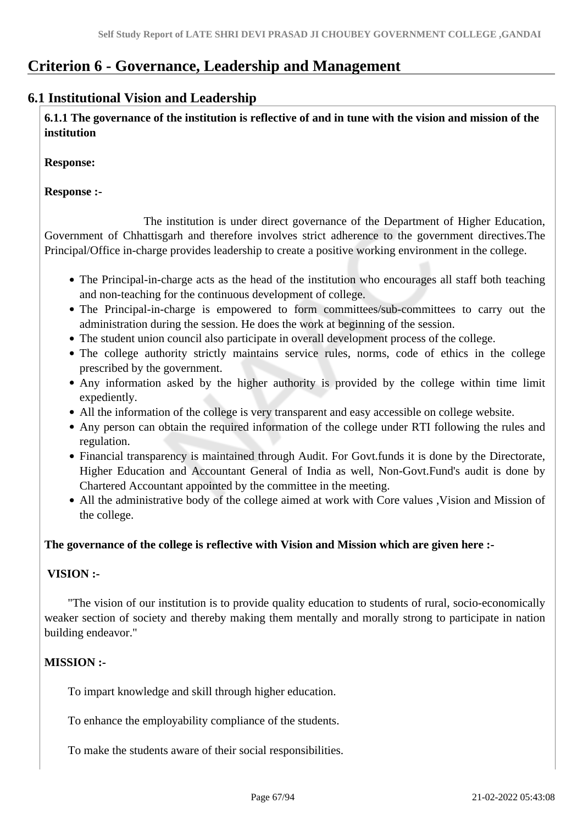# **Criterion 6 - Governance, Leadership and Management**

## **6.1 Institutional Vision and Leadership**

 **6.1.1 The governance of the institution is reflective of and in tune with the vision and mission of the institution**

**Response:** 

**Response :-**

 The institution is under direct governance of the Department of Higher Education, Government of Chhattisgarh and therefore involves strict adherence to the government directives.The Principal/Office in-charge provides leadership to create a positive working environment in the college.

- The Principal-in-charge acts as the head of the institution who encourages all staff both teaching and non-teaching for the continuous development of college.
- The Principal-in-charge is empowered to form committees/sub-committees to carry out the administration during the session. He does the work at beginning of the session.
- The student union council also participate in overall development process of the college.
- The college authority strictly maintains service rules, norms, code of ethics in the college prescribed by the government.
- Any information asked by the higher authority is provided by the college within time limit expediently.
- All the information of the college is very transparent and easy accessible on college website.
- Any person can obtain the required information of the college under RTI following the rules and regulation.
- Financial transparency is maintained through Audit. For Govt.funds it is done by the Directorate, Higher Education and Accountant General of India as well, Non-Govt.Fund's audit is done by Chartered Accountant appointed by the committee in the meeting.
- All the administrative body of the college aimed at work with Core values ,Vision and Mission of the college.

#### **The governance of the college is reflective with Vision and Mission which are given here :-**

#### **VISION :-**

 "The vision of our institution is to provide quality education to students of rural, socio-economically weaker section of society and thereby making them mentally and morally strong to participate in nation building endeavor."

#### **MISSION :-**

To impart knowledge and skill through higher education.

To enhance the employability compliance of the students.

To make the students aware of their social responsibilities.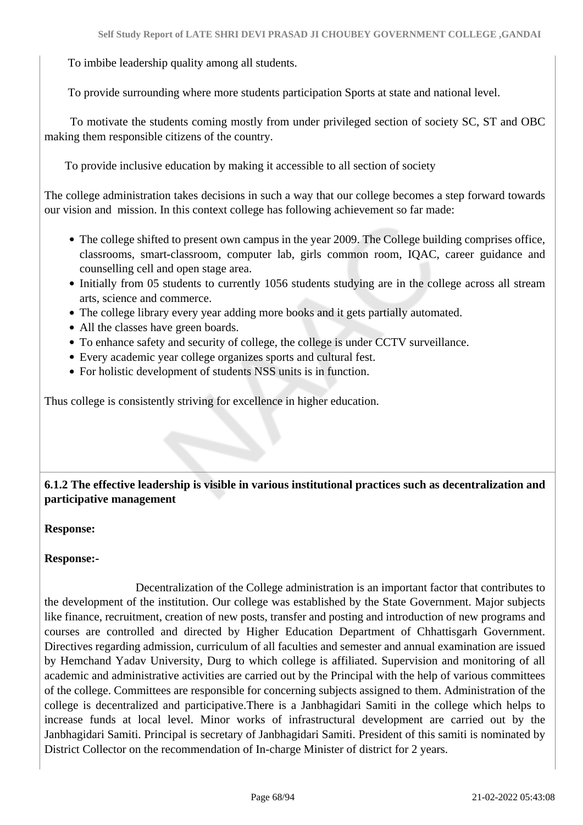To imbibe leadership quality among all students.

To provide surrounding where more students participation Sports at state and national level.

 To motivate the students coming mostly from under privileged section of society SC, ST and OBC making them responsible citizens of the country.

To provide inclusive education by making it accessible to all section of society

The college administration takes decisions in such a way that our college becomes a step forward towards our vision and mission. In this context college has following achievement so far made:

- The college shifted to present own campus in the year 2009. The College building comprises office, classrooms, smart-classroom, computer lab, girls common room, IQAC, career guidance and counselling cell and open stage area.
- Initially from 05 students to currently 1056 students studying are in the college across all stream arts, science and commerce.
- The college library every year adding more books and it gets partially automated.
- All the classes have green boards.
- To enhance safety and security of college, the college is under CCTV surveillance.
- Every academic year college organizes sports and cultural fest.
- For holistic development of students NSS units is in function.

Thus college is consistently striving for excellence in higher education.

## **6.1.2 The effective leadership is visible in various institutional practices such as decentralization and participative management**

#### **Response:**

#### **Response:-**

 Decentralization of the College administration is an important factor that contributes to the development of the institution. Our college was established by the State Government. Major subjects like finance, recruitment, creation of new posts, transfer and posting and introduction of new programs and courses are controlled and directed by Higher Education Department of Chhattisgarh Government. Directives regarding admission, curriculum of all faculties and semester and annual examination are issued by Hemchand Yadav University, Durg to which college is affiliated. Supervision and monitoring of all academic and administrative activities are carried out by the Principal with the help of various committees of the college. Committees are responsible for concerning subjects assigned to them. Administration of the college is decentralized and participative.There is a Janbhagidari Samiti in the college which helps to increase funds at local level. Minor works of infrastructural development are carried out by the Janbhagidari Samiti. Principal is secretary of Janbhagidari Samiti. President of this samiti is nominated by District Collector on the recommendation of In-charge Minister of district for 2 years.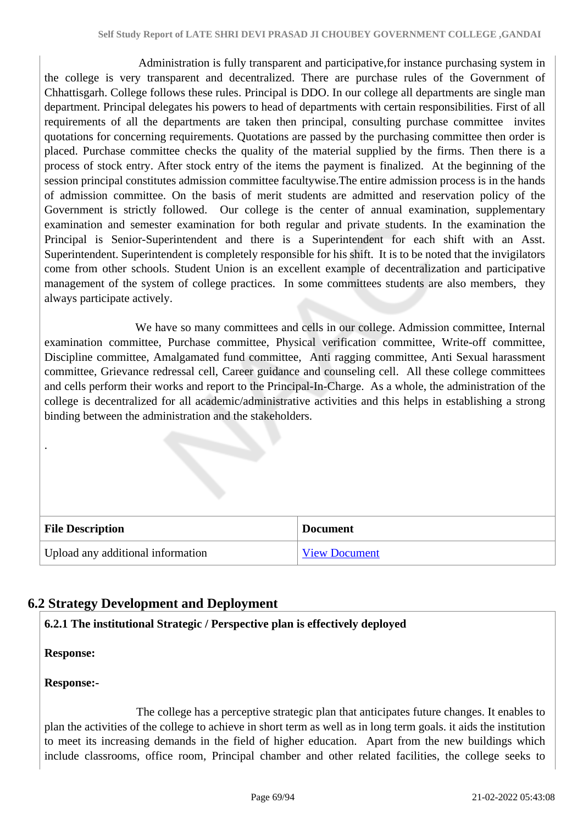Administration is fully transparent and participative,for instance purchasing system in the college is very transparent and decentralized. There are purchase rules of the Government of Chhattisgarh. College follows these rules. Principal is DDO. In our college all departments are single man department. Principal delegates his powers to head of departments with certain responsibilities. First of all requirements of all the departments are taken then principal, consulting purchase committee invites quotations for concerning requirements. Quotations are passed by the purchasing committee then order is placed. Purchase committee checks the quality of the material supplied by the firms. Then there is a process of stock entry. After stock entry of the items the payment is finalized. At the beginning of the session principal constitutes admission committee facultywise.The entire admission process is in the hands of admission committee. On the basis of merit students are admitted and reservation policy of the Government is strictly followed. Our college is the center of annual examination, supplementary examination and semester examination for both regular and private students. In the examination the Principal is Senior-Superintendent and there is a Superintendent for each shift with an Asst. Superintendent. Superintendent is completely responsible for his shift. It is to be noted that the invigilators come from other schools. Student Union is an excellent example of decentralization and participative management of the system of college practices. In some committees students are also members, they always participate actively.

 We have so many committees and cells in our college. Admission committee, Internal examination committee, Purchase committee, Physical verification committee, Write-off committee, Discipline committee, Amalgamated fund committee, Anti ragging committee, Anti Sexual harassment committee, Grievance redressal cell, Career guidance and counseling cell. All these college committees and cells perform their works and report to the Principal-In-Charge. As a whole, the administration of the college is decentralized for all academic/administrative activities and this helps in establishing a strong binding between the administration and the stakeholders.

| <b>File Description</b>           | <b>Document</b>      |
|-----------------------------------|----------------------|
| Upload any additional information | <b>View Document</b> |

## **6.2 Strategy Development and Deployment**

#### **6.2.1 The institutional Strategic / Perspective plan is effectively deployed**

**Response:** 

.

**Response:-**

 The college has a perceptive strategic plan that anticipates future changes. It enables to plan the activities of the college to achieve in short term as well as in long term goals. it aids the institution to meet its increasing demands in the field of higher education. Apart from the new buildings which include classrooms, office room, Principal chamber and other related facilities, the college seeks to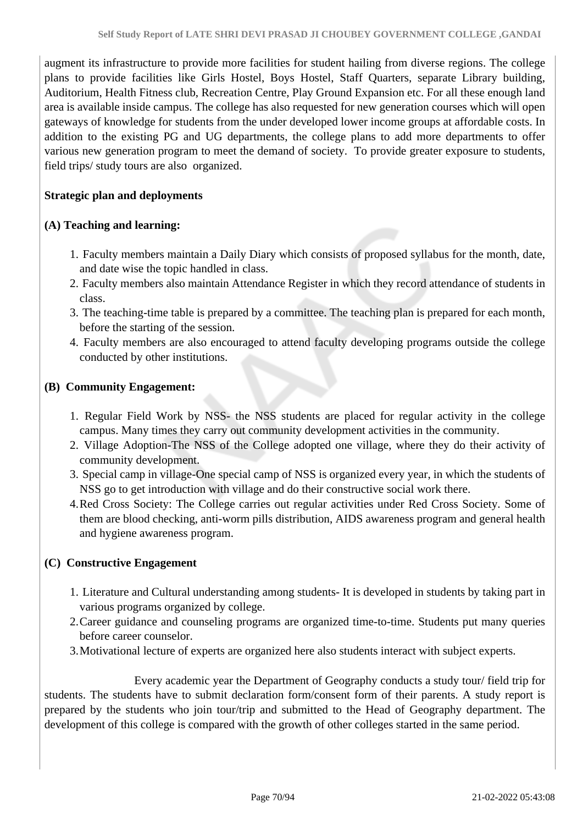augment its infrastructure to provide more facilities for student hailing from diverse regions. The college plans to provide facilities like Girls Hostel, Boys Hostel, Staff Quarters, separate Library building, Auditorium, Health Fitness club, Recreation Centre, Play Ground Expansion etc. For all these enough land area is available inside campus. The college has also requested for new generation courses which will open gateways of knowledge for students from the under developed lower income groups at affordable costs. In addition to the existing PG and UG departments, the college plans to add more departments to offer various new generation program to meet the demand of society. To provide greater exposure to students, field trips/ study tours are also organized.

#### **Strategic plan and deployments**

#### **(A) Teaching and learning:**

- 1. Faculty members maintain a Daily Diary which consists of proposed syllabus for the month, date, and date wise the topic handled in class.
- 2. Faculty members also maintain Attendance Register in which they record attendance of students in class.
- 3. The teaching-time table is prepared by a committee. The teaching plan is prepared for each month, before the starting of the session.
- 4. Faculty members are also encouraged to attend faculty developing programs outside the college conducted by other institutions.

#### **(B) Community Engagement:**

- 1. Regular Field Work by NSS- the NSS students are placed for regular activity in the college campus. Many times they carry out community development activities in the community.
- 2. Village Adoption-The NSS of the College adopted one village, where they do their activity of community development.
- 3. Special camp in village-One special camp of NSS is organized every year, in which the students of NSS go to get introduction with village and do their constructive social work there.
- 4.Red Cross Society: The College carries out regular activities under Red Cross Society. Some of them are blood checking, anti-worm pills distribution, AIDS awareness program and general health and hygiene awareness program.

#### **(C) Constructive Engagement**

- 1. Literature and Cultural understanding among students- It is developed in students by taking part in various programs organized by college.
- 2.Career guidance and counseling programs are organized time-to-time. Students put many queries before career counselor.
- 3.Motivational lecture of experts are organized here also students interact with subject experts.

 Every academic year the Department of Geography conducts a study tour/ field trip for students. The students have to submit declaration form/consent form of their parents. A study report is prepared by the students who join tour/trip and submitted to the Head of Geography department. The development of this college is compared with the growth of other colleges started in the same period.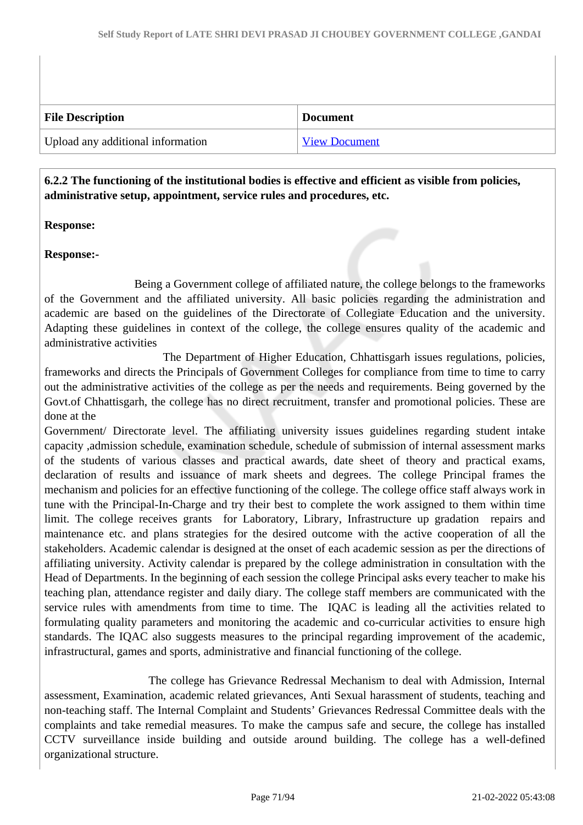| <b>File Description</b>           | Document             |
|-----------------------------------|----------------------|
| Upload any additional information | <b>View Document</b> |

## **6.2.2 The functioning of the institutional bodies is effective and efficient as visible from policies, administrative setup, appointment, service rules and procedures, etc.**

#### **Response:**

#### **Response:-**

Being a Government college of affiliated nature, the college belongs to the frameworks of the Government and the affiliated university. All basic policies regarding the administration and academic are based on the guidelines of the Directorate of Collegiate Education and the university. Adapting these guidelines in context of the college, the college ensures quality of the academic and administrative activities

 The Department of Higher Education, Chhattisgarh issues regulations, policies, frameworks and directs the Principals of Government Colleges for compliance from time to time to carry out the administrative activities of the college as per the needs and requirements. Being governed by the Govt.of Chhattisgarh, the college has no direct recruitment, transfer and promotional policies. These are done at the

Government/ Directorate level. The affiliating university issues guidelines regarding student intake capacity ,admission schedule, examination schedule, schedule of submission of internal assessment marks of the students of various classes and practical awards, date sheet of theory and practical exams, declaration of results and issuance of mark sheets and degrees. The college Principal frames the mechanism and policies for an effective functioning of the college. The college office staff always work in tune with the Principal-In-Charge and try their best to complete the work assigned to them within time limit. The college receives grants for Laboratory, Library, Infrastructure up gradation repairs and maintenance etc. and plans strategies for the desired outcome with the active cooperation of all the stakeholders. Academic calendar is designed at the onset of each academic session as per the directions of affiliating university. Activity calendar is prepared by the college administration in consultation with the Head of Departments. In the beginning of each session the college Principal asks every teacher to make his teaching plan, attendance register and daily diary. The college staff members are communicated with the service rules with amendments from time to time. The IQAC is leading all the activities related to formulating quality parameters and monitoring the academic and co-curricular activities to ensure high standards. The IQAC also suggests measures to the principal regarding improvement of the academic, infrastructural, games and sports, administrative and financial functioning of the college.

 The college has Grievance Redressal Mechanism to deal with Admission, Internal assessment, Examination, academic related grievances, Anti Sexual harassment of students, teaching and non-teaching staff. The Internal Complaint and Students' Grievances Redressal Committee deals with the complaints and take remedial measures. To make the campus safe and secure, the college has installed CCTV surveillance inside building and outside around building. The college has a well-defined organizational structure.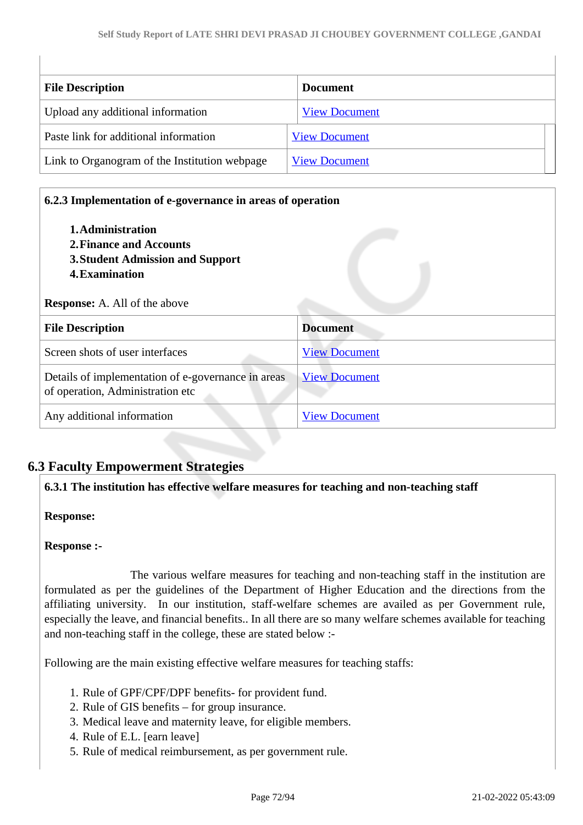| <b>File Description</b>                       | <b>Document</b>      |
|-----------------------------------------------|----------------------|
| Upload any additional information             | <b>View Document</b> |
| Paste link for additional information         | <b>View Document</b> |
| Link to Organogram of the Institution webpage | <b>View Document</b> |

| 6.2.3 Implementation of e-governance in areas of operation<br>1. Administration<br>2. Finance and Accounts<br><b>3. Student Admission and Support</b><br>4. Examination<br><b>Response:</b> A. All of the above |                      |  |
|-----------------------------------------------------------------------------------------------------------------------------------------------------------------------------------------------------------------|----------------------|--|
| <b>File Description</b>                                                                                                                                                                                         | <b>Document</b>      |  |
| Screen shots of user interfaces                                                                                                                                                                                 | <b>View Document</b> |  |
| Details of implementation of e-governance in areas<br>of operation, Administration etc                                                                                                                          | <b>View Document</b> |  |
| Any additional information                                                                                                                                                                                      | <b>View Document</b> |  |

## **6.3 Faculty Empowerment Strategies**

#### **6.3.1 The institution has effective welfare measures for teaching and non-teaching staff**

#### **Response:**

#### **Response :-**

 The various welfare measures for teaching and non-teaching staff in the institution are formulated as per the guidelines of the Department of Higher Education and the directions from the affiliating university. In our institution, staff-welfare schemes are availed as per Government rule, especially the leave, and financial benefits.. In all there are so many welfare schemes available for teaching and non-teaching staff in the college, these are stated below :-

Following are the main existing effective welfare measures for teaching staffs:

- 1. Rule of GPF/CPF/DPF benefits- for provident fund.
- 2. Rule of GIS benefits for group insurance.
- 3. Medical leave and maternity leave, for eligible members.
- 4. Rule of E.L. [earn leave]
- 5. Rule of medical reimbursement, as per government rule.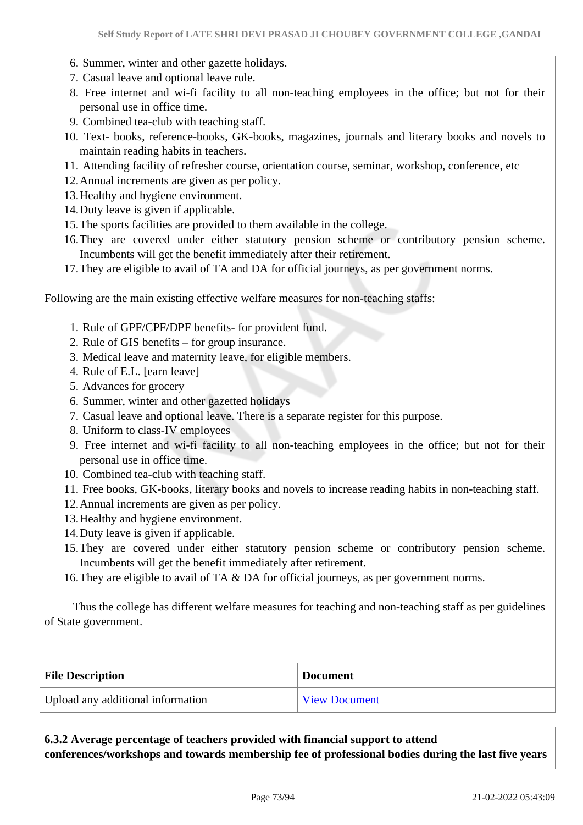- 6. Summer, winter and other gazette holidays.
- 7. Casual leave and optional leave rule.
- 8. Free internet and wi-fi facility to all non-teaching employees in the office; but not for their personal use in office time.
- 9. Combined tea-club with teaching staff.
- 10. Text- books, reference-books, GK-books, magazines, journals and literary books and novels to maintain reading habits in teachers.
- 11. Attending facility of refresher course, orientation course, seminar, workshop, conference, etc
- 12.Annual increments are given as per policy.
- 13.Healthy and hygiene environment.
- 14.Duty leave is given if applicable.
- 15.The sports facilities are provided to them available in the college.
- 16.They are covered under either statutory pension scheme or contributory pension scheme. Incumbents will get the benefit immediately after their retirement.
- 17.They are eligible to avail of TA and DA for official journeys, as per government norms.

Following are the main existing effective welfare measures for non-teaching staffs:

- 1. Rule of GPF/CPF/DPF benefits- for provident fund.
- 2. Rule of GIS benefits for group insurance.
- 3. Medical leave and maternity leave, for eligible members.
- 4. Rule of E.L. [earn leave]
- 5. Advances for grocery
- 6. Summer, winter and other gazetted holidays
- 7. Casual leave and optional leave. There is a separate register for this purpose.
- 8. Uniform to class-IV employees
- 9. Free internet and wi-fi facility to all non-teaching employees in the office; but not for their personal use in office time.
- 10. Combined tea-club with teaching staff.
- 11. Free books, GK-books, literary books and novels to increase reading habits in non-teaching staff.
- 12.Annual increments are given as per policy.
- 13.Healthy and hygiene environment.
- 14.Duty leave is given if applicable.
- 15.They are covered under either statutory pension scheme or contributory pension scheme. Incumbents will get the benefit immediately after retirement.
- 16.They are eligible to avail of TA & DA for official journeys, as per government norms.

 Thus the college has different welfare measures for teaching and non-teaching staff as per guidelines of State government.

| <b>File Description</b>           | <b>Document</b>      |
|-----------------------------------|----------------------|
| Upload any additional information | <b>View Document</b> |

 **6.3.2 Average percentage of teachers provided with financial support to attend conferences/workshops and towards membership fee of professional bodies during the last five years**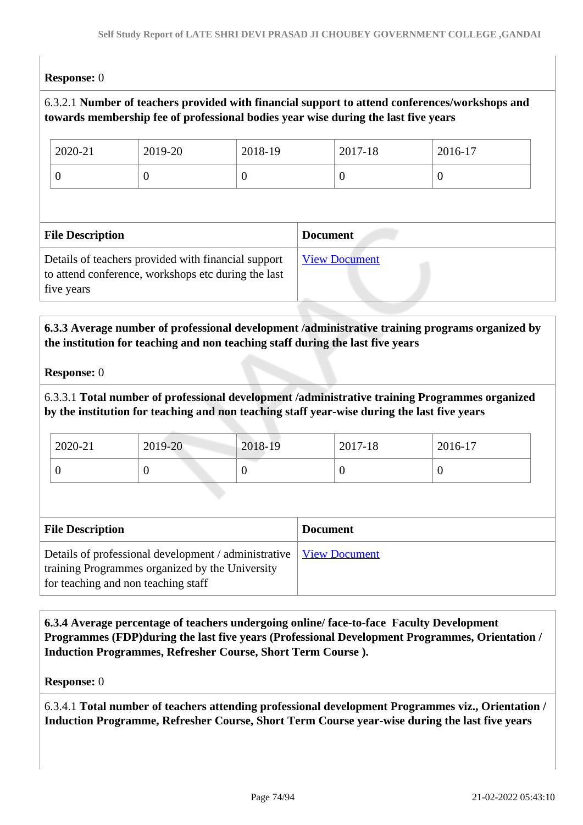## **Response:** 0

## 6.3.2.1 **Number of teachers provided with financial support to attend conferences/workshops and towards membership fee of professional bodies year wise during the last five years**

| 2020-21                                                                                                                  | 2019-20  | 2018-19  |                      | 2017-18  | 2016-17  |
|--------------------------------------------------------------------------------------------------------------------------|----------|----------|----------------------|----------|----------|
| 0                                                                                                                        | $\theta$ | $\theta$ |                      | $\theta$ | $\theta$ |
|                                                                                                                          |          |          |                      |          |          |
| <b>File Description</b>                                                                                                  |          |          | <b>Document</b>      |          |          |
| Details of teachers provided with financial support<br>to attend conference, workshops etc during the last<br>five years |          |          | <b>View Document</b> |          |          |

## **6.3.3 Average number of professional development /administrative training programs organized by the institution for teaching and non teaching staff during the last five years**

#### **Response:** 0

## 6.3.3.1 **Total number of professional development /administrative training Programmes organized by the institution for teaching and non teaching staff year-wise during the last five years**

| 2020-21 | 2019-20 | 2018-19 | 2017-18       | 2016-17 |
|---------|---------|---------|---------------|---------|
|         |         |         | $\mathcal{C}$ |         |

| <b>File Description</b>                                                                                                                                               | <b>Document</b> |
|-----------------------------------------------------------------------------------------------------------------------------------------------------------------------|-----------------|
| Details of professional development / administrative   <u>View Document</u><br>training Programmes organized by the University<br>for teaching and non teaching staff |                 |

 **6.3.4 Average percentage of teachers undergoing online/ face-to-face Faculty Development Programmes (FDP)during the last five years (Professional Development Programmes, Orientation / Induction Programmes, Refresher Course, Short Term Course ).**

#### **Response:** 0

6.3.4.1 **Total number of teachers attending professional development Programmes viz., Orientation / Induction Programme, Refresher Course, Short Term Course year-wise during the last five years**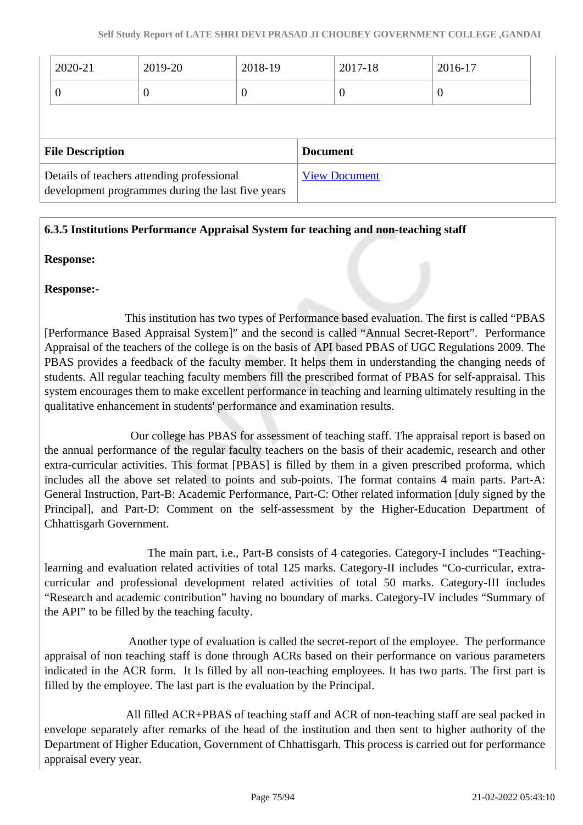| 2020-21                                                                                         | 2019-20  | 2018-19 |                      | 2017-18  | 2016-17          |
|-------------------------------------------------------------------------------------------------|----------|---------|----------------------|----------|------------------|
| $\boldsymbol{0}$                                                                                | $\theta$ | O       |                      | $\theta$ | $\boldsymbol{0}$ |
|                                                                                                 |          |         |                      |          |                  |
| <b>File Description</b>                                                                         |          |         | <b>Document</b>      |          |                  |
| Details of teachers attending professional<br>development programmes during the last five years |          |         | <b>View Document</b> |          |                  |

## **6.3.5 Institutions Performance Appraisal System for teaching and non-teaching staff**

#### **Response:**

#### **Response:-**

 This institution has two types of Performance based evaluation. The first is called "PBAS [Performance Based Appraisal System]" and the second is called "Annual Secret-Report". Performance Appraisal of the teachers of the college is on the basis of API based PBAS of UGC Regulations 2009. The PBAS provides a feedback of the faculty member. It helps them in understanding the changing needs of students. All regular teaching faculty members fill the prescribed format of PBAS for self-appraisal. This system encourages them to make excellent performance in teaching and learning ultimately resulting in the qualitative enhancement in students' performance and examination results.

 Our college has PBAS for assessment of teaching staff. The appraisal report is based on the annual performance of the regular faculty teachers on the basis of their academic, research and other extra-curricular activities. This format [PBAS] is filled by them in a given prescribed proforma, which includes all the above set related to points and sub-points. The format contains 4 main parts. Part-A: General Instruction, Part-B: Academic Performance, Part-C: Other related information [duly signed by the Principal], and Part-D: Comment on the self-assessment by the Higher-Education Department of Chhattisgarh Government.

 The main part, i.e., Part-B consists of 4 categories. Category-I includes "Teachinglearning and evaluation related activities of total 125 marks. Category-II includes "Co-curricular, extracurricular and professional development related activities of total 50 marks. Category-III includes "Research and academic contribution" having no boundary of marks. Category-IV includes "Summary of the API" to be filled by the teaching faculty.

 Another type of evaluation is called the secret-report of the employee. The performance appraisal of non teaching staff is done through ACRs based on their performance on various parameters indicated in the ACR form. It Is filled by all non-teaching employees. It has two parts. The first part is filled by the employee. The last part is the evaluation by the Principal.

 All filled ACR+PBAS of teaching staff and ACR of non-teaching staff are seal packed in envelope separately after remarks of the head of the institution and then sent to higher authority of the Department of Higher Education, Government of Chhattisgarh. This process is carried out for performance appraisal every year.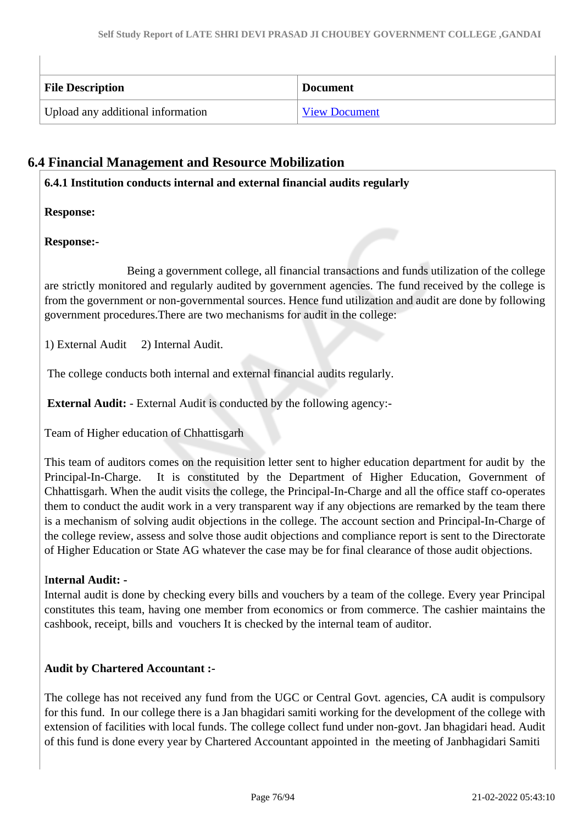| <b>File Description</b>           | <b>Document</b>      |
|-----------------------------------|----------------------|
| Upload any additional information | <b>View Document</b> |

## **6.4 Financial Management and Resource Mobilization**

## **6.4.1 Institution conducts internal and external financial audits regularly**

**Response:** 

**Response:-**

 Being a government college, all financial transactions and funds utilization of the college are strictly monitored and regularly audited by government agencies. The fund received by the college is from the government or non-governmental sources. Hence fund utilization and audit are done by following government procedures.There are two mechanisms for audit in the college:

1) External Audit 2) Internal Audit.

The college conducts both internal and external financial audits regularly.

**External Audit:** - External Audit is conducted by the following agency:-

Team of Higher education of Chhattisgarh

This team of auditors comes on the requisition letter sent to higher education department for audit by the Principal-In-Charge. It is constituted by the Department of Higher Education, Government of Chhattisgarh. When the audit visits the college, the Principal-In-Charge and all the office staff co-operates them to conduct the audit work in a very transparent way if any objections are remarked by the team there is a mechanism of solving audit objections in the college. The account section and Principal-In-Charge of the college review, assess and solve those audit objections and compliance report is sent to the Directorate of Higher Education or State AG whatever the case may be for final clearance of those audit objections.

## I**nternal Audit: -**

Internal audit is done by checking every bills and vouchers by a team of the college. Every year Principal constitutes this team, having one member from economics or from commerce. The cashier maintains the cashbook, receipt, bills and vouchers It is checked by the internal team of auditor.

## **Audit by Chartered Accountant :-**

The college has not received any fund from the UGC or Central Govt. agencies, CA audit is compulsory for this fund. In our college there is a Jan bhagidari samiti working for the development of the college with extension of facilities with local funds. The college collect fund under non-govt. Jan bhagidari head. Audit of this fund is done every year by Chartered Accountant appointed in the meeting of Janbhagidari Samiti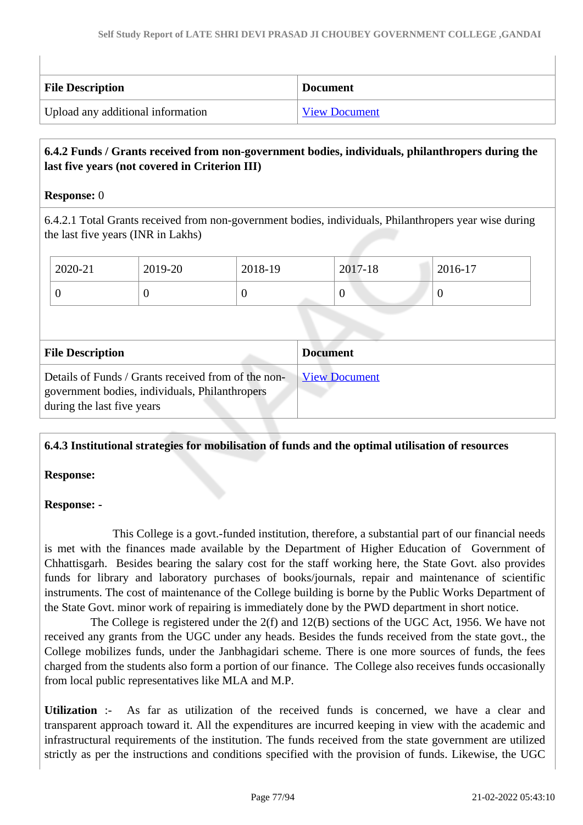| <b>File Description</b>           | <b>Document</b>      |
|-----------------------------------|----------------------|
| Upload any additional information | <b>View Document</b> |

## **6.4.2 Funds / Grants received from non-government bodies, individuals, philanthropers during the last five years (not covered in Criterion III)**

#### **Response:** 0

6.4.2.1 Total Grants received from non-government bodies, individuals, Philanthropers year wise during the last five years (INR in Lakhs)

| 2020-21 | 2019-20 | 2018-19 | 2017-18 | 2016-17 |
|---------|---------|---------|---------|---------|
|         |         |         | U       | А.      |

| <b>File Description</b>                                                                                                             | <b>Document</b>      |
|-------------------------------------------------------------------------------------------------------------------------------------|----------------------|
| Details of Funds / Grants received from of the non-<br>government bodies, individuals, Philanthropers<br>during the last five years | <b>View Document</b> |

## **6.4.3 Institutional strategies for mobilisation of funds and the optimal utilisation of resources**

## **Response:**

## **Response: -**

 This College is a govt.-funded institution, therefore, a substantial part of our financial needs is met with the finances made available by the Department of Higher Education of Government of Chhattisgarh. Besides bearing the salary cost for the staff working here, the State Govt. also provides funds for library and laboratory purchases of books/journals, repair and maintenance of scientific instruments. The cost of maintenance of the College building is borne by the Public Works Department of the State Govt. minor work of repairing is immediately done by the PWD department in short notice.

 The College is registered under the 2(f) and 12(B) sections of the UGC Act, 1956. We have not received any grants from the UGC under any heads. Besides the funds received from the state govt., the College mobilizes funds, under the Janbhagidari scheme. There is one more sources of funds, the fees charged from the students also form a portion of our finance. The College also receives funds occasionally from local public representatives like MLA and M.P.

**Utilization** :- As far as utilization of the received funds is concerned, we have a clear and transparent approach toward it. All the expenditures are incurred keeping in view with the academic and infrastructural requirements of the institution. The funds received from the state government are utilized strictly as per the instructions and conditions specified with the provision of funds. Likewise, the UGC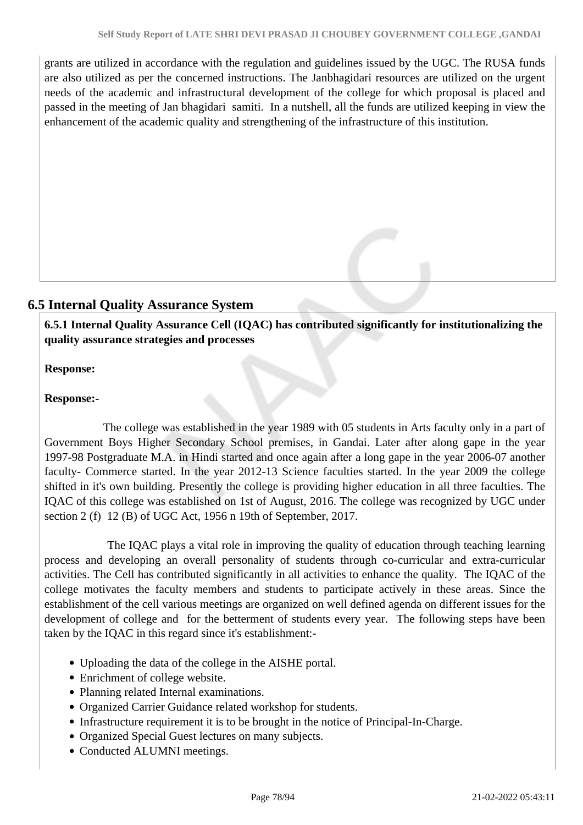grants are utilized in accordance with the regulation and guidelines issued by the UGC. The RUSA funds are also utilized as per the concerned instructions. The Janbhagidari resources are utilized on the urgent needs of the academic and infrastructural development of the college for which proposal is placed and passed in the meeting of Jan bhagidari samiti. In a nutshell, all the funds are utilized keeping in view the enhancement of the academic quality and strengthening of the infrastructure of this institution.

## **6.5 Internal Quality Assurance System**

 **6.5.1 Internal Quality Assurance Cell (IQAC) has contributed significantly for institutionalizing the quality assurance strategies and processes**

**Response:** 

## **Response:-**

 The college was established in the year 1989 with 05 students in Arts faculty only in a part of Government Boys Higher Secondary School premises, in Gandai. Later after along gape in the year 1997-98 Postgraduate M.A. in Hindi started and once again after a long gape in the year 2006-07 another faculty- Commerce started. In the year 2012-13 Science faculties started. In the year 2009 the college shifted in it's own building. Presently the college is providing higher education in all three faculties. The IQAC of this college was established on 1st of August, 2016. The college was recognized by UGC under section 2 (f) 12 (B) of UGC Act, 1956 n 19th of September, 2017.

 The IQAC plays a vital role in improving the quality of education through teaching learning process and developing an overall personality of students through co-curricular and extra-curricular activities. The Cell has contributed significantly in all activities to enhance the quality. The IQAC of the college motivates the faculty members and students to participate actively in these areas. Since the establishment of the cell various meetings are organized on well defined agenda on different issues for the development of college and for the betterment of students every year. The following steps have been taken by the IQAC in this regard since it's establishment:-

- Uploading the data of the college in the AISHE portal.
- Enrichment of college website.
- Planning related Internal examinations.
- Organized Carrier Guidance related workshop for students.
- Infrastructure requirement it is to be brought in the notice of Principal-In-Charge.
- Organized Special Guest lectures on many subjects.
- Conducted ALUMNI meetings.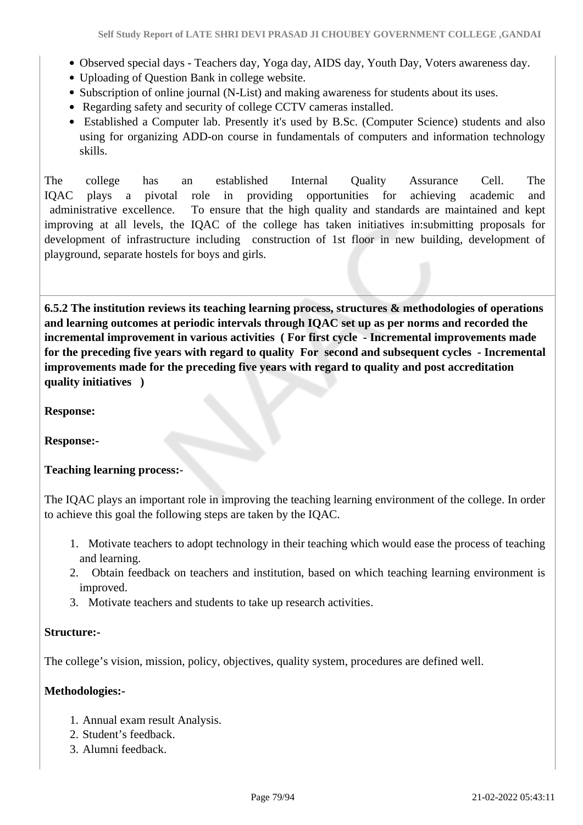- Observed special days Teachers day, Yoga day, AIDS day, Youth Day, Voters awareness day.
- Uploading of Question Bank in college website.
- Subscription of online journal (N-List) and making awareness for students about its uses.
- Regarding safety and security of college CCTV cameras installed.
- Established a Computer lab. Presently it's used by B.Sc. (Computer Science) students and also using for organizing ADD-on course in fundamentals of computers and information technology skills.

The college has an established Internal Quality Assurance Cell. The IQAC plays a pivotal role in providing opportunities for achieving academic and administrative excellence. To ensure that the high quality and standards are maintained and kept improving at all levels, the IQAC of the college has taken initiatives in:submitting proposals for development of infrastructure including construction of 1st floor in new building, development of playground, separate hostels for boys and girls.

 **6.5.2 The institution reviews its teaching learning process, structures & methodologies of operations and learning outcomes at periodic intervals through IQAC set up as per norms and recorded the incremental improvement in various activities ( For first cycle - Incremental improvements made for the preceding five years with regard to quality For second and subsequent cycles - Incremental improvements made for the preceding five years with regard to quality and post accreditation quality initiatives )** 

**Response:** 

**Response:-**

**Teaching learning process:**-

The IQAC plays an important role in improving the teaching learning environment of the college. In order to achieve this goal the following steps are taken by the IQAC.

- 1. Motivate teachers to adopt technology in their teaching which would ease the process of teaching and learning.
- 2. Obtain feedback on teachers and institution, based on which teaching learning environment is improved.
- 3. Motivate teachers and students to take up research activities.

## **Structure:-**

The college's vision, mission, policy, objectives, quality system, procedures are defined well.

## **Methodologies:-**

- 1. Annual exam result Analysis.
- 2. Student's feedback.
- 3. Alumni feedback.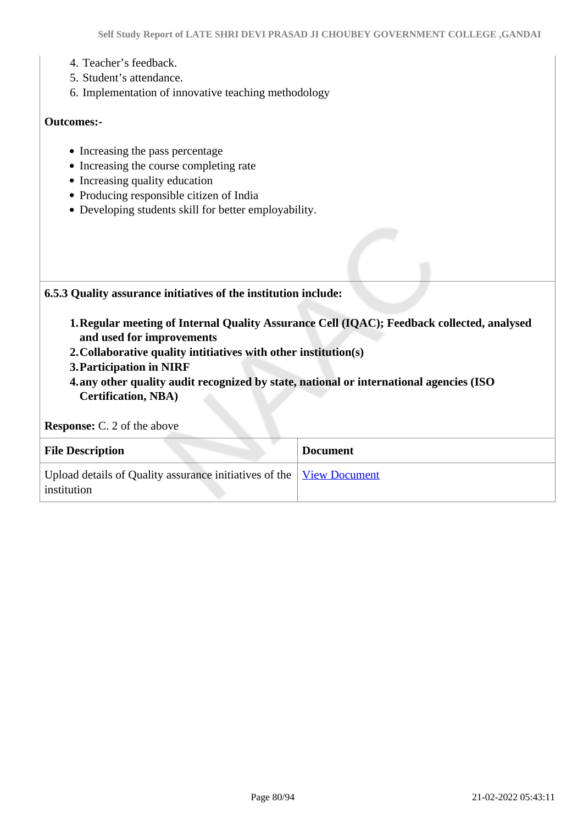- 4. Teacher's feedback.
- 5. Student's attendance.
- 6. Implementation of innovative teaching methodology

#### **Outcomes:-**

- Increasing the pass percentage
- Increasing the course completing rate
- Increasing quality education
- Producing responsible citizen of India
- Developing students skill for better employability.

**6.5.3 Quality assurance initiatives of the institution include:**

- **1.Regular meeting of Internal Quality Assurance Cell (IQAC); Feedback collected, analysed and used for improvements**
- **2.Collaborative quality intitiatives with other institution(s)**
- **3.Participation in NIRF**
- **4.any other quality audit recognized by state, national or international agencies (ISO Certification, NBA)**

#### **Response:** C. 2 of the above

| <b>File Description</b>                                                                      | <b>Document</b> |
|----------------------------------------------------------------------------------------------|-----------------|
| Upload details of Quality assurance initiatives of the <u>  View Document</u><br>institution |                 |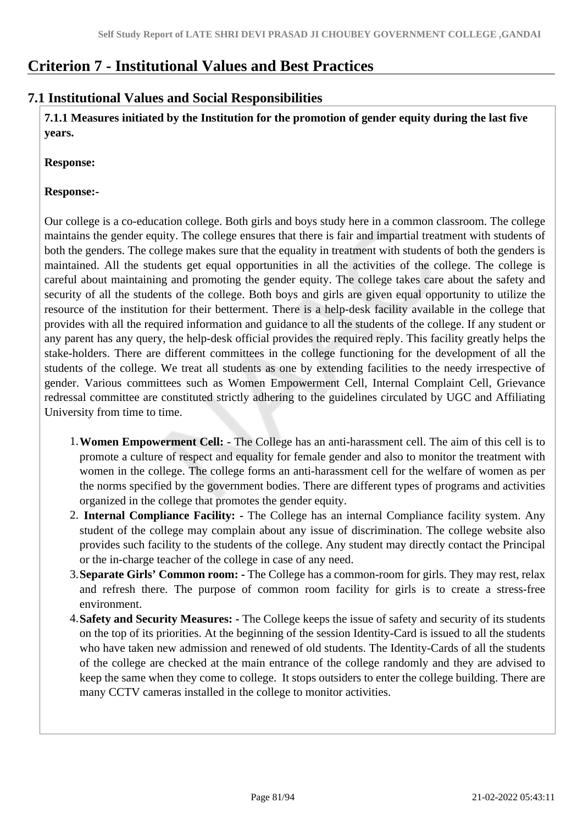# **Criterion 7 - Institutional Values and Best Practices**

## **7.1 Institutional Values and Social Responsibilities**

 **7.1.1 Measures initiated by the Institution for the promotion of gender equity during the last five years.**

**Response:** 

## **Response:-**

Our college is a co-education college. Both girls and boys study here in a common classroom. The college maintains the gender equity. The college ensures that there is fair and impartial treatment with students of both the genders. The college makes sure that the equality in treatment with students of both the genders is maintained. All the students get equal opportunities in all the activities of the college. The college is careful about maintaining and promoting the gender equity. The college takes care about the safety and security of all the students of the college. Both boys and girls are given equal opportunity to utilize the resource of the institution for their betterment. There is a help-desk facility available in the college that provides with all the required information and guidance to all the students of the college. If any student or any parent has any query, the help-desk official provides the required reply. This facility greatly helps the stake-holders. There are different committees in the college functioning for the development of all the students of the college. We treat all students as one by extending facilities to the needy irrespective of gender. Various committees such as Women Empowerment Cell, Internal Complaint Cell, Grievance redressal committee are constituted strictly adhering to the guidelines circulated by UGC and Affiliating University from time to time.

- 1.**Women Empowerment Cell: -** The College has an anti-harassment cell. The aim of this cell is to promote a culture of respect and equality for female gender and also to monitor the treatment with women in the college. The college forms an anti-harassment cell for the welfare of women as per the norms specified by the government bodies. There are different types of programs and activities organized in the college that promotes the gender equity.
- 2. **Internal Compliance Facility: -** The College has an internal Compliance facility system. Any student of the college may complain about any issue of discrimination. The college website also provides such facility to the students of the college. Any student may directly contact the Principal or the in-charge teacher of the college in case of any need.
- 3.**Separate Girls' Common room:** The College has a common-room for girls. They may rest, relax and refresh there. The purpose of common room facility for girls is to create a stress-free environment.
- 4.**Safety and Security Measures: -** The College keeps the issue of safety and security of its students on the top of its priorities. At the beginning of the session Identity-Card is issued to all the students who have taken new admission and renewed of old students. The Identity-Cards of all the students of the college are checked at the main entrance of the college randomly and they are advised to keep the same when they come to college. It stops outsiders to enter the college building. There are many CCTV cameras installed in the college to monitor activities.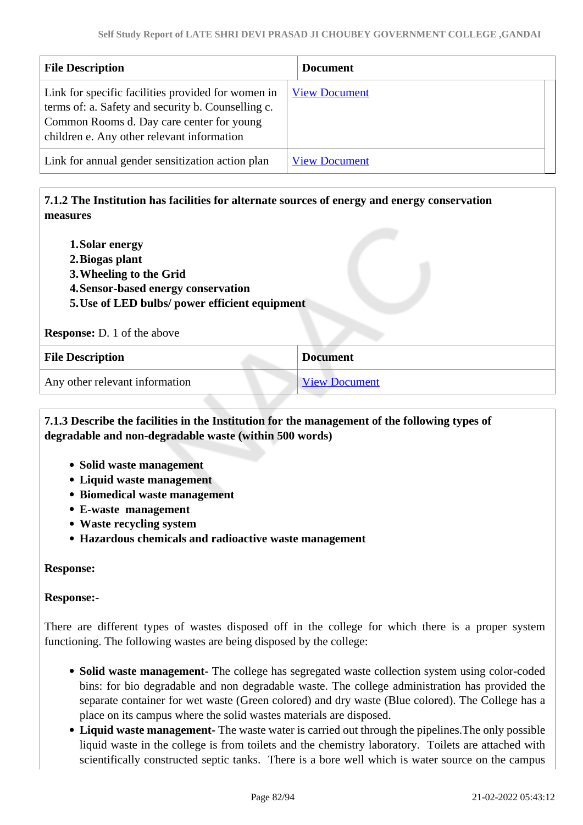| <b>File Description</b>                                                                                                                                                                             | <b>Document</b>      |
|-----------------------------------------------------------------------------------------------------------------------------------------------------------------------------------------------------|----------------------|
| Link for specific facilities provided for women in<br>terms of: a. Safety and security b. Counselling c.<br>Common Rooms d. Day care center for young<br>children e. Any other relevant information | <b>View Document</b> |
| Link for annual gender sensitization action plan                                                                                                                                                    | <b>View Document</b> |

## **7.1.2 The Institution has facilities for alternate sources of energy and energy conservation measures**

- **1.Solar energy**
- **2.Biogas plant**
- **3.Wheeling to the Grid**
- **4.Sensor-based energy conservation**
- **5.Use of LED bulbs/ power efficient equipment**

**Response:** D. 1 of the above

| <b>File Description</b>        | <b>Document</b>      |
|--------------------------------|----------------------|
| Any other relevant information | <b>View Document</b> |

## **7.1.3 Describe the facilities in the Institution for the management of the following types of degradable and non-degradable waste (within 500 words)**

- **Solid waste management**
- **Liquid waste management**
- **Biomedical waste management**
- **E-waste management**
- **Waste recycling system**
- **Hazardous chemicals and radioactive waste management**

#### **Response:**

#### **Response:-**

There are different types of wastes disposed off in the college for which there is a proper system functioning. The following wastes are being disposed by the college:

- **Solid waste management-** The college has segregated waste collection system using color-coded bins: for bio degradable and non degradable waste. The college administration has provided the separate container for wet waste (Green colored) and dry waste (Blue colored). The College has a place on its campus where the solid wastes materials are disposed.
- **Liquid waste management-** The waste water is carried out through the pipelines.The only possible liquid waste in the college is from toilets and the chemistry laboratory. Toilets are attached with scientifically constructed septic tanks. There is a bore well which is water source on the campus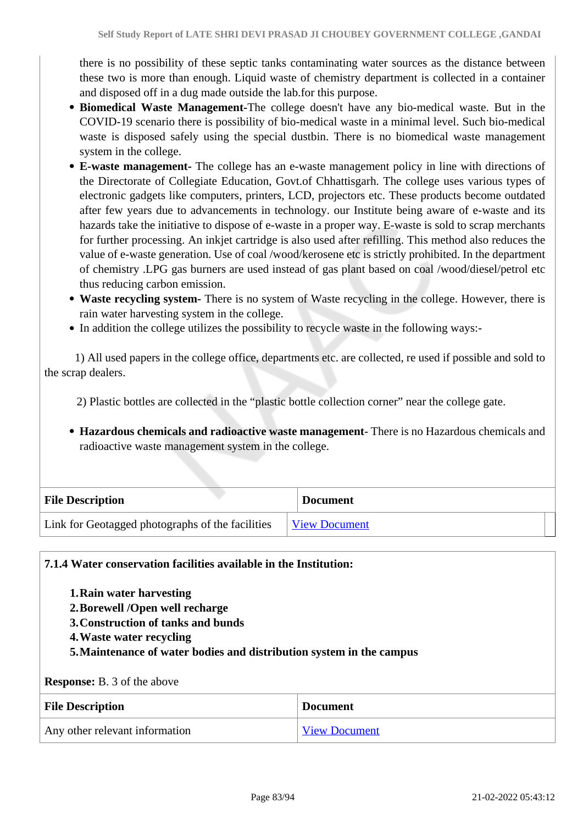there is no possibility of these septic tanks contaminating water sources as the distance between these two is more than enough. Liquid waste of chemistry department is collected in a container and disposed off in a dug made outside the lab.for this purpose.

- **Biomedical Waste Management-**The college doesn't have any bio-medical waste. But in the COVID-19 scenario there is possibility of bio-medical waste in a minimal level. Such bio-medical waste is disposed safely using the special dustbin. There is no biomedical waste management system in the college.
- **E-waste management-** The college has an e-waste management policy in line with directions of the Directorate of Collegiate Education, Govt.of Chhattisgarh. The college uses various types of electronic gadgets like computers, printers, LCD, projectors etc. These products become outdated after few years due to advancements in technology. our Institute being aware of e-waste and its hazards take the initiative to dispose of e-waste in a proper way. E-waste is sold to scrap merchants for further processing. An inkjet cartridge is also used after refilling. This method also reduces the value of e-waste generation. Use of coal /wood/kerosene etc is strictly prohibited. In the department of chemistry .LPG gas burners are used instead of gas plant based on coal /wood/diesel/petrol etc thus reducing carbon emission.
- **Waste recycling system-** There is no system of Waste recycling in the college. However, there is rain water harvesting system in the college.
- In addition the college utilizes the possibility to recycle waste in the following ways:-

 1) All used papers in the college office, departments etc. are collected, re used if possible and sold to the scrap dealers.

2) Plastic bottles are collected in the "plastic bottle collection corner" near the college gate.

**Hazardous chemicals and radioactive waste management**- There is no Hazardous chemicals and radioactive waste management system in the college.

| <b>File Description</b>                          | <b>Document</b>      |
|--------------------------------------------------|----------------------|
| Link for Geotagged photographs of the facilities | <b>View Document</b> |

## **7.1.4 Water conservation facilities available in the Institution:**

- **1.Rain water harvesting**
- **2.Borewell /Open well recharge**
- **3.Construction of tanks and bunds**
- **4.Waste water recycling**
- **5.Maintenance of water bodies and distribution system in the campus**

#### **Response:** B. 3 of the above

| <b>File Description</b>        | <b>Document</b>      |
|--------------------------------|----------------------|
| Any other relevant information | <b>View Document</b> |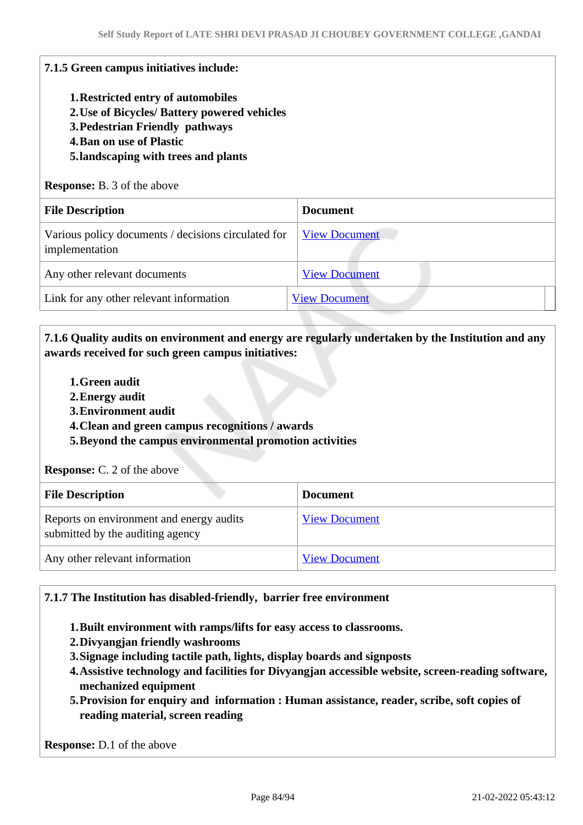| 1. Restricted entry of automobiles<br>2. Use of Bicycles/ Battery powered vehicles<br>3. Pedestrian Friendly pathways<br><b>4. Ban on use of Plastic</b><br>5. landscaping with trees and plants |                      |
|--------------------------------------------------------------------------------------------------------------------------------------------------------------------------------------------------|----------------------|
| <b>Response:</b> B. 3 of the above                                                                                                                                                               |                      |
| <b>File Description</b>                                                                                                                                                                          | <b>Document</b>      |
| Various policy documents / decisions circulated for<br>implementation                                                                                                                            | <b>View Document</b> |
| Any other relevant documents                                                                                                                                                                     | <b>View Document</b> |

## **7.1.6 Quality audits on environment and energy are regularly undertaken by the Institution and any awards received for such green campus initiatives:**

- **1.Green audit**
- **2.Energy audit**
- **3.Environment audit**
- **4.Clean and green campus recognitions / awards**
- **5.Beyond the campus environmental promotion activities**

**Response:** C. 2 of the above

| <b>File Description</b>                                                      | <b>Document</b>      |
|------------------------------------------------------------------------------|----------------------|
| Reports on environment and energy audits<br>submitted by the auditing agency | <b>View Document</b> |
| Any other relevant information                                               | <b>View Document</b> |

#### **7.1.7 The Institution has disabled-friendly, barrier free environment**

- **1.Built environment with ramps/lifts for easy access to classrooms.**
- **2.Divyangjan friendly washrooms**
- **3.Signage including tactile path, lights, display boards and signposts**
- **4.Assistive technology and facilities for Divyangjan accessible website, screen-reading software, mechanized equipment**
- **5.Provision for enquiry and information : Human assistance, reader, scribe, soft copies of reading material, screen reading**

**Response:** D.1 of the above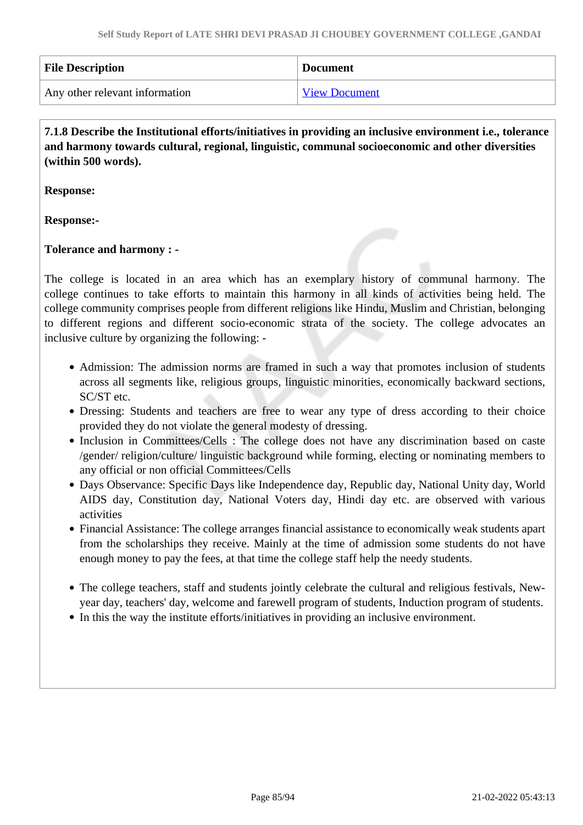| <b>File Description</b>        | <b>Document</b>      |
|--------------------------------|----------------------|
| Any other relevant information | <b>View Document</b> |

 **7.1.8 Describe the Institutional efforts/initiatives in providing an inclusive environment i.e., tolerance and harmony towards cultural, regional, linguistic, communal socioeconomic and other diversities (within 500 words).**

**Response:** 

**Response:-**

## **Tolerance and harmony : -**

The college is located in an area which has an exemplary history of communal harmony. The college continues to take efforts to maintain this harmony in all kinds of activities being held. The college community comprises people from different religions like Hindu, Muslim and Christian, belonging to different regions and different socio-economic strata of the society. The college advocates an inclusive culture by organizing the following: -

- Admission: The admission norms are framed in such a way that promotes inclusion of students across all segments like, religious groups, linguistic minorities, economically backward sections, SC/ST etc.
- Dressing: Students and teachers are free to wear any type of dress according to their choice provided they do not violate the general modesty of dressing.
- Inclusion in Committees/Cells : The college does not have any discrimination based on caste /gender/ religion/culture/ linguistic background while forming, electing or nominating members to any official or non official Committees/Cells
- Days Observance: Specific Days like Independence day, Republic day, National Unity day, World AIDS day, Constitution day, National Voters day, Hindi day etc. are observed with various activities
- Financial Assistance: The college arranges financial assistance to economically weak students apart from the scholarships they receive. Mainly at the time of admission some students do not have enough money to pay the fees, at that time the college staff help the needy students.
- The college teachers, staff and students jointly celebrate the cultural and religious festivals, Newyear day, teachers' day, welcome and farewell program of students, Induction program of students.
- In this the way the institute efforts/initiatives in providing an inclusive environment.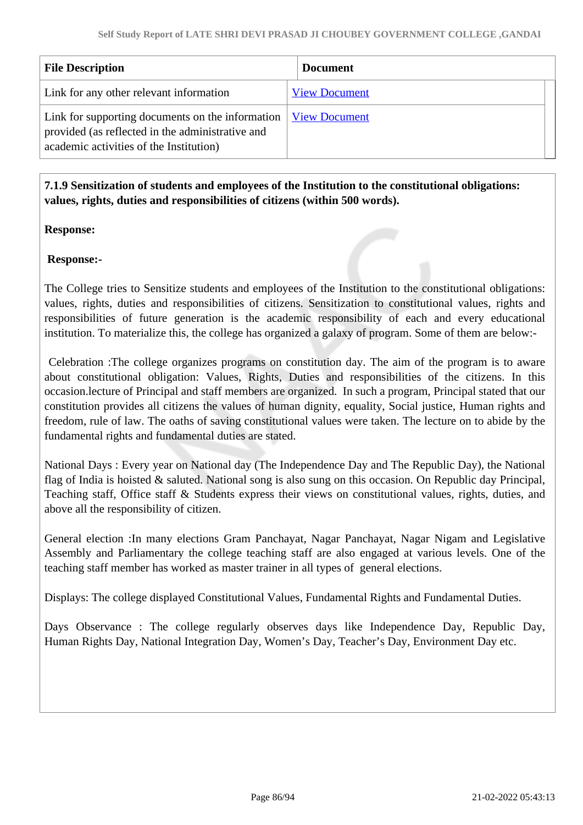| <b>File Description</b>                                                                                                                                     | <b>Document</b>      |  |
|-------------------------------------------------------------------------------------------------------------------------------------------------------------|----------------------|--|
| Link for any other relevant information                                                                                                                     | <b>View Document</b> |  |
| Link for supporting documents on the information $\parallel$<br>provided (as reflected in the administrative and<br>academic activities of the Institution) | <b>View Document</b> |  |

 **7.1.9 Sensitization of students and employees of the Institution to the constitutional obligations: values, rights, duties and responsibilities of citizens (within 500 words).**

## **Response:**

## **Response:-**

The College tries to Sensitize students and employees of the Institution to the constitutional obligations: values, rights, duties and responsibilities of citizens. Sensitization to constitutional values, rights and responsibilities of future generation is the academic responsibility of each and every educational institution. To materialize this, the college has organized a galaxy of program. Some of them are below:-

 Celebration :The college organizes programs on constitution day. The aim of the program is to aware about constitutional obligation: Values, Rights, Duties and responsibilities of the citizens. In this occasion.lecture of Principal and staff members are organized. In such a program, Principal stated that our constitution provides all citizens the values of human dignity, equality, Social justice, Human rights and freedom, rule of law. The oaths of saving constitutional values were taken. The lecture on to abide by the fundamental rights and fundamental duties are stated.

National Days : Every year on National day (The Independence Day and The Republic Day), the National flag of India is hoisted & saluted. National song is also sung on this occasion. On Republic day Principal, Teaching staff, Office staff & Students express their views on constitutional values, rights, duties, and above all the responsibility of citizen.

General election :In many elections Gram Panchayat, Nagar Panchayat, Nagar Nigam and Legislative Assembly and Parliamentary the college teaching staff are also engaged at various levels. One of the teaching staff member has worked as master trainer in all types of general elections.

Displays: The college displayed Constitutional Values, Fundamental Rights and Fundamental Duties.

Days Observance : The college regularly observes days like Independence Day, Republic Day, Human Rights Day, National Integration Day, Women's Day, Teacher's Day, Environment Day etc.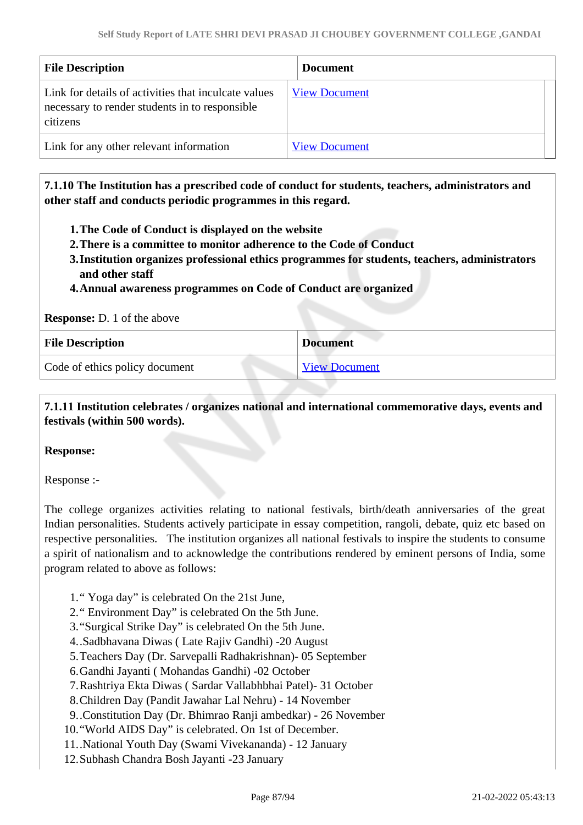| <b>File Description</b>                                                                                            | <b>Document</b>      |
|--------------------------------------------------------------------------------------------------------------------|----------------------|
| Link for details of activities that inculcate values<br>necessary to render students in to responsible<br>citizens | <b>View Document</b> |
| Link for any other relevant information                                                                            | <b>View Document</b> |

 **7.1.10 The Institution has a prescribed code of conduct for students, teachers, administrators and other staff and conducts periodic programmes in this regard.** 

- **1.The Code of Conduct is displayed on the website**
- **2.There is a committee to monitor adherence to the Code of Conduct**
- **3.Institution organizes professional ethics programmes for students, teachers, administrators and other staff**
- **4.Annual awareness programmes on Code of Conduct are organized**

**Response:** D. 1 of the above

| <b>File Description</b>        | <b>Document</b>      |
|--------------------------------|----------------------|
| Code of ethics policy document | <b>View Document</b> |

 **7.1.11 Institution celebrates / organizes national and international commemorative days, events and festivals (within 500 words).**

#### **Response:**

Response :-

The college organizes activities relating to national festivals, birth/death anniversaries of the great Indian personalities. Students actively participate in essay competition, rangoli, debate, quiz etc based on respective personalities. The institution organizes all national festivals to inspire the students to consume a spirit of nationalism and to acknowledge the contributions rendered by eminent persons of India, some program related to above as follows:

- 1." Yoga day" is celebrated On the 21st June,
- 2." Environment Day" is celebrated On the 5th June.
- 3."Surgical Strike Day" is celebrated On the 5th June.
- 4..Sadbhavana Diwas ( Late Rajiv Gandhi) -20 August
- 5.Teachers Day (Dr. Sarvepalli Radhakrishnan)- 05 September
- 6.Gandhi Jayanti ( Mohandas Gandhi) -02 October
- 7.Rashtriya Ekta Diwas ( Sardar Vallabhbhai Patel)- 31 October
- 8.Children Day (Pandit Jawahar Lal Nehru) 14 November
- 9..Constitution Day (Dr. Bhimrao Ranji ambedkar) 26 November
- 10."World AIDS Day" is celebrated. On 1st of December.
- 11..National Youth Day (Swami Vivekananda) 12 January
- 12.Subhash Chandra Bosh Jayanti -23 January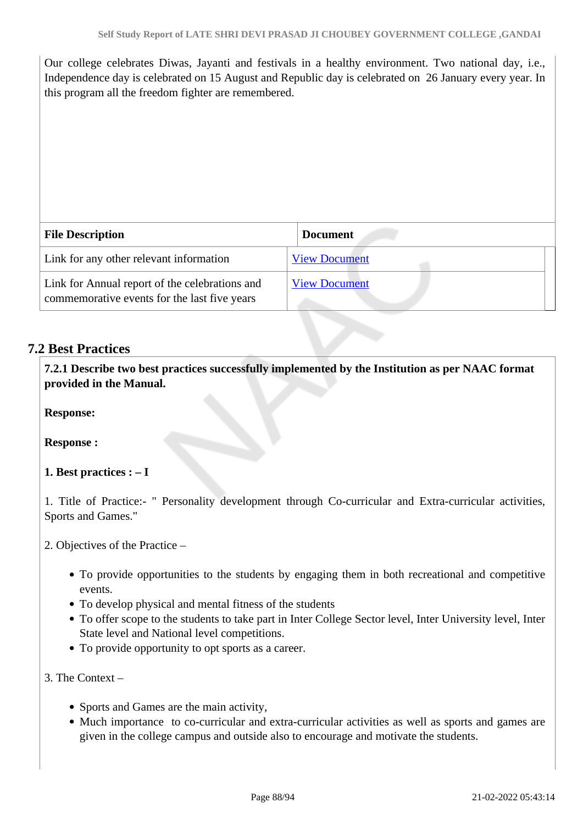Our college celebrates Diwas, Jayanti and festivals in a healthy environment. Two national day, i.e., Independence day is celebrated on 15 August and Republic day is celebrated on 26 January every year. In this program all the freedom fighter are remembered.

| <b>File Description</b>                                                                        | <b>Document</b>      |
|------------------------------------------------------------------------------------------------|----------------------|
| Link for any other relevant information                                                        | <b>View Document</b> |
| Link for Annual report of the celebrations and<br>commemorative events for the last five years | <b>View Document</b> |

## **7.2 Best Practices**

 **7.2.1 Describe two best practices successfully implemented by the Institution as per NAAC format provided in the Manual.**

**Response:** 

**Response :**

**1. Best practices : – I**

1. Title of Practice:- " Personality development through Co-curricular and Extra-curricular activities, Sports and Games."

2. Objectives of the Practice –

- To provide opportunities to the students by engaging them in both recreational and competitive events.
- To develop physical and mental fitness of the students
- To offer scope to the students to take part in Inter College Sector level, Inter University level, Inter State level and National level competitions.
- To provide opportunity to opt sports as a career.

```
3. The Context –
```
- Sports and Games are the main activity,
- Much importance to co-curricular and extra-curricular activities as well as sports and games are given in the college campus and outside also to encourage and motivate the students.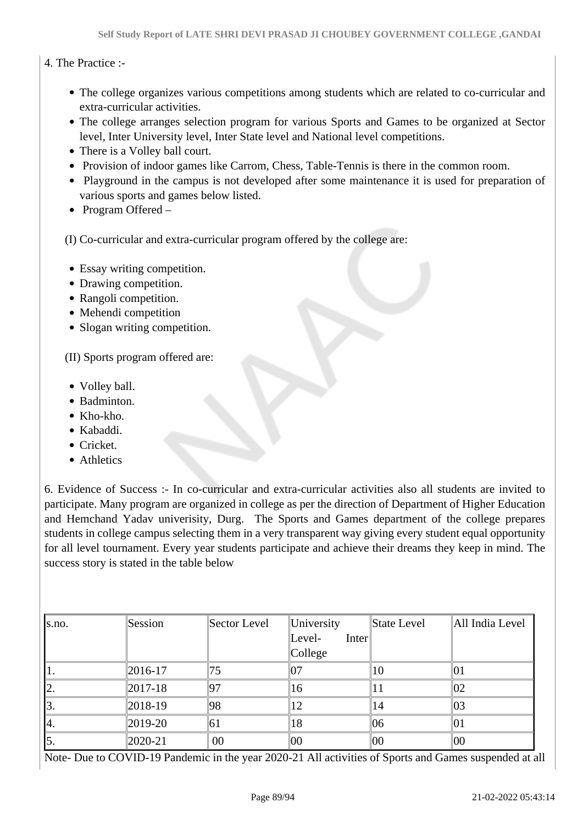## 4. The Practice :-

- The college organizes various competitions among students which are related to co-curricular and extra-curricular activities.
- The college arranges selection program for various Sports and Games to be organized at Sector level, Inter University level, Inter State level and National level competitions.
- There is a Volley ball court.
- Provision of indoor games like Carrom, Chess, Table-Tennis is there in the common room.
- Playground in the campus is not developed after some maintenance it is used for preparation of various sports and games below listed.
- Program Offered –

(I) Co-curricular and extra-curricular program offered by the college are:

- Essay writing competition.
- Drawing competition.
- Rangoli competition.
- Mehendi competition
- Slogan writing competition.

(II) Sports program offered are:

- Volley ball.
- Badminton.
- Kho-kho.
- Kabaddi.
- Cricket.
- Athletics

6. Evidence of Success :- In co-curricular and extra-curricular activities also all students are invited to participate. Many program are organized in college as per the direction of Department of Higher Education and Hemchand Yadav univerisity, Durg. The Sports and Games department of the college prepares students in college campus selecting them in a very transparent way giving every student equal opportunity for all level tournament. Every year students participate and achieve their dreams they keep in mind. The success story is stated in the table below

| s.no.           | Session       | Sector Level | University             | State Level | All India Level |
|-----------------|---------------|--------------|------------------------|-------------|-----------------|
|                 |               |              | Level-<br><b>Inter</b> |             |                 |
|                 |               |              | College                |             |                 |
| Ι.              | 2016-17       | 75           | 07                     | 10          | 01              |
| 2.              | $ 2017 - 18 $ | 97           | 16                     | 11          | $ 02\rangle$    |
| 3.              | 2018-19       | 98           | 12                     | 14          | 03              |
| <sup>[4.]</sup> | 2019-20       | 61           | 18                     | 06          | 01              |
| 5.              | 2020-21       | $00\,$       | 00                     | 00          | 00              |

Note- Due to COVID-19 Pandemic in the year 2020-21 All activities of Sports and Games suspended at all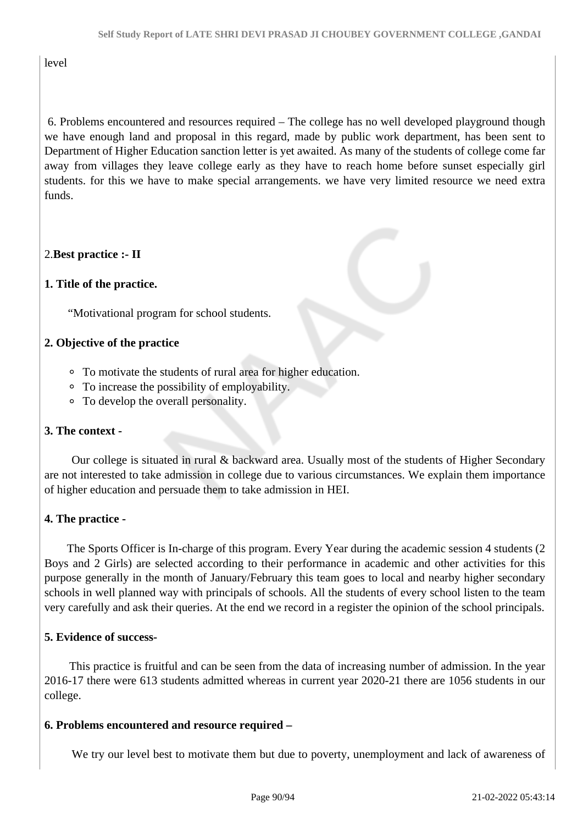#### level

 6. Problems encountered and resources required – The college has no well developed playground though we have enough land and proposal in this regard, made by public work department, has been sent to Department of Higher Education sanction letter is yet awaited. As many of the students of college come far away from villages they leave college early as they have to reach home before sunset especially girl students. for this we have to make special arrangements. we have very limited resource we need extra funds.

## 2.**Best practice :- II**

#### **1. Title of the practice.**

"Motivational program for school students.

#### **2. Objective of the practice**

- To motivate the students of rural area for higher education.
- To increase the possibility of employability.
- To develop the overall personality.

#### **3. The context -**

 Our college is situated in rural & backward area. Usually most of the students of Higher Secondary are not interested to take admission in college due to various circumstances. We explain them importance of higher education and persuade them to take admission in HEI.

## **4. The practice -**

The Sports Officer is In-charge of this program. Every Year during the academic session 4 students (2) Boys and 2 Girls) are selected according to their performance in academic and other activities for this purpose generally in the month of January/February this team goes to local and nearby higher secondary schools in well planned way with principals of schools. All the students of every school listen to the team very carefully and ask their queries. At the end we record in a register the opinion of the school principals.

#### **5. Evidence of success-**

 This practice is fruitful and can be seen from the data of increasing number of admission. In the year 2016-17 there were 613 students admitted whereas in current year 2020-21 there are 1056 students in our college.

#### **6. Problems encountered and resource required –**

We try our level best to motivate them but due to poverty, unemployment and lack of awareness of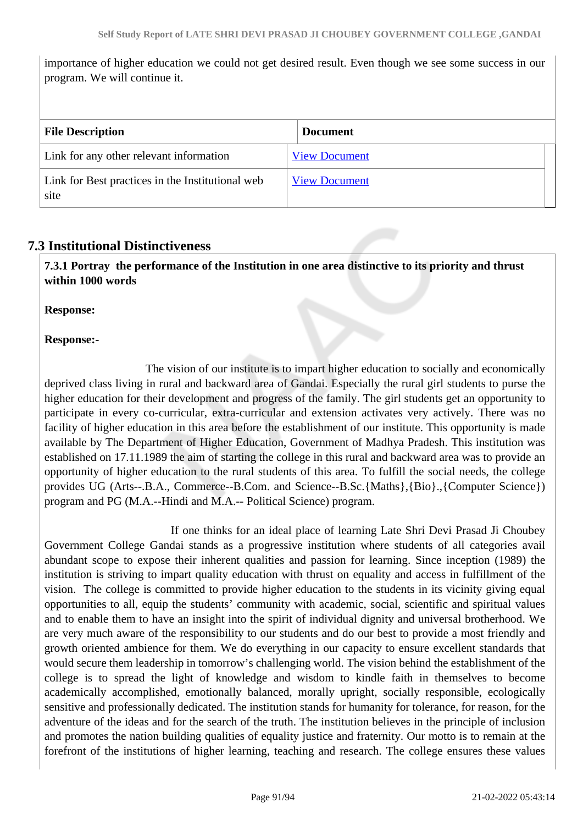importance of higher education we could not get desired result. Even though we see some success in our program. We will continue it.

| <b>File Description</b>                                  | <b>Document</b>      |
|----------------------------------------------------------|----------------------|
| Link for any other relevant information                  | <b>View Document</b> |
| Link for Best practices in the Institutional web<br>site | <b>View Document</b> |

## **7.3 Institutional Distinctiveness**

 **7.3.1 Portray the performance of the Institution in one area distinctive to its priority and thrust within 1000 words**

**Response:** 

## **Response:-**

 The vision of our institute is to impart higher education to socially and economically deprived class living in rural and backward area of Gandai. Especially the rural girl students to purse the higher education for their development and progress of the family. The girl students get an opportunity to participate in every co-curricular, extra-curricular and extension activates very actively. There was no facility of higher education in this area before the establishment of our institute. This opportunity is made available by The Department of Higher Education, Government of Madhya Pradesh. This institution was established on 17.11.1989 the aim of starting the college in this rural and backward area was to provide an opportunity of higher education to the rural students of this area. To fulfill the social needs, the college provides UG (Arts--.B.A., Commerce--B.Com. and Science--B.Sc.{Maths},{Bio}.,{Computer Science}) program and PG (M.A.--Hindi and M.A.-- Political Science) program.

 If one thinks for an ideal place of learning Late Shri Devi Prasad Ji Choubey Government College Gandai stands as a progressive institution where students of all categories avail abundant scope to expose their inherent qualities and passion for learning. Since inception (1989) the institution is striving to impart quality education with thrust on equality and access in fulfillment of the vision. The college is committed to provide higher education to the students in its vicinity giving equal opportunities to all, equip the students' community with academic, social, scientific and spiritual values and to enable them to have an insight into the spirit of individual dignity and universal brotherhood. We are very much aware of the responsibility to our students and do our best to provide a most friendly and growth oriented ambience for them. We do everything in our capacity to ensure excellent standards that would secure them leadership in tomorrow's challenging world. The vision behind the establishment of the college is to spread the light of knowledge and wisdom to kindle faith in themselves to become academically accomplished, emotionally balanced, morally upright, socially responsible, ecologically sensitive and professionally dedicated. The institution stands for humanity for tolerance, for reason, for the adventure of the ideas and for the search of the truth. The institution believes in the principle of inclusion and promotes the nation building qualities of equality justice and fraternity. Our motto is to remain at the forefront of the institutions of higher learning, teaching and research. The college ensures these values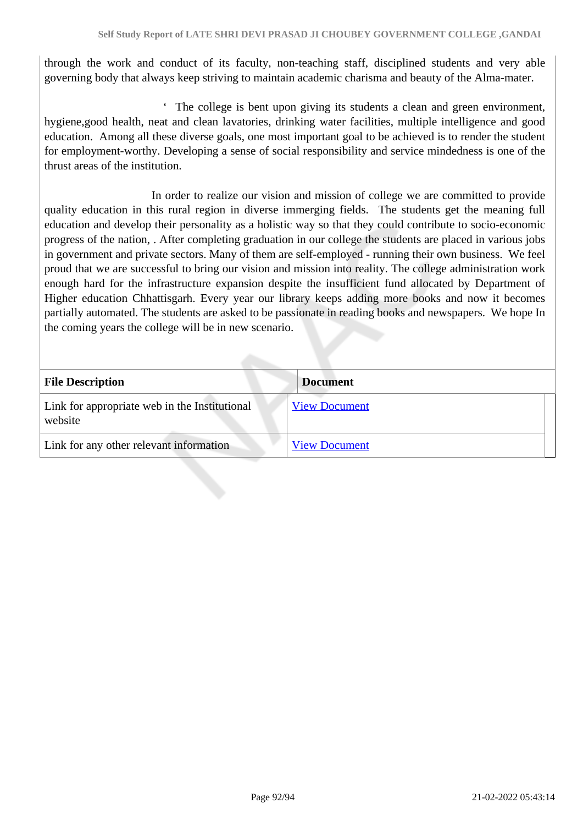through the work and conduct of its faculty, non-teaching staff, disciplined students and very able governing body that always keep striving to maintain academic charisma and beauty of the Alma-mater.

The college is bent upon giving its students a clean and green environment, hygiene,good health, neat and clean lavatories, drinking water facilities, multiple intelligence and good education. Among all these diverse goals, one most important goal to be achieved is to render the student for employment-worthy. Developing a sense of social responsibility and service mindedness is one of the thrust areas of the institution.

 In order to realize our vision and mission of college we are committed to provide quality education in this rural region in diverse immerging fields. The students get the meaning full education and develop their personality as a holistic way so that they could contribute to socio-economic progress of the nation, . After completing graduation in our college the students are placed in various jobs in government and private sectors. Many of them are self-employed - running their own business. We feel proud that we are successful to bring our vision and mission into reality. The college administration work enough hard for the infrastructure expansion despite the insufficient fund allocated by Department of Higher education Chhattisgarh. Every year our library keeps adding more books and now it becomes partially automated. The students are asked to be passionate in reading books and newspapers. We hope In the coming years the college will be in new scenario.

| <b>File Description</b>                                  | <b>Document</b>      |
|----------------------------------------------------------|----------------------|
| Link for appropriate web in the Institutional<br>website | <b>View Document</b> |
| Link for any other relevant information                  | <b>View Document</b> |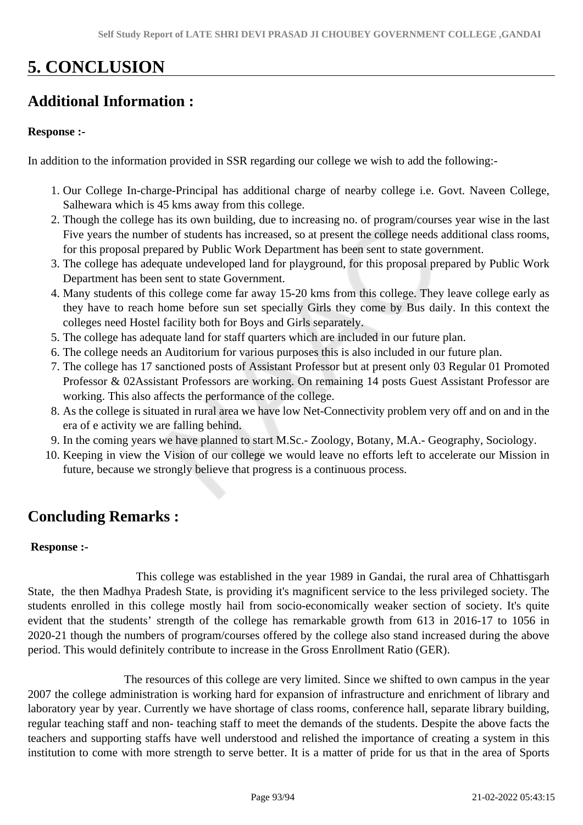# **5. CONCLUSION**

# **Additional Information :**

#### **Response :-**

In addition to the information provided in SSR regarding our college we wish to add the following:-

- 1. Our College In-charge-Principal has additional charge of nearby college i.e. Govt. Naveen College, Salhewara which is 45 kms away from this college.
- 2. Though the college has its own building, due to increasing no. of program/courses year wise in the last Five years the number of students has increased, so at present the college needs additional class rooms, for this proposal prepared by Public Work Department has been sent to state government.
- 3. The college has adequate undeveloped land for playground, for this proposal prepared by Public Work Department has been sent to state Government.
- 4. Many students of this college come far away 15-20 kms from this college. They leave college early as they have to reach home before sun set specially Girls they come by Bus daily. In this context the colleges need Hostel facility both for Boys and Girls separately.
- 5. The college has adequate land for staff quarters which are included in our future plan.
- 6. The college needs an Auditorium for various purposes this is also included in our future plan.
- 7. The college has 17 sanctioned posts of Assistant Professor but at present only 03 Regular 01 Promoted Professor & 02Assistant Professors are working. On remaining 14 posts Guest Assistant Professor are working. This also affects the performance of the college.
- 8. As the college is situated in rural area we have low Net-Connectivity problem very off and on and in the era of e activity we are falling behind.
- 9. In the coming years we have planned to start M.Sc.- Zoology, Botany, M.A.- Geography, Sociology.
- 10. Keeping in view the Vision of our college we would leave no efforts left to accelerate our Mission in future, because we strongly believe that progress is a continuous process.

## **Concluding Remarks :**

#### **Response :-**

 This college was established in the year 1989 in Gandai, the rural area of Chhattisgarh State, the then Madhya Pradesh State, is providing it's magnificent service to the less privileged society. The students enrolled in this college mostly hail from socio-economically weaker section of society. It's quite evident that the students' strength of the college has remarkable growth from 613 in 2016-17 to 1056 in 2020-21 though the numbers of program/courses offered by the college also stand increased during the above period. This would definitely contribute to increase in the Gross Enrollment Ratio (GER).

 The resources of this college are very limited. Since we shifted to own campus in the year 2007 the college administration is working hard for expansion of infrastructure and enrichment of library and laboratory year by year. Currently we have shortage of class rooms, conference hall, separate library building, regular teaching staff and non- teaching staff to meet the demands of the students. Despite the above facts the teachers and supporting staffs have well understood and relished the importance of creating a system in this institution to come with more strength to serve better. It is a matter of pride for us that in the area of Sports